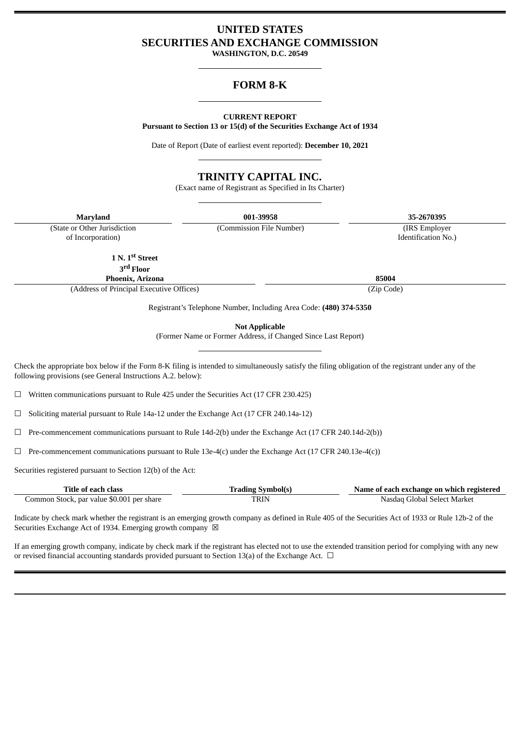# **UNITED STATES SECURITIES AND EXCHANGE COMMISSION**

**WASHINGTON, D.C. 20549**

## **FORM 8-K**

## **CURRENT REPORT**

**Pursuant to Section 13 or 15(d) of the Securities Exchange Act of 1934**

Date of Report (Date of earliest event reported): **December 10, 2021**

## **TRINITY CAPITAL INC.**

(Exact name of Registrant as Specified in Its Charter)

**Maryland 001-39958 35-2670395**

(Commission File Number) (IRS Employer Identification No.)

(State or Other Jurisdiction of Incorporation)

**1 N. 1 st Street**

**3 rd Floor Phoenix, Arizona 85004**

(Address of Principal Executive Offices) (Zip Code)

Registrant's Telephone Number, Including Area Code: **(480) 374-5350**

**Not Applicable**

(Former Name or Former Address, if Changed Since Last Report)

Check the appropriate box below if the Form 8-K filing is intended to simultaneously satisfy the filing obligation of the registrant under any of the following provisions (see General Instructions A.2. below):

☐ Written communications pursuant to Rule 425 under the Securities Act (17 CFR 230.425)

☐ Soliciting material pursuant to Rule 14a-12 under the Exchange Act (17 CFR 240.14a-12)

 $\Box$  Pre-commencement communications pursuant to Rule 14d-2(b) under the Exchange Act (17 CFR 240.14d-2(b))

 $\Box$  Pre-commencement communications pursuant to Rule 13e-4(c) under the Exchange Act (17 CFR 240.13e-4(c))

Securities registered pursuant to Section 12(b) of the Act:

| Title of each class                       | Trading Svmbol(s) | Name of each exchange on which registered |  |
|-------------------------------------------|-------------------|-------------------------------------------|--|
| Common Stock, par value \$0.001 per share | TRIN              | Nasdag Global Select Market               |  |

Indicate by check mark whether the registrant is an emerging growth company as defined in Rule 405 of the Securities Act of 1933 or Rule 12b-2 of the Securities Exchange Act of 1934. Emerging growth company  $\boxtimes$ 

If an emerging growth company, indicate by check mark if the registrant has elected not to use the extended transition period for complying with any new or revised financial accounting standards provided pursuant to Section 13(a) of the Exchange Act.  $\Box$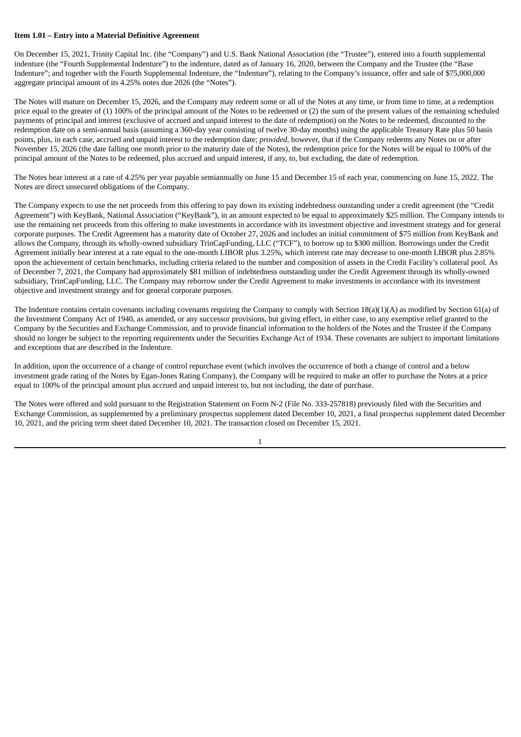## **Item 1.01 – Entry into a Material Definitive Agreement**

On December 15, 2021, Trinity Capital Inc. (the "Company") and U.S. Bank National Association (the "Trustee"), entered into a fourth supplemental indenture (the "Fourth Supplemental Indenture") to the indenture, dated as of January 16, 2020, between the Company and the Trustee (the "Base Indenture"; and together with the Fourth Supplemental Indenture, the "Indenture"), relating to the Company's issuance, offer and sale of \$75,000,000 aggregate principal amount of its 4.25% notes due 2026 (the "Notes").

The Notes will mature on December 15, 2026, and the Company may redeem some or all of the Notes at any time, or from time to time, at a redemption price equal to the greater of (1) 100% of the principal amount of the Notes to be redeemed or (2) the sum of the present values of the remaining scheduled payments of principal and interest (exclusive of accrued and unpaid interest to the date of redemption) on the Notes to be redeemed, discounted to the redemption date on a semi-annual basis (assuming a 360-day year consisting of twelve 30-day months) using the applicable Treasury Rate plus 50 basis points, plus, in each case, accrued and unpaid interest to the redemption date; *provided*, however, that if the Company redeems any Notes on or after November 15, 2026 (the date falling one month prior to the maturity date of the Notes), the redemption price for the Notes will be equal to 100% of the principal amount of the Notes to be redeemed, plus accrued and unpaid interest, if any, to, but excluding, the date of redemption.

The Notes bear interest at a rate of 4.25% per year payable semiannually on June 15 and December 15 of each year, commencing on June 15, 2022. The Notes are direct unsecured obligations of the Company.

The Company expects to use the net proceeds from this offering to pay down its existing indebtedness outstanding under a credit agreement (the "Credit Agreement") with KeyBank, National Association ("KeyBank"), in an amount expected to be equal to approximately \$25 million. The Company intends to use the remaining net proceeds from this offering to make investments in accordance with its investment objective and investment strategy and for general corporate purposes. The Credit Agreement has a maturity date of October 27, 2026 and includes an initial commitment of \$75 million from KeyBank and allows the Company, through its wholly-owned subsidiary TrinCapFunding, LLC ("TCF"), to borrow up to \$300 million. Borrowings under the Credit Agreement initially bear interest at a rate equal to the one-month LIBOR plus 3.25%, which interest rate may decrease to one-month LIBOR plus 2.85% upon the achievement of certain benchmarks, including criteria related to the number and composition of assets in the Credit Facility's collateral pool. As of December 7, 2021, the Company had approximately \$81 million of indebtedness outstanding under the Credit Agreement through its wholly-owned subsidiary, TrinCapFunding, LLC. The Company may reborrow under the Credit Agreement to make investments in accordance with its investment objective and investment strategy and for general corporate purposes.

The Indenture contains certain covenants including covenants requiring the Company to comply with Section 18(a)(1)(A) as modified by Section 61(a) of the Investment Company Act of 1940, as amended, or any successor provisions, but giving effect, in either case, to any exemptive relief granted to the Company by the Securities and Exchange Commission, and to provide financial information to the holders of the Notes and the Trustee if the Company should no longer be subject to the reporting requirements under the Securities Exchange Act of 1934. These covenants are subject to important limitations and exceptions that are described in the Indenture.

In addition, upon the occurrence of a change of control repurchase event (which involves the occurrence of both a change of control and a below investment grade rating of the Notes by Egan-Jones Rating Company), the Company will be required to make an offer to purchase the Notes at a price equal to 100% of the principal amount plus accrued and unpaid interest to, but not including, the date of purchase.

The Notes were offered and sold pursuant to the Registration Statement on Form N-2 (File No. 333-257818) previously filed with the Securities and Exchange Commission, as supplemented by a preliminary prospectus supplement dated December 10, 2021, a final prospectus supplement dated December 10, 2021, and the pricing term sheet dated December 10, 2021. The transaction closed on December 15, 2021.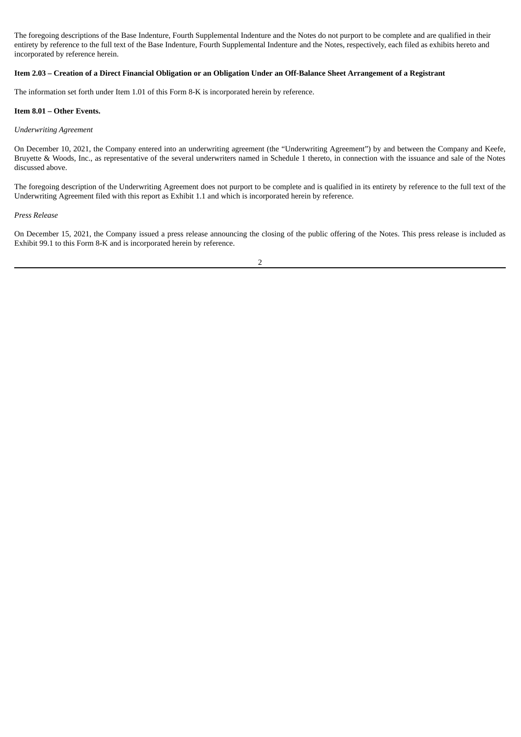The foregoing descriptions of the Base Indenture, Fourth Supplemental Indenture and the Notes do not purport to be complete and are qualified in their entirety by reference to the full text of the Base Indenture, Fourth Supplemental Indenture and the Notes, respectively, each filed as exhibits hereto and incorporated by reference herein.

## Item 2.03 – Creation of a Direct Financial Obligation or an Obligation Under an Off-Balance Sheet Arrangement of a Registrant

The information set forth under Item 1.01 of this Form 8-K is incorporated herein by reference.

## **Item 8.01 – Other Events.**

## *Underwriting Agreement*

On December 10, 2021, the Company entered into an underwriting agreement (the "Underwriting Agreement") by and between the Company and Keefe, Bruyette & Woods, Inc., as representative of the several underwriters named in Schedule 1 thereto, in connection with the issuance and sale of the Notes discussed above.

The foregoing description of the Underwriting Agreement does not purport to be complete and is qualified in its entirety by reference to the full text of the Underwriting Agreement filed with this report as Exhibit 1.1 and which is incorporated herein by reference.

#### *Press Release*

On December 15, 2021, the Company issued a press release announcing the closing of the public offering of the Notes. This press release is included as Exhibit 99.1 to this Form 8-K and is incorporated herein by reference.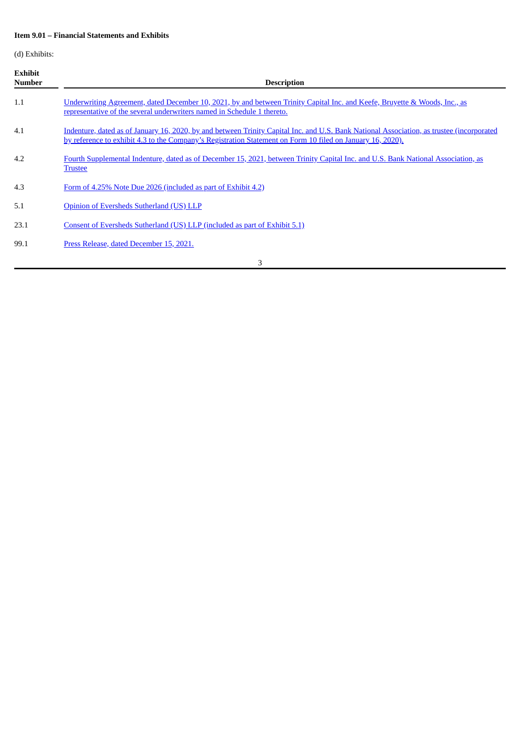## **Item 9.01 – Financial Statements and Exhibits**

(d) Exhibits:

| <b>Exhibit</b><br><b>Number</b> | <b>Description</b>                                                                                                                                                                                                                                      |  |  |
|---------------------------------|---------------------------------------------------------------------------------------------------------------------------------------------------------------------------------------------------------------------------------------------------------|--|--|
| 1.1                             | Underwriting Agreement, dated December 10, 2021, by and between Trinity Capital Inc. and Keefe, Bruyette & Woods, Inc., as<br>representative of the several underwriters named in Schedule 1 thereto.                                                   |  |  |
| 4.1                             | Indenture, dated as of January 16, 2020, by and between Trinity Capital Inc. and U.S. Bank National Association, as trustee (incorporated<br>by reference to exhibit 4.3 to the Company's Registration Statement on Form 10 filed on January 16, 2020). |  |  |
| 4.2                             | Fourth Supplemental Indenture, dated as of December 15, 2021, between Trinity Capital Inc. and U.S. Bank National Association, as<br><b>Trustee</b>                                                                                                     |  |  |
| 4.3                             | Form of 4.25% Note Due 2026 (included as part of Exhibit 4.2)                                                                                                                                                                                           |  |  |
| 5.1                             | Opinion of Eversheds Sutherland (US) LLP                                                                                                                                                                                                                |  |  |
| 23.1                            | Consent of Eversheds Sutherland (US) LLP (included as part of Exhibit 5.1)                                                                                                                                                                              |  |  |
| 99.1                            | Press Release, dated December 15, 2021.                                                                                                                                                                                                                 |  |  |
| 3                               |                                                                                                                                                                                                                                                         |  |  |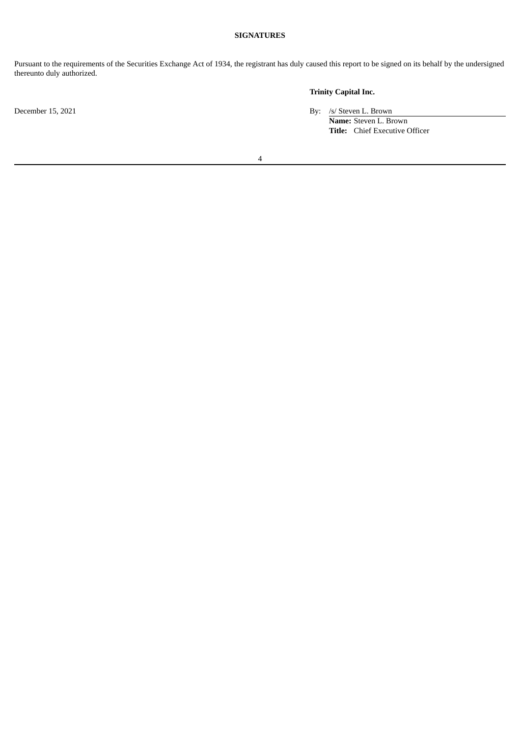## **SIGNATURES**

Pursuant to the requirements of the Securities Exchange Act of 1934, the registrant has duly caused this report to be signed on its behalf by the undersigned thereunto duly authorized.

## **Trinity Capital Inc.**

December 15, 2021 By: /s/ Steven L. Brown

**Name:** Steven L. Brown **Title:** Chief Executive Officer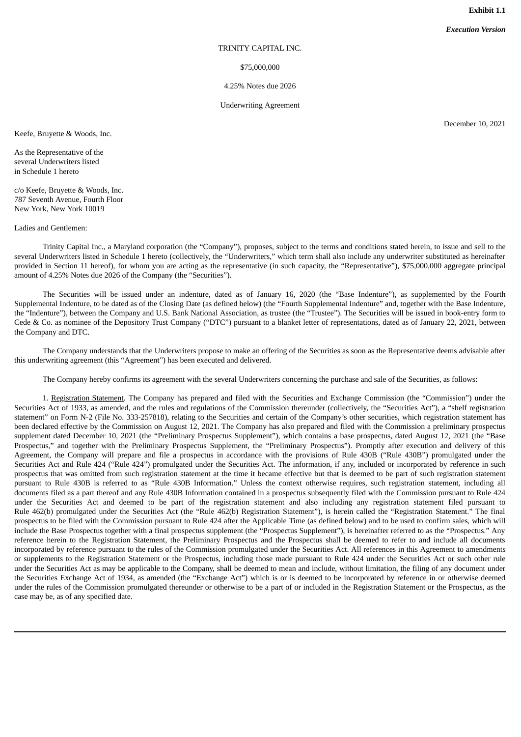**Exhibit 1.1**

*Execution Version*

#### TRINITY CAPITAL INC.

\$75,000,000

### 4.25% Notes due 2026

Underwriting Agreement

<span id="page-5-0"></span>Keefe, Bruyette & Woods, Inc.

As the Representative of the several Underwriters listed in Schedule 1 hereto

c/o Keefe, Bruyette & Woods, Inc. 787 Seventh Avenue, Fourth Floor New York, New York 10019

Ladies and Gentlemen:

Trinity Capital Inc., a Maryland corporation (the "Company"), proposes, subject to the terms and conditions stated herein, to issue and sell to the several Underwriters listed in Schedule 1 hereto (collectively, the "Underwriters," which term shall also include any underwriter substituted as hereinafter provided in Section 11 hereof), for whom you are acting as the representative (in such capacity, the "Representative"), \$75,000,000 aggregate principal amount of 4.25% Notes due 2026 of the Company (the "Securities").

The Securities will be issued under an indenture, dated as of January 16, 2020 (the "Base Indenture"), as supplemented by the Fourth Supplemental Indenture, to be dated as of the Closing Date (as defined below) (the "Fourth Supplemental Indenture" and, together with the Base Indenture, the "Indenture"), between the Company and U.S. Bank National Association, as trustee (the "Trustee"). The Securities will be issued in book-entry form to Cede & Co. as nominee of the Depository Trust Company ("DTC") pursuant to a blanket letter of representations, dated as of January 22, 2021, between the Company and DTC.

The Company understands that the Underwriters propose to make an offering of the Securities as soon as the Representative deems advisable after this underwriting agreement (this "Agreement") has been executed and delivered.

The Company hereby confirms its agreement with the several Underwriters concerning the purchase and sale of the Securities, as follows:

1. Registration Statement. The Company has prepared and filed with the Securities and Exchange Commission (the "Commission") under the Securities Act of 1933, as amended, and the rules and regulations of the Commission thereunder (collectively, the "Securities Act"), a "shelf registration statement" on Form N-2 (File No. 333-257818), relating to the Securities and certain of the Company's other securities, which registration statement has been declared effective by the Commission on August 12, 2021. The Company has also prepared and filed with the Commission a preliminary prospectus supplement dated December 10, 2021 (the "Preliminary Prospectus Supplement"), which contains a base prospectus, dated August 12, 2021 (the "Base Prospectus," and together with the Preliminary Prospectus Supplement, the "Preliminary Prospectus"). Promptly after execution and delivery of this Agreement, the Company will prepare and file a prospectus in accordance with the provisions of Rule 430B ("Rule 430B") promulgated under the Securities Act and Rule 424 ("Rule 424") promulgated under the Securities Act. The information, if any, included or incorporated by reference in such prospectus that was omitted from such registration statement at the time it became effective but that is deemed to be part of such registration statement pursuant to Rule 430B is referred to as "Rule 430B Information." Unless the context otherwise requires, such registration statement, including all documents filed as a part thereof and any Rule 430B Information contained in a prospectus subsequently filed with the Commission pursuant to Rule 424 under the Securities Act and deemed to be part of the registration statement and also including any registration statement filed pursuant to Rule 462(b) promulgated under the Securities Act (the "Rule 462(b) Registration Statement"), is herein called the "Registration Statement." The final prospectus to be filed with the Commission pursuant to Rule 424 after the Applicable Time (as defined below) and to be used to confirm sales, which will include the Base Prospectus together with a final prospectus supplement (the "Prospectus Supplement"), is hereinafter referred to as the "Prospectus." Any reference herein to the Registration Statement, the Preliminary Prospectus and the Prospectus shall be deemed to refer to and include all documents incorporated by reference pursuant to the rules of the Commission promulgated under the Securities Act. All references in this Agreement to amendments or supplements to the Registration Statement or the Prospectus, including those made pursuant to Rule 424 under the Securities Act or such other rule under the Securities Act as may be applicable to the Company, shall be deemed to mean and include, without limitation, the filing of any document under the Securities Exchange Act of 1934, as amended (the "Exchange Act") which is or is deemed to be incorporated by reference in or otherwise deemed under the rules of the Commission promulgated thereunder or otherwise to be a part of or included in the Registration Statement or the Prospectus, as the case may be, as of any specified date.

December 10, 2021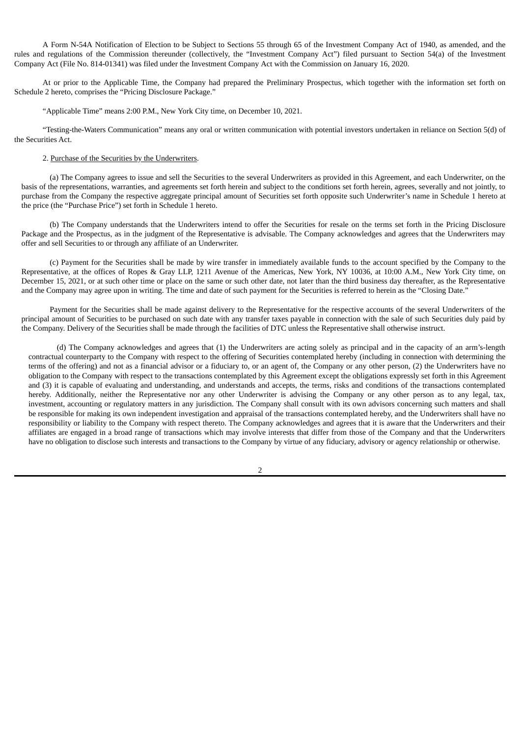A Form N-54A Notification of Election to be Subject to Sections 55 through 65 of the Investment Company Act of 1940, as amended, and the rules and regulations of the Commission thereunder (collectively, the "Investment Company Act") filed pursuant to Section 54(a) of the Investment Company Act (File No. 814-01341) was filed under the Investment Company Act with the Commission on January 16, 2020.

At or prior to the Applicable Time, the Company had prepared the Preliminary Prospectus, which together with the information set forth on Schedule 2 hereto, comprises the "Pricing Disclosure Package."

"Applicable Time" means 2:00 P.M., New York City time, on December 10, 2021.

"Testing-the-Waters Communication" means any oral or written communication with potential investors undertaken in reliance on Section 5(d) of the Securities Act.

### 2. Purchase of the Securities by the Underwriters.

(a) The Company agrees to issue and sell the Securities to the several Underwriters as provided in this Agreement, and each Underwriter, on the basis of the representations, warranties, and agreements set forth herein and subject to the conditions set forth herein, agrees, severally and not jointly, to purchase from the Company the respective aggregate principal amount of Securities set forth opposite such Underwriter's name in Schedule 1 hereto at the price (the "Purchase Price") set forth in Schedule 1 hereto.

(b) The Company understands that the Underwriters intend to offer the Securities for resale on the terms set forth in the Pricing Disclosure Package and the Prospectus, as in the judgment of the Representative is advisable. The Company acknowledges and agrees that the Underwriters may offer and sell Securities to or through any affiliate of an Underwriter.

(c) Payment for the Securities shall be made by wire transfer in immediately available funds to the account specified by the Company to the Representative, at the offices of Ropes & Gray LLP, 1211 Avenue of the Americas, New York, NY 10036, at 10:00 A.M., New York City time, on December 15, 2021, or at such other time or place on the same or such other date, not later than the third business day thereafter, as the Representative and the Company may agree upon in writing. The time and date of such payment for the Securities is referred to herein as the "Closing Date."

Payment for the Securities shall be made against delivery to the Representative for the respective accounts of the several Underwriters of the principal amount of Securities to be purchased on such date with any transfer taxes payable in connection with the sale of such Securities duly paid by the Company. Delivery of the Securities shall be made through the facilities of DTC unless the Representative shall otherwise instruct.

(d) The Company acknowledges and agrees that (1) the Underwriters are acting solely as principal and in the capacity of an arm's-length contractual counterparty to the Company with respect to the offering of Securities contemplated hereby (including in connection with determining the terms of the offering) and not as a financial advisor or a fiduciary to, or an agent of, the Company or any other person, (2) the Underwriters have no obligation to the Company with respect to the transactions contemplated by this Agreement except the obligations expressly set forth in this Agreement and (3) it is capable of evaluating and understanding, and understands and accepts, the terms, risks and conditions of the transactions contemplated hereby. Additionally, neither the Representative nor any other Underwriter is advising the Company or any other person as to any legal, tax, investment, accounting or regulatory matters in any jurisdiction. The Company shall consult with its own advisors concerning such matters and shall be responsible for making its own independent investigation and appraisal of the transactions contemplated hereby, and the Underwriters shall have no responsibility or liability to the Company with respect thereto. The Company acknowledges and agrees that it is aware that the Underwriters and their affiliates are engaged in a broad range of transactions which may involve interests that differ from those of the Company and that the Underwriters have no obligation to disclose such interests and transactions to the Company by virtue of any fiduciary, advisory or agency relationship or otherwise.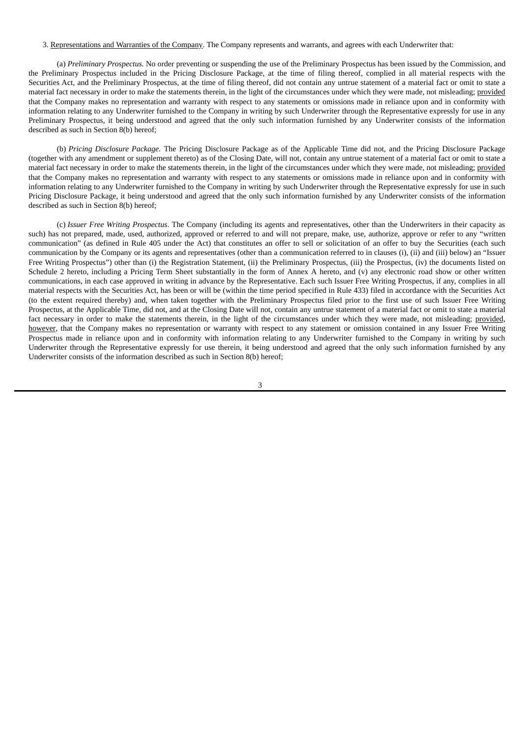### 3. Representations and Warranties of the Company. The Company represents and warrants, and agrees with each Underwriter that:

(a) *Preliminary Prospectus.* No order preventing or suspending the use of the Preliminary Prospectus has been issued by the Commission, and the Preliminary Prospectus included in the Pricing Disclosure Package, at the time of filing thereof, complied in all material respects with the Securities Act, and the Preliminary Prospectus, at the time of filing thereof, did not contain any untrue statement of a material fact or omit to state a material fact necessary in order to make the statements therein, in the light of the circumstances under which they were made, not misleading; provided that the Company makes no representation and warranty with respect to any statements or omissions made in reliance upon and in conformity with information relating to any Underwriter furnished to the Company in writing by such Underwriter through the Representative expressly for use in any Preliminary Prospectus, it being understood and agreed that the only such information furnished by any Underwriter consists of the information described as such in Section 8(b) hereof;

(b) *Pricing Disclosure Package.* The Pricing Disclosure Package as of the Applicable Time did not, and the Pricing Disclosure Package (together with any amendment or supplement thereto) as of the Closing Date, will not, contain any untrue statement of a material fact or omit to state a material fact necessary in order to make the statements therein, in the light of the circumstances under which they were made, not misleading; provided that the Company makes no representation and warranty with respect to any statements or omissions made in reliance upon and in conformity with information relating to any Underwriter furnished to the Company in writing by such Underwriter through the Representative expressly for use in such Pricing Disclosure Package, it being understood and agreed that the only such information furnished by any Underwriter consists of the information described as such in Section 8(b) hereof;

(c) *Issuer Free Writing Prospectus*. The Company (including its agents and representatives, other than the Underwriters in their capacity as such) has not prepared, made, used, authorized, approved or referred to and will not prepare, make, use, authorize, approve or refer to any "written communication" (as defined in Rule 405 under the Act) that constitutes an offer to sell or solicitation of an offer to buy the Securities (each such communication by the Company or its agents and representatives (other than a communication referred to in clauses (i), (ii) and (iii) below) an "Issuer Free Writing Prospectus") other than (i) the Registration Statement, (ii) the Preliminary Prospectus, (iii) the Prospectus, (iv) the documents listed on Schedule 2 hereto, including a Pricing Term Sheet substantially in the form of Annex A hereto, and (v) any electronic road show or other written communications, in each case approved in writing in advance by the Representative. Each such Issuer Free Writing Prospectus, if any, complies in all material respects with the Securities Act, has been or will be (within the time period specified in Rule 433) filed in accordance with the Securities Act (to the extent required thereby) and, when taken together with the Preliminary Prospectus filed prior to the first use of such Issuer Free Writing Prospectus, at the Applicable Time, did not, and at the Closing Date will not, contain any untrue statement of a material fact or omit to state a material fact necessary in order to make the statements therein, in the light of the circumstances under which they were made, not misleading; provided, however, that the Company makes no representation or warranty with respect to any statement or omission contained in any Issuer Free Writing Prospectus made in reliance upon and in conformity with information relating to any Underwriter furnished to the Company in writing by such Underwriter through the Representative expressly for use therein, it being understood and agreed that the only such information furnished by any Underwriter consists of the information described as such in Section 8(b) hereof;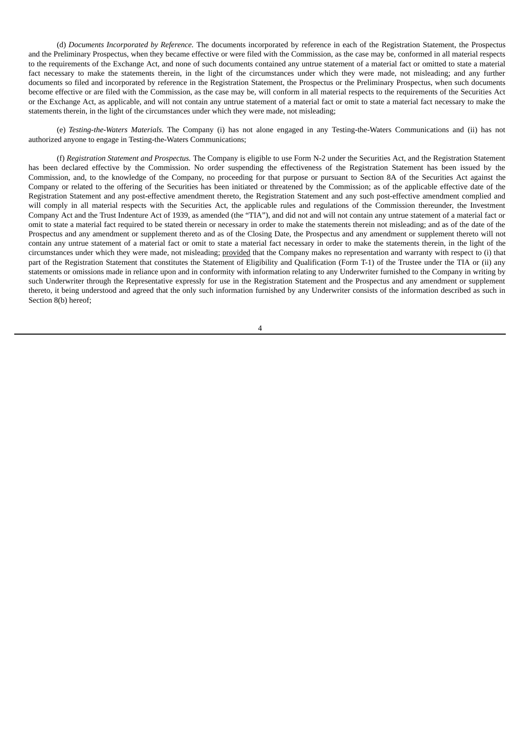(d) *Documents Incorporated by Reference.* The documents incorporated by reference in each of the Registration Statement, the Prospectus and the Preliminary Prospectus, when they became effective or were filed with the Commission, as the case may be, conformed in all material respects to the requirements of the Exchange Act, and none of such documents contained any untrue statement of a material fact or omitted to state a material fact necessary to make the statements therein, in the light of the circumstances under which they were made, not misleading; and any further documents so filed and incorporated by reference in the Registration Statement, the Prospectus or the Preliminary Prospectus, when such documents become effective or are filed with the Commission, as the case may be, will conform in all material respects to the requirements of the Securities Act or the Exchange Act, as applicable, and will not contain any untrue statement of a material fact or omit to state a material fact necessary to make the statements therein, in the light of the circumstances under which they were made, not misleading;

(e) *Testing-the-Waters Materials.* The Company (i) has not alone engaged in any Testing-the-Waters Communications and (ii) has not authorized anyone to engage in Testing-the-Waters Communications;

(f) *Registration Statement and Prospectus.* The Company is eligible to use Form N-2 under the Securities Act, and the Registration Statement has been declared effective by the Commission. No order suspending the effectiveness of the Registration Statement has been issued by the Commission, and, to the knowledge of the Company, no proceeding for that purpose or pursuant to Section 8A of the Securities Act against the Company or related to the offering of the Securities has been initiated or threatened by the Commission; as of the applicable effective date of the Registration Statement and any post-effective amendment thereto, the Registration Statement and any such post-effective amendment complied and will comply in all material respects with the Securities Act, the applicable rules and regulations of the Commission thereunder, the Investment Company Act and the Trust Indenture Act of 1939, as amended (the "TIA"), and did not and will not contain any untrue statement of a material fact or omit to state a material fact required to be stated therein or necessary in order to make the statements therein not misleading; and as of the date of the Prospectus and any amendment or supplement thereto and as of the Closing Date, the Prospectus and any amendment or supplement thereto will not contain any untrue statement of a material fact or omit to state a material fact necessary in order to make the statements therein, in the light of the circumstances under which they were made, not misleading; provided that the Company makes no representation and warranty with respect to (i) that part of the Registration Statement that constitutes the Statement of Eligibility and Qualification (Form T-1) of the Trustee under the TIA or (ii) any statements or omissions made in reliance upon and in conformity with information relating to any Underwriter furnished to the Company in writing by such Underwriter through the Representative expressly for use in the Registration Statement and the Prospectus and any amendment or supplement thereto, it being understood and agreed that the only such information furnished by any Underwriter consists of the information described as such in Section 8(b) hereof;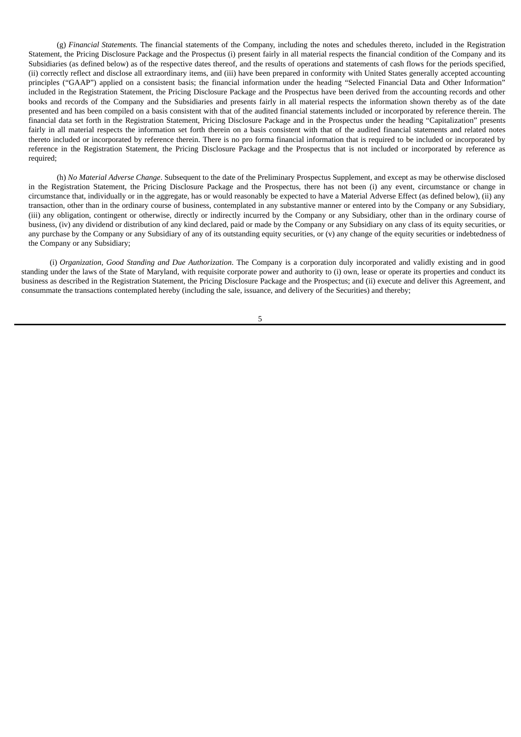(g) *Financial Statements.* The financial statements of the Company, including the notes and schedules thereto, included in the Registration Statement, the Pricing Disclosure Package and the Prospectus (i) present fairly in all material respects the financial condition of the Company and its Subsidiaries (as defined below) as of the respective dates thereof, and the results of operations and statements of cash flows for the periods specified, (ii) correctly reflect and disclose all extraordinary items, and (iii) have been prepared in conformity with United States generally accepted accounting principles ("GAAP") applied on a consistent basis; the financial information under the heading "Selected Financial Data and Other Information" included in the Registration Statement, the Pricing Disclosure Package and the Prospectus have been derived from the accounting records and other books and records of the Company and the Subsidiaries and presents fairly in all material respects the information shown thereby as of the date presented and has been compiled on a basis consistent with that of the audited financial statements included or incorporated by reference therein. The financial data set forth in the Registration Statement, Pricing Disclosure Package and in the Prospectus under the heading "Capitalization" presents fairly in all material respects the information set forth therein on a basis consistent with that of the audited financial statements and related notes thereto included or incorporated by reference therein. There is no pro forma financial information that is required to be included or incorporated by reference in the Registration Statement, the Pricing Disclosure Package and the Prospectus that is not included or incorporated by reference as required;

(h) *No Material Adverse Change*. Subsequent to the date of the Preliminary Prospectus Supplement, and except as may be otherwise disclosed in the Registration Statement, the Pricing Disclosure Package and the Prospectus, there has not been (i) any event, circumstance or change in circumstance that, individually or in the aggregate, has or would reasonably be expected to have a Material Adverse Effect (as defined below), (ii) any transaction, other than in the ordinary course of business, contemplated in any substantive manner or entered into by the Company or any Subsidiary, (iii) any obligation, contingent or otherwise, directly or indirectly incurred by the Company or any Subsidiary, other than in the ordinary course of business, (iv) any dividend or distribution of any kind declared, paid or made by the Company or any Subsidiary on any class of its equity securities, or any purchase by the Company or any Subsidiary of any of its outstanding equity securities, or (v) any change of the equity securities or indebtedness of the Company or any Subsidiary;

(i) *Organization, Good Standing and Due Authorization*. The Company is a corporation duly incorporated and validly existing and in good standing under the laws of the State of Maryland, with requisite corporate power and authority to (i) own, lease or operate its properties and conduct its business as described in the Registration Statement, the Pricing Disclosure Package and the Prospectus; and (ii) execute and deliver this Agreement, and consummate the transactions contemplated hereby (including the sale, issuance, and delivery of the Securities) and thereby;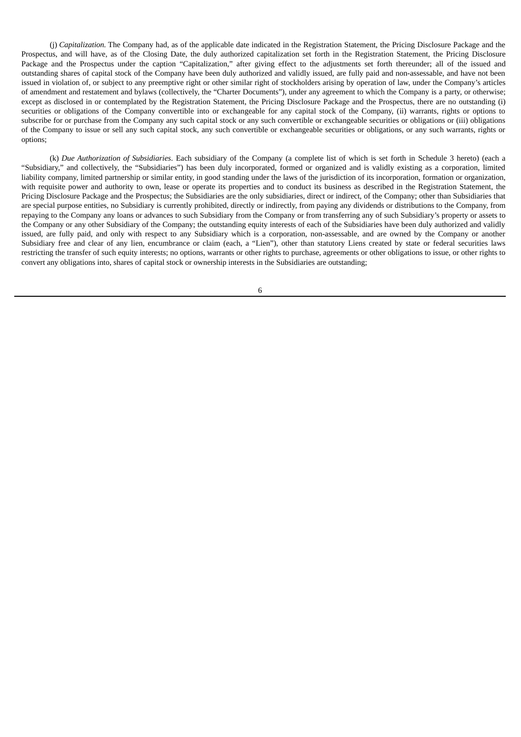(j) *Capitalization.* The Company had, as of the applicable date indicated in the Registration Statement, the Pricing Disclosure Package and the Prospectus, and will have, as of the Closing Date, the duly authorized capitalization set forth in the Registration Statement, the Pricing Disclosure Package and the Prospectus under the caption "Capitalization," after giving effect to the adjustments set forth thereunder; all of the issued and outstanding shares of capital stock of the Company have been duly authorized and validly issued, are fully paid and non-assessable, and have not been issued in violation of, or subject to any preemptive right or other similar right of stockholders arising by operation of law, under the Company's articles of amendment and restatement and bylaws (collectively, the "Charter Documents"), under any agreement to which the Company is a party, or otherwise; except as disclosed in or contemplated by the Registration Statement, the Pricing Disclosure Package and the Prospectus, there are no outstanding (i) securities or obligations of the Company convertible into or exchangeable for any capital stock of the Company, (ii) warrants, rights or options to subscribe for or purchase from the Company any such capital stock or any such convertible or exchangeable securities or obligations or (iii) obligations of the Company to issue or sell any such capital stock, any such convertible or exchangeable securities or obligations, or any such warrants, rights or options;

(k) *Due Authorization of Subsidiaries*. Each subsidiary of the Company (a complete list of which is set forth in Schedule 3 hereto) (each a "Subsidiary," and collectively, the "Subsidiaries") has been duly incorporated, formed or organized and is validly existing as a corporation, limited liability company, limited partnership or similar entity, in good standing under the laws of the jurisdiction of its incorporation, formation or organization, with requisite power and authority to own, lease or operate its properties and to conduct its business as described in the Registration Statement, the Pricing Disclosure Package and the Prospectus; the Subsidiaries are the only subsidiaries, direct or indirect, of the Company; other than Subsidiaries that are special purpose entities, no Subsidiary is currently prohibited, directly or indirectly, from paying any dividends or distributions to the Company, from repaying to the Company any loans or advances to such Subsidiary from the Company or from transferring any of such Subsidiary's property or assets to the Company or any other Subsidiary of the Company; the outstanding equity interests of each of the Subsidiaries have been duly authorized and validly issued, are fully paid, and only with respect to any Subsidiary which is a corporation, non-assessable, and are owned by the Company or another Subsidiary free and clear of any lien, encumbrance or claim (each, a "Lien"), other than statutory Liens created by state or federal securities laws restricting the transfer of such equity interests; no options, warrants or other rights to purchase, agreements or other obligations to issue, or other rights to convert any obligations into, shares of capital stock or ownership interests in the Subsidiaries are outstanding;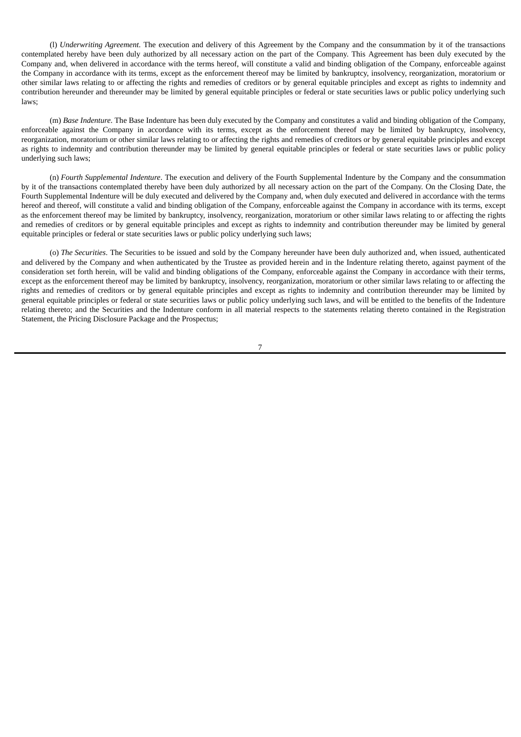(l) *Underwriting Agreement*. The execution and delivery of this Agreement by the Company and the consummation by it of the transactions contemplated hereby have been duly authorized by all necessary action on the part of the Company. This Agreement has been duly executed by the Company and, when delivered in accordance with the terms hereof, will constitute a valid and binding obligation of the Company, enforceable against the Company in accordance with its terms, except as the enforcement thereof may be limited by bankruptcy, insolvency, reorganization, moratorium or other similar laws relating to or affecting the rights and remedies of creditors or by general equitable principles and except as rights to indemnity and contribution hereunder and thereunder may be limited by general equitable principles or federal or state securities laws or public policy underlying such laws;

(m) *Base Indenture*. The Base Indenture has been duly executed by the Company and constitutes a valid and binding obligation of the Company, enforceable against the Company in accordance with its terms, except as the enforcement thereof may be limited by bankruptcy, insolvency, reorganization, moratorium or other similar laws relating to or affecting the rights and remedies of creditors or by general equitable principles and except as rights to indemnity and contribution thereunder may be limited by general equitable principles or federal or state securities laws or public policy underlying such laws;

(n) *Fourth Supplemental Indenture*. The execution and delivery of the Fourth Supplemental Indenture by the Company and the consummation by it of the transactions contemplated thereby have been duly authorized by all necessary action on the part of the Company. On the Closing Date, the Fourth Supplemental Indenture will be duly executed and delivered by the Company and, when duly executed and delivered in accordance with the terms hereof and thereof, will constitute a valid and binding obligation of the Company, enforceable against the Company in accordance with its terms, except as the enforcement thereof may be limited by bankruptcy, insolvency, reorganization, moratorium or other similar laws relating to or affecting the rights and remedies of creditors or by general equitable principles and except as rights to indemnity and contribution thereunder may be limited by general equitable principles or federal or state securities laws or public policy underlying such laws;

(o) *The Securities*. The Securities to be issued and sold by the Company hereunder have been duly authorized and, when issued, authenticated and delivered by the Company and when authenticated by the Trustee as provided herein and in the Indenture relating thereto, against payment of the consideration set forth herein, will be valid and binding obligations of the Company, enforceable against the Company in accordance with their terms, except as the enforcement thereof may be limited by bankruptcy, insolvency, reorganization, moratorium or other similar laws relating to or affecting the rights and remedies of creditors or by general equitable principles and except as rights to indemnity and contribution thereunder may be limited by general equitable principles or federal or state securities laws or public policy underlying such laws, and will be entitled to the benefits of the Indenture relating thereto; and the Securities and the Indenture conform in all material respects to the statements relating thereto contained in the Registration Statement, the Pricing Disclosure Package and the Prospectus;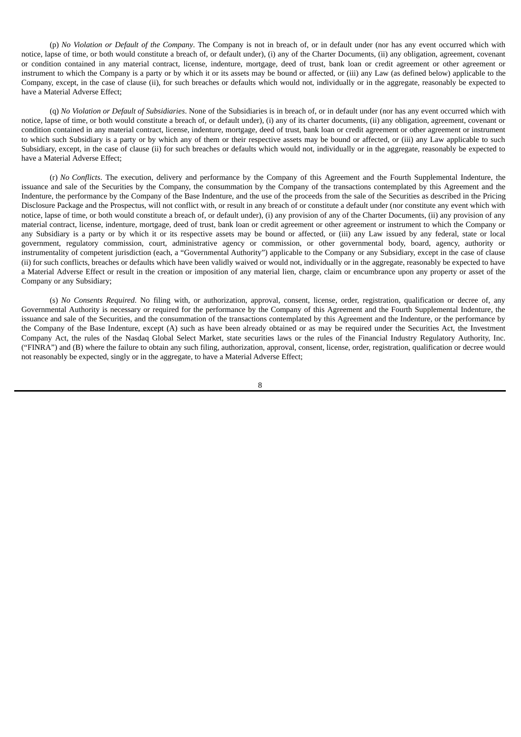(p) *No Violation or Default of the Company*. The Company is not in breach of, or in default under (nor has any event occurred which with notice, lapse of time, or both would constitute a breach of, or default under), (i) any of the Charter Documents, (ii) any obligation, agreement, covenant or condition contained in any material contract, license, indenture, mortgage, deed of trust, bank loan or credit agreement or other agreement or instrument to which the Company is a party or by which it or its assets may be bound or affected, or (iii) any Law (as defined below) applicable to the Company, except, in the case of clause (ii), for such breaches or defaults which would not, individually or in the aggregate, reasonably be expected to have a Material Adverse Effect;

(q) *No Violation or Default of Subsidiaries*. None of the Subsidiaries is in breach of, or in default under (nor has any event occurred which with notice, lapse of time, or both would constitute a breach of, or default under), (i) any of its charter documents, (ii) any obligation, agreement, covenant or condition contained in any material contract, license, indenture, mortgage, deed of trust, bank loan or credit agreement or other agreement or instrument to which such Subsidiary is a party or by which any of them or their respective assets may be bound or affected, or (iii) any Law applicable to such Subsidiary, except, in the case of clause (ii) for such breaches or defaults which would not, individually or in the aggregate, reasonably be expected to have a Material Adverse Effect;

(r) *No Conflicts*. The execution, delivery and performance by the Company of this Agreement and the Fourth Supplemental Indenture, the issuance and sale of the Securities by the Company, the consummation by the Company of the transactions contemplated by this Agreement and the Indenture, the performance by the Company of the Base Indenture, and the use of the proceeds from the sale of the Securities as described in the Pricing Disclosure Package and the Prospectus, will not conflict with, or result in any breach of or constitute a default under (nor constitute any event which with notice, lapse of time, or both would constitute a breach of, or default under), (i) any provision of any of the Charter Documents, (ii) any provision of any material contract, license, indenture, mortgage, deed of trust, bank loan or credit agreement or other agreement or instrument to which the Company or any Subsidiary is a party or by which it or its respective assets may be bound or affected, or (iii) any Law issued by any federal, state or local government, regulatory commission, court, administrative agency or commission, or other governmental body, board, agency, authority or instrumentality of competent jurisdiction (each, a "Governmental Authority") applicable to the Company or any Subsidiary, except in the case of clause (ii) for such conflicts, breaches or defaults which have been validly waived or would not, individually or in the aggregate, reasonably be expected to have a Material Adverse Effect or result in the creation or imposition of any material lien, charge, claim or encumbrance upon any property or asset of the Company or any Subsidiary;

(s) *No Consents Required*. No filing with, or authorization, approval, consent, license, order, registration, qualification or decree of, any Governmental Authority is necessary or required for the performance by the Company of this Agreement and the Fourth Supplemental Indenture, the issuance and sale of the Securities, and the consummation of the transactions contemplated by this Agreement and the Indenture, or the performance by the Company of the Base Indenture, except (A) such as have been already obtained or as may be required under the Securities Act, the Investment Company Act, the rules of the Nasdaq Global Select Market, state securities laws or the rules of the Financial Industry Regulatory Authority, Inc. ("FINRA") and (B) where the failure to obtain any such filing, authorization, approval, consent, license, order, registration, qualification or decree would not reasonably be expected, singly or in the aggregate, to have a Material Adverse Effect;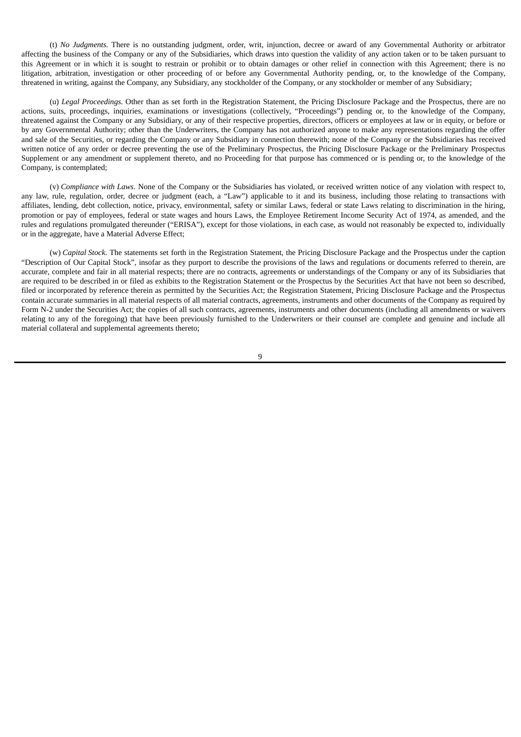(t) *No Judgments.* There is no outstanding judgment, order, writ, injunction, decree or award of any Governmental Authority or arbitrator affecting the business of the Company or any of the Subsidiaries, which draws into question the validity of any action taken or to be taken pursuant to this Agreement or in which it is sought to restrain or prohibit or to obtain damages or other relief in connection with this Agreement; there is no litigation, arbitration, investigation or other proceeding of or before any Governmental Authority pending, or, to the knowledge of the Company, threatened in writing, against the Company, any Subsidiary, any stockholder of the Company, or any stockholder or member of any Subsidiary;

(u) *Legal Proceedings.* Other than as set forth in the Registration Statement, the Pricing Disclosure Package and the Prospectus, there are no actions, suits, proceedings, inquiries, examinations or investigations (collectively, "Proceedings") pending or, to the knowledge of the Company, threatened against the Company or any Subsidiary, or any of their respective properties, directors, officers or employees at law or in equity, or before or by any Governmental Authority; other than the Underwriters, the Company has not authorized anyone to make any representations regarding the offer and sale of the Securities, or regarding the Company or any Subsidiary in connection therewith; none of the Company or the Subsidiaries has received written notice of any order or decree preventing the use of the Preliminary Prospectus, the Pricing Disclosure Package or the Preliminary Prospectus Supplement or any amendment or supplement thereto, and no Proceeding for that purpose has commenced or is pending or, to the knowledge of the Company, is contemplated;

(v) *Compliance with Laws*. None of the Company or the Subsidiaries has violated, or received written notice of any violation with respect to, any law, rule, regulation, order, decree or judgment (each, a "Law") applicable to it and its business, including those relating to transactions with affiliates, lending, debt collection, notice, privacy, environmental, safety or similar Laws, federal or state Laws relating to discrimination in the hiring, promotion or pay of employees, federal or state wages and hours Laws, the Employee Retirement Income Security Act of 1974, as amended, and the rules and regulations promulgated thereunder ("ERISA"), except for those violations, in each case, as would not reasonably be expected to, individually or in the aggregate, have a Material Adverse Effect;

(w) *Capital Stock*. The statements set forth in the Registration Statement, the Pricing Disclosure Package and the Prospectus under the caption "Description of Our Capital Stock", insofar as they purport to describe the provisions of the laws and regulations or documents referred to therein, are accurate, complete and fair in all material respects; there are no contracts, agreements or understandings of the Company or any of its Subsidiaries that are required to be described in or filed as exhibits to the Registration Statement or the Prospectus by the Securities Act that have not been so described, filed or incorporated by reference therein as permitted by the Securities Act; the Registration Statement, Pricing Disclosure Package and the Prospectus contain accurate summaries in all material respects of all material contracts, agreements, instruments and other documents of the Company as required by Form N-2 under the Securities Act; the copies of all such contracts, agreements, instruments and other documents (including all amendments or waivers relating to any of the foregoing) that have been previously furnished to the Underwriters or their counsel are complete and genuine and include all material collateral and supplemental agreements thereto;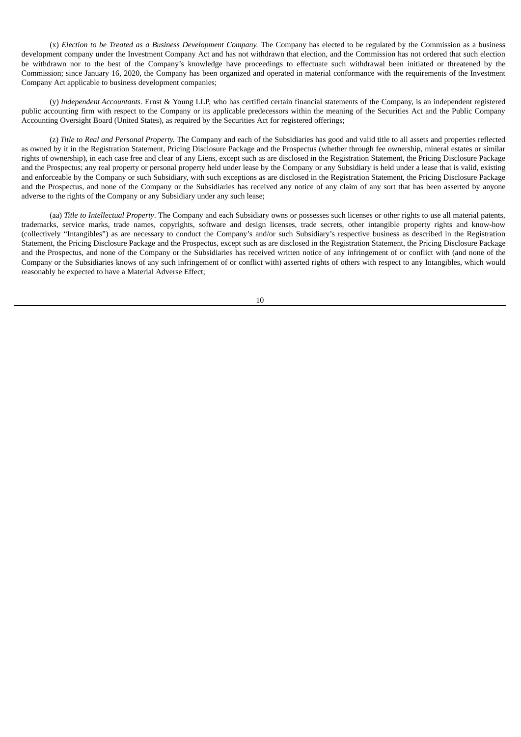(x) *Election to be Treated as a Business Development Company.* The Company has elected to be regulated by the Commission as a business development company under the Investment Company Act and has not withdrawn that election, and the Commission has not ordered that such election be withdrawn nor to the best of the Company's knowledge have proceedings to effectuate such withdrawal been initiated or threatened by the Commission; since January 16, 2020, the Company has been organized and operated in material conformance with the requirements of the Investment Company Act applicable to business development companies;

(y) *Independent Accountants*. Ernst & Young LLP, who has certified certain financial statements of the Company, is an independent registered public accounting firm with respect to the Company or its applicable predecessors within the meaning of the Securities Act and the Public Company Accounting Oversight Board (United States), as required by the Securities Act for registered offerings;

(z) *Title to Real and Personal Property.* The Company and each of the Subsidiaries has good and valid title to all assets and properties reflected as owned by it in the Registration Statement, Pricing Disclosure Package and the Prospectus (whether through fee ownership, mineral estates or similar rights of ownership), in each case free and clear of any Liens, except such as are disclosed in the Registration Statement, the Pricing Disclosure Package and the Prospectus; any real property or personal property held under lease by the Company or any Subsidiary is held under a lease that is valid, existing and enforceable by the Company or such Subsidiary, with such exceptions as are disclosed in the Registration Statement, the Pricing Disclosure Package and the Prospectus, and none of the Company or the Subsidiaries has received any notice of any claim of any sort that has been asserted by anyone adverse to the rights of the Company or any Subsidiary under any such lease;

(aa) *Title to Intellectual Property*. The Company and each Subsidiary owns or possesses such licenses or other rights to use all material patents, trademarks, service marks, trade names, copyrights, software and design licenses, trade secrets, other intangible property rights and know-how (collectively "Intangibles") as are necessary to conduct the Company's and/or such Subsidiary's respective business as described in the Registration Statement, the Pricing Disclosure Package and the Prospectus, except such as are disclosed in the Registration Statement, the Pricing Disclosure Package and the Prospectus, and none of the Company or the Subsidiaries has received written notice of any infringement of or conflict with (and none of the Company or the Subsidiaries knows of any such infringement of or conflict with) asserted rights of others with respect to any Intangibles, which would reasonably be expected to have a Material Adverse Effect;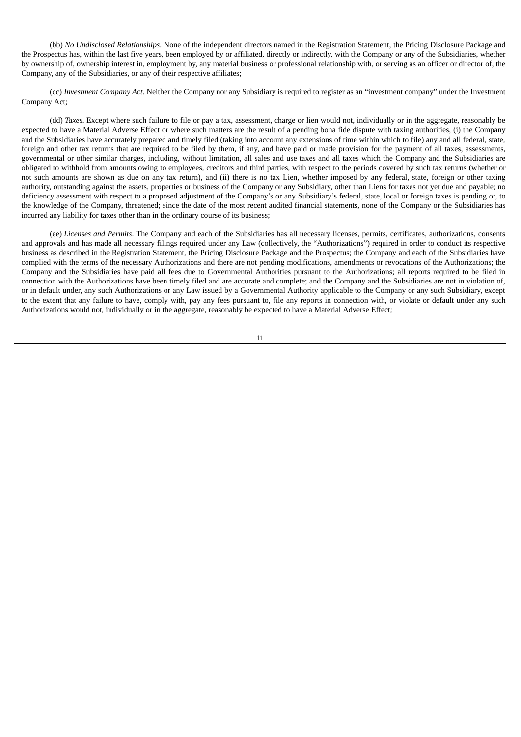(bb) *No Undisclosed Relationships*. None of the independent directors named in the Registration Statement, the Pricing Disclosure Package and the Prospectus has, within the last five years, been employed by or affiliated, directly or indirectly, with the Company or any of the Subsidiaries, whether by ownership of, ownership interest in, employment by, any material business or professional relationship with, or serving as an officer or director of, the Company, any of the Subsidiaries, or any of their respective affiliates;

(cc) *Investment Company Act.* Neither the Company nor any Subsidiary is required to register as an "investment company" under the Investment Company Act;

(dd) *Taxes*. Except where such failure to file or pay a tax, assessment, charge or lien would not, individually or in the aggregate, reasonably be expected to have a Material Adverse Effect or where such matters are the result of a pending bona fide dispute with taxing authorities, (i) the Company and the Subsidiaries have accurately prepared and timely filed (taking into account any extensions of time within which to file) any and all federal, state, foreign and other tax returns that are required to be filed by them, if any, and have paid or made provision for the payment of all taxes, assessments, governmental or other similar charges, including, without limitation, all sales and use taxes and all taxes which the Company and the Subsidiaries are obligated to withhold from amounts owing to employees, creditors and third parties, with respect to the periods covered by such tax returns (whether or not such amounts are shown as due on any tax return), and (ii) there is no tax Lien, whether imposed by any federal, state, foreign or other taxing authority, outstanding against the assets, properties or business of the Company or any Subsidiary, other than Liens for taxes not yet due and payable; no deficiency assessment with respect to a proposed adjustment of the Company's or any Subsidiary's federal, state, local or foreign taxes is pending or, to the knowledge of the Company, threatened; since the date of the most recent audited financial statements, none of the Company or the Subsidiaries has incurred any liability for taxes other than in the ordinary course of its business;

(ee) *Licenses and Permits*. The Company and each of the Subsidiaries has all necessary licenses, permits, certificates, authorizations, consents and approvals and has made all necessary filings required under any Law (collectively, the "Authorizations") required in order to conduct its respective business as described in the Registration Statement, the Pricing Disclosure Package and the Prospectus; the Company and each of the Subsidiaries have complied with the terms of the necessary Authorizations and there are not pending modifications, amendments or revocations of the Authorizations; the Company and the Subsidiaries have paid all fees due to Governmental Authorities pursuant to the Authorizations; all reports required to be filed in connection with the Authorizations have been timely filed and are accurate and complete; and the Company and the Subsidiaries are not in violation of, or in default under, any such Authorizations or any Law issued by a Governmental Authority applicable to the Company or any such Subsidiary, except to the extent that any failure to have, comply with, pay any fees pursuant to, file any reports in connection with, or violate or default under any such Authorizations would not, individually or in the aggregate, reasonably be expected to have a Material Adverse Effect;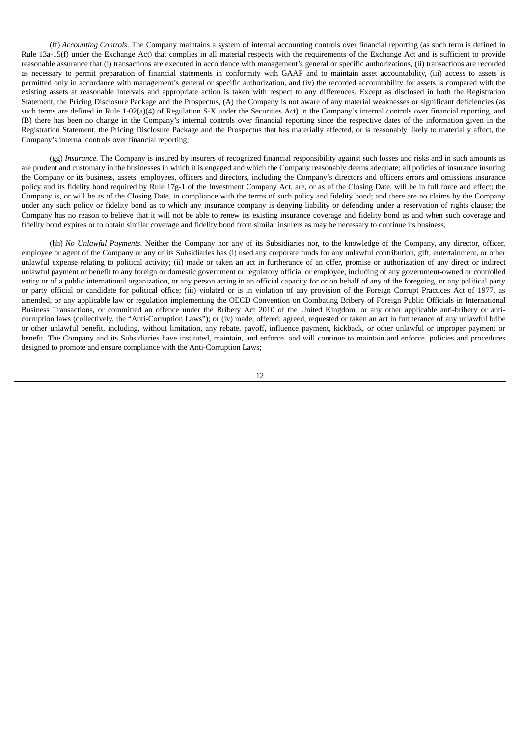(ff) *Accounting Controls*. The Company maintains a system of internal accounting controls over financial reporting (as such term is defined in Rule 13a-15(f) under the Exchange Act) that complies in all material respects with the requirements of the Exchange Act and is sufficient to provide reasonable assurance that (i) transactions are executed in accordance with management's general or specific authorizations, (ii) transactions are recorded as necessary to permit preparation of financial statements in conformity with GAAP and to maintain asset accountability, (iii) access to assets is permitted only in accordance with management's general or specific authorization, and (iv) the recorded accountability for assets is compared with the existing assets at reasonable intervals and appropriate action is taken with respect to any differences. Except as disclosed in both the Registration Statement, the Pricing Disclosure Package and the Prospectus, (A) the Company is not aware of any material weaknesses or significant deficiencies (as such terms are defined in Rule 1-02(a)(4) of Regulation S-X under the Securities Act) in the Company's internal controls over financial reporting, and (B) there has been no change in the Company's internal controls over financial reporting since the respective dates of the information given in the Registration Statement, the Pricing Disclosure Package and the Prospectus that has materially affected, or is reasonably likely to materially affect, the Company's internal controls over financial reporting;

(gg) *Insurance.* The Company is insured by insurers of recognized financial responsibility against such losses and risks and in such amounts as are prudent and customary in the businesses in which it is engaged and which the Company reasonably deems adequate; all policies of insurance insuring the Company or its business, assets, employees, officers and directors, including the Company's directors and officers errors and omissions insurance policy and its fidelity bond required by Rule 17g-1 of the Investment Company Act, are, or as of the Closing Date, will be in full force and effect; the Company is, or will be as of the Closing Date, in compliance with the terms of such policy and fidelity bond; and there are no claims by the Company under any such policy or fidelity bond as to which any insurance company is denying liability or defending under a reservation of rights clause; the Company has no reason to believe that it will not be able to renew its existing insurance coverage and fidelity bond as and when such coverage and fidelity bond expires or to obtain similar coverage and fidelity bond from similar insurers as may be necessary to continue its business;

(hh) *No Unlawful Payments*. Neither the Company nor any of its Subsidiaries nor, to the knowledge of the Company, any director, officer, employee or agent of the Company or any of its Subsidiaries has (i) used any corporate funds for any unlawful contribution, gift, entertainment, or other unlawful expense relating to political activity; (ii) made or taken an act in furtherance of an offer, promise or authorization of any direct or indirect unlawful payment or benefit to any foreign or domestic government or regulatory official or employee, including of any government-owned or controlled entity or of a public international organization, or any person acting in an official capacity for or on behalf of any of the foregoing, or any political party or party official or candidate for political office; (iii) violated or is in violation of any provision of the Foreign Corrupt Practices Act of 1977, as amended, or any applicable law or regulation implementing the OECD Convention on Combating Bribery of Foreign Public Officials in International Business Transactions, or committed an offence under the Bribery Act 2010 of the United Kingdom, or any other applicable anti-bribery or anticorruption laws (collectively, the "Anti-Corruption Laws"); or (iv) made, offered, agreed, requested or taken an act in furtherance of any unlawful bribe or other unlawful benefit, including, without limitation, any rebate, payoff, influence payment, kickback, or other unlawful or improper payment or benefit. The Company and its Subsidiaries have instituted, maintain, and enforce, and will continue to maintain and enforce, policies and procedures designed to promote and ensure compliance with the Anti-Corruption Laws;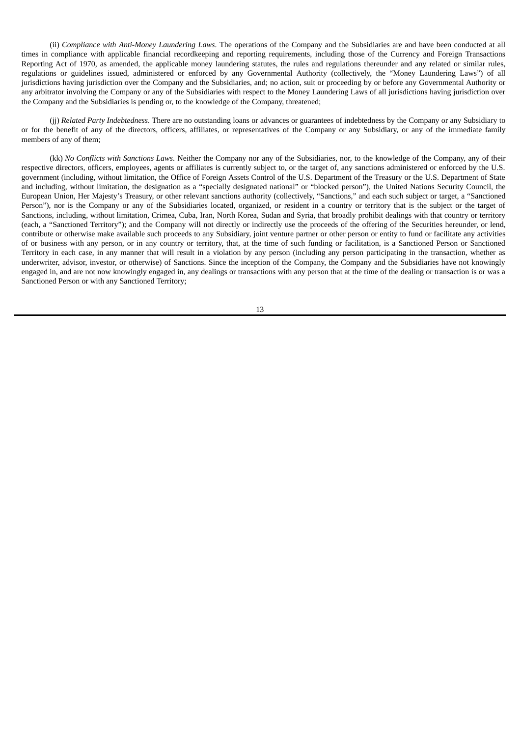(ii) *Compliance with Anti-Money Laundering Laws*. The operations of the Company and the Subsidiaries are and have been conducted at all times in compliance with applicable financial recordkeeping and reporting requirements, including those of the Currency and Foreign Transactions Reporting Act of 1970, as amended, the applicable money laundering statutes, the rules and regulations thereunder and any related or similar rules, regulations or guidelines issued, administered or enforced by any Governmental Authority (collectively, the "Money Laundering Laws") of all jurisdictions having jurisdiction over the Company and the Subsidiaries, and; no action, suit or proceeding by or before any Governmental Authority or any arbitrator involving the Company or any of the Subsidiaries with respect to the Money Laundering Laws of all jurisdictions having jurisdiction over the Company and the Subsidiaries is pending or, to the knowledge of the Company, threatened;

(jj) *Related Party Indebtedness*. There are no outstanding loans or advances or guarantees of indebtedness by the Company or any Subsidiary to or for the benefit of any of the directors, officers, affiliates, or representatives of the Company or any Subsidiary, or any of the immediate family members of any of them;

(kk) *No Conflicts with Sanctions Laws*. Neither the Company nor any of the Subsidiaries, nor, to the knowledge of the Company, any of their respective directors, officers, employees, agents or affiliates is currently subject to, or the target of, any sanctions administered or enforced by the U.S. government (including, without limitation, the Office of Foreign Assets Control of the U.S. Department of the Treasury or the U.S. Department of State and including, without limitation, the designation as a "specially designated national" or "blocked person"), the United Nations Security Council, the European Union, Her Majesty's Treasury, or other relevant sanctions authority (collectively, "Sanctions," and each such subject or target, a "Sanctioned Person"), nor is the Company or any of the Subsidiaries located, organized, or resident in a country or territory that is the subject or the target of Sanctions, including, without limitation, Crimea, Cuba, Iran, North Korea, Sudan and Syria, that broadly prohibit dealings with that country or territory (each, a "Sanctioned Territory"); and the Company will not directly or indirectly use the proceeds of the offering of the Securities hereunder, or lend, contribute or otherwise make available such proceeds to any Subsidiary, joint venture partner or other person or entity to fund or facilitate any activities of or business with any person, or in any country or territory, that, at the time of such funding or facilitation, is a Sanctioned Person or Sanctioned Territory in each case, in any manner that will result in a violation by any person (including any person participating in the transaction, whether as underwriter, advisor, investor, or otherwise) of Sanctions. Since the inception of the Company, the Company and the Subsidiaries have not knowingly engaged in, and are not now knowingly engaged in, any dealings or transactions with any person that at the time of the dealing or transaction is or was a Sanctioned Person or with any Sanctioned Territory;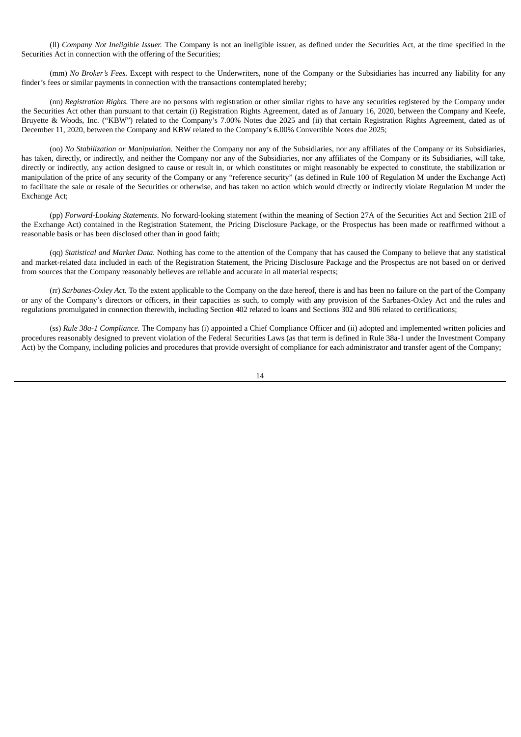(ll) *Company Not Ineligible Issuer.* The Company is not an ineligible issuer, as defined under the Securities Act, at the time specified in the Securities Act in connection with the offering of the Securities:

(mm) *No Broker's Fees.* Except with respect to the Underwriters, none of the Company or the Subsidiaries has incurred any liability for any finder's fees or similar payments in connection with the transactions contemplated hereby;

(nn) *Registration Rights.* There are no persons with registration or other similar rights to have any securities registered by the Company under the Securities Act other than pursuant to that certain (i) Registration Rights Agreement, dated as of January 16, 2020, between the Company and Keefe, Bruyette & Woods, Inc. ("KBW") related to the Company's 7.00% Notes due 2025 and (ii) that certain Registration Rights Agreement, dated as of December 11, 2020, between the Company and KBW related to the Company's 6.00% Convertible Notes due 2025;

(oo) *No Stabilization or Manipulation*. Neither the Company nor any of the Subsidiaries, nor any affiliates of the Company or its Subsidiaries, has taken, directly, or indirectly, and neither the Company nor any of the Subsidiaries, nor any affiliates of the Company or its Subsidiaries, will take, directly or indirectly, any action designed to cause or result in, or which constitutes or might reasonably be expected to constitute, the stabilization or manipulation of the price of any security of the Company or any "reference security" (as defined in Rule 100 of Regulation M under the Exchange Act) to facilitate the sale or resale of the Securities or otherwise, and has taken no action which would directly or indirectly violate Regulation M under the Exchange Act;

(pp) *Forward-Looking Statements*. No forward-looking statement (within the meaning of Section 27A of the Securities Act and Section 21E of the Exchange Act) contained in the Registration Statement, the Pricing Disclosure Package, or the Prospectus has been made or reaffirmed without a reasonable basis or has been disclosed other than in good faith;

(qq) *Statistical and Market Data.* Nothing has come to the attention of the Company that has caused the Company to believe that any statistical and market-related data included in each of the Registration Statement, the Pricing Disclosure Package and the Prospectus are not based on or derived from sources that the Company reasonably believes are reliable and accurate in all material respects;

(rr) *Sarbanes-Oxley Act.* To the extent applicable to the Company on the date hereof, there is and has been no failure on the part of the Company or any of the Company's directors or officers, in their capacities as such, to comply with any provision of the Sarbanes-Oxley Act and the rules and regulations promulgated in connection therewith, including Section 402 related to loans and Sections 302 and 906 related to certifications;

(ss) *Rule 38a-1 Compliance.* The Company has (i) appointed a Chief Compliance Officer and (ii) adopted and implemented written policies and procedures reasonably designed to prevent violation of the Federal Securities Laws (as that term is defined in Rule 38a-1 under the Investment Company Act) by the Company, including policies and procedures that provide oversight of compliance for each administrator and transfer agent of the Company;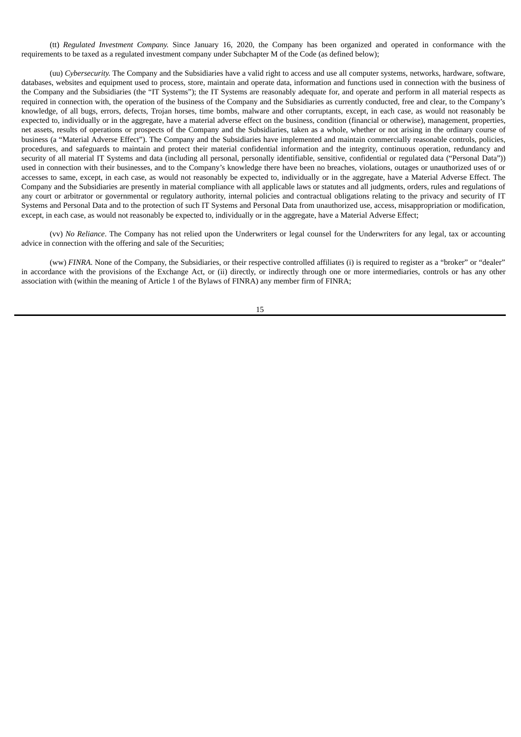(tt) *Regulated Investment Company.* Since January 16, 2020, the Company has been organized and operated in conformance with the requirements to be taxed as a regulated investment company under Subchapter M of the Code (as defined below);

(uu) *Cybersecurity.* The Company and the Subsidiaries have a valid right to access and use all computer systems, networks, hardware, software, databases, websites and equipment used to process, store, maintain and operate data, information and functions used in connection with the business of the Company and the Subsidiaries (the "IT Systems"); the IT Systems are reasonably adequate for, and operate and perform in all material respects as required in connection with, the operation of the business of the Company and the Subsidiaries as currently conducted, free and clear, to the Company's knowledge, of all bugs, errors, defects, Trojan horses, time bombs, malware and other corruptants, except, in each case, as would not reasonably be expected to, individually or in the aggregate, have a material adverse effect on the business, condition (financial or otherwise), management, properties, net assets, results of operations or prospects of the Company and the Subsidiaries, taken as a whole, whether or not arising in the ordinary course of business (a "Material Adverse Effect"). The Company and the Subsidiaries have implemented and maintain commercially reasonable controls, policies, procedures, and safeguards to maintain and protect their material confidential information and the integrity, continuous operation, redundancy and security of all material IT Systems and data (including all personal, personally identifiable, sensitive, confidential or regulated data ("Personal Data")) used in connection with their businesses, and to the Company's knowledge there have been no breaches, violations, outages or unauthorized uses of or accesses to same, except, in each case, as would not reasonably be expected to, individually or in the aggregate, have a Material Adverse Effect. The Company and the Subsidiaries are presently in material compliance with all applicable laws or statutes and all judgments, orders, rules and regulations of any court or arbitrator or governmental or regulatory authority, internal policies and contractual obligations relating to the privacy and security of IT Systems and Personal Data and to the protection of such IT Systems and Personal Data from unauthorized use, access, misappropriation or modification, except, in each case, as would not reasonably be expected to, individually or in the aggregate, have a Material Adverse Effect;

(vv) *No Reliance*. The Company has not relied upon the Underwriters or legal counsel for the Underwriters for any legal, tax or accounting advice in connection with the offering and sale of the Securities;

(ww) *FINRA*. None of the Company, the Subsidiaries, or their respective controlled affiliates (i) is required to register as a "broker" or "dealer" in accordance with the provisions of the Exchange Act, or (ii) directly, or indirectly through one or more intermediaries, controls or has any other association with (within the meaning of Article 1 of the Bylaws of FINRA) any member firm of FINRA;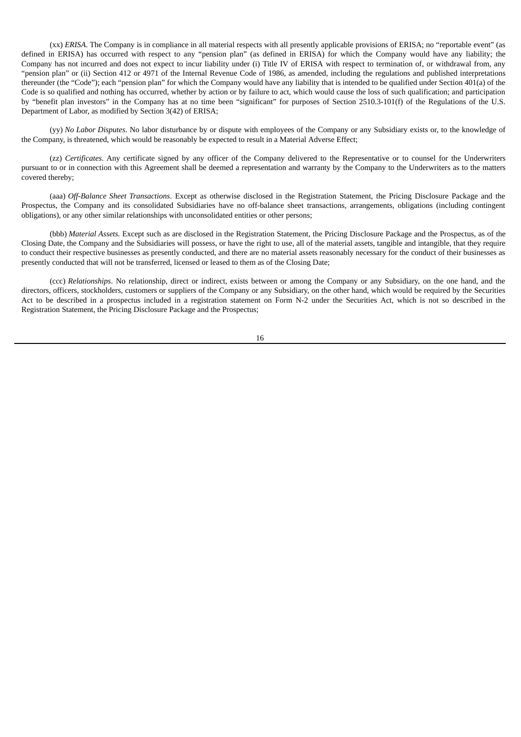(xx) *ERISA*. The Company is in compliance in all material respects with all presently applicable provisions of ERISA; no "reportable event" (as defined in ERISA) has occurred with respect to any "pension plan" (as defined in ERISA) for which the Company would have any liability; the Company has not incurred and does not expect to incur liability under (i) Title IV of ERISA with respect to termination of, or withdrawal from, any "pension plan" or (ii) Section 412 or 4971 of the Internal Revenue Code of 1986, as amended, including the regulations and published interpretations thereunder (the "Code"); each "pension plan" for which the Company would have any liability that is intended to be qualified under Section 401(a) of the Code is so qualified and nothing has occurred, whether by action or by failure to act, which would cause the loss of such qualification; and participation by "benefit plan investors" in the Company has at no time been "significant" for purposes of Section 2510.3-101(f) of the Regulations of the U.S. Department of Labor, as modified by Section 3(42) of ERISA;

(yy) *No Labor Disputes*. No labor disturbance by or dispute with employees of the Company or any Subsidiary exists or, to the knowledge of the Company, is threatened, which would be reasonably be expected to result in a Material Adverse Effect;

(zz) *Certificates*. Any certificate signed by any officer of the Company delivered to the Representative or to counsel for the Underwriters pursuant to or in connection with this Agreement shall be deemed a representation and warranty by the Company to the Underwriters as to the matters covered thereby;

(aaa) *Off-Balance Sheet Transactions*. Except as otherwise disclosed in the Registration Statement, the Pricing Disclosure Package and the Prospectus, the Company and its consolidated Subsidiaries have no off-balance sheet transactions, arrangements, obligations (including contingent obligations), or any other similar relationships with unconsolidated entities or other persons;

(bbb) *Material Assets.* Except such as are disclosed in the Registration Statement, the Pricing Disclosure Package and the Prospectus, as of the Closing Date, the Company and the Subsidiaries will possess, or have the right to use, all of the material assets, tangible and intangible, that they require to conduct their respective businesses as presently conducted, and there are no material assets reasonably necessary for the conduct of their businesses as presently conducted that will not be transferred, licensed or leased to them as of the Closing Date;

(ccc) *Relationships*. No relationship, direct or indirect, exists between or among the Company or any Subsidiary, on the one hand, and the directors, officers, stockholders, customers or suppliers of the Company or any Subsidiary, on the other hand, which would be required by the Securities Act to be described in a prospectus included in a registration statement on Form N-2 under the Securities Act, which is not so described in the Registration Statement, the Pricing Disclosure Package and the Prospectus;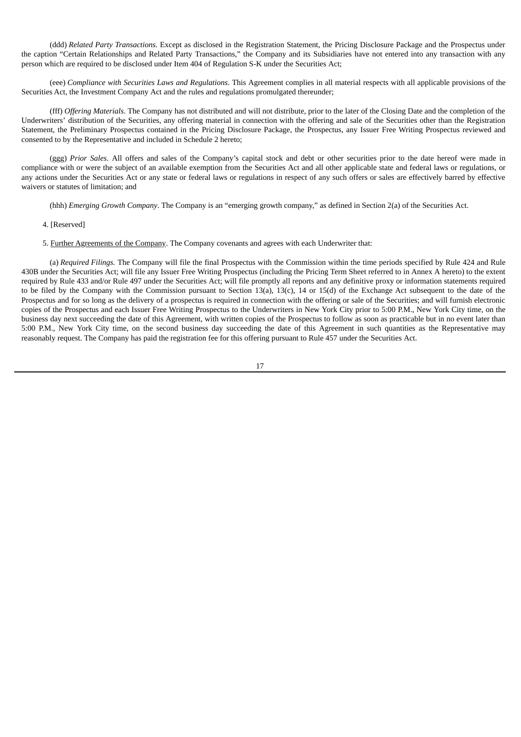(ddd) *Related Party Transactions.* Except as disclosed in the Registration Statement, the Pricing Disclosure Package and the Prospectus under the caption "Certain Relationships and Related Party Transactions," the Company and its Subsidiaries have not entered into any transaction with any person which are required to be disclosed under Item 404 of Regulation S-K under the Securities Act;

(eee) *Compliance with Securities Laws and Regulations*. This Agreement complies in all material respects with all applicable provisions of the Securities Act, the Investment Company Act and the rules and regulations promulgated thereunder;

(fff) *Offering Materials*. The Company has not distributed and will not distribute, prior to the later of the Closing Date and the completion of the Underwriters' distribution of the Securities, any offering material in connection with the offering and sale of the Securities other than the Registration Statement, the Preliminary Prospectus contained in the Pricing Disclosure Package, the Prospectus, any Issuer Free Writing Prospectus reviewed and consented to by the Representative and included in Schedule 2 hereto;

(ggg) *Prior Sales*. All offers and sales of the Company's capital stock and debt or other securities prior to the date hereof were made in compliance with or were the subject of an available exemption from the Securities Act and all other applicable state and federal laws or regulations, or any actions under the Securities Act or any state or federal laws or regulations in respect of any such offers or sales are effectively barred by effective waivers or statutes of limitation; and

(hhh) *Emerging Growth Company*. The Company is an "emerging growth company," as defined in Section 2(a) of the Securities Act.

4. [Reserved]

5. Further Agreements of the Company. The Company covenants and agrees with each Underwriter that:

(a) *Required Filings.* The Company will file the final Prospectus with the Commission within the time periods specified by Rule 424 and Rule 430B under the Securities Act; will file any Issuer Free Writing Prospectus (including the Pricing Term Sheet referred to in Annex A hereto) to the extent required by Rule 433 and/or Rule 497 under the Securities Act; will file promptly all reports and any definitive proxy or information statements required to be filed by the Company with the Commission pursuant to Section 13(a), 13(c), 14 or 15(d) of the Exchange Act subsequent to the date of the Prospectus and for so long as the delivery of a prospectus is required in connection with the offering or sale of the Securities; and will furnish electronic copies of the Prospectus and each Issuer Free Writing Prospectus to the Underwriters in New York City prior to 5:00 P.M., New York City time, on the business day next succeeding the date of this Agreement, with written copies of the Prospectus to follow as soon as practicable but in no event later than 5:00 P.M., New York City time, on the second business day succeeding the date of this Agreement in such quantities as the Representative may reasonably request. The Company has paid the registration fee for this offering pursuant to Rule 457 under the Securities Act.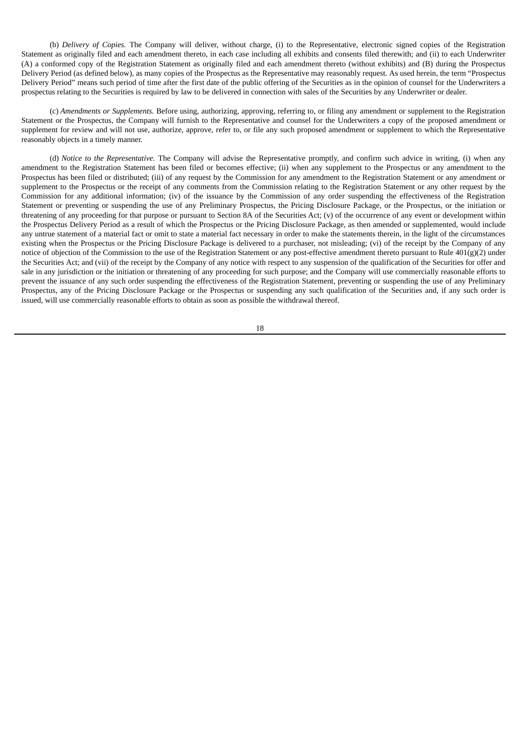(b) *Delivery of Copies.* The Company will deliver, without charge, (i) to the Representative, electronic signed copies of the Registration Statement as originally filed and each amendment thereto, in each case including all exhibits and consents filed therewith; and (ii) to each Underwriter (A) a conformed copy of the Registration Statement as originally filed and each amendment thereto (without exhibits) and (B) during the Prospectus Delivery Period (as defined below), as many copies of the Prospectus as the Representative may reasonably request. As used herein, the term "Prospectus Delivery Period" means such period of time after the first date of the public offering of the Securities as in the opinion of counsel for the Underwriters a prospectus relating to the Securities is required by law to be delivered in connection with sales of the Securities by any Underwriter or dealer.

(c) *Amendments or Supplements.* Before using, authorizing, approving, referring to, or filing any amendment or supplement to the Registration Statement or the Prospectus, the Company will furnish to the Representative and counsel for the Underwriters a copy of the proposed amendment or supplement for review and will not use, authorize, approve, refer to, or file any such proposed amendment or supplement to which the Representative reasonably objects in a timely manner.

(d) *Notice to the Representative.* The Company will advise the Representative promptly, and confirm such advice in writing, (i) when any amendment to the Registration Statement has been filed or becomes effective; (ii) when any supplement to the Prospectus or any amendment to the Prospectus has been filed or distributed; (iii) of any request by the Commission for any amendment to the Registration Statement or any amendment or supplement to the Prospectus or the receipt of any comments from the Commission relating to the Registration Statement or any other request by the Commission for any additional information; (iv) of the issuance by the Commission of any order suspending the effectiveness of the Registration Statement or preventing or suspending the use of any Preliminary Prospectus, the Pricing Disclosure Package, or the Prospectus, or the initiation or threatening of any proceeding for that purpose or pursuant to Section 8A of the Securities Act; (v) of the occurrence of any event or development within the Prospectus Delivery Period as a result of which the Prospectus or the Pricing Disclosure Package, as then amended or supplemented, would include any untrue statement of a material fact or omit to state a material fact necessary in order to make the statements therein, in the light of the circumstances existing when the Prospectus or the Pricing Disclosure Package is delivered to a purchaser, not misleading; (vi) of the receipt by the Company of any notice of objection of the Commission to the use of the Registration Statement or any post-effective amendment thereto pursuant to Rule 401(g)(2) under the Securities Act; and (vii) of the receipt by the Company of any notice with respect to any suspension of the qualification of the Securities for offer and sale in any jurisdiction or the initiation or threatening of any proceeding for such purpose; and the Company will use commercially reasonable efforts to prevent the issuance of any such order suspending the effectiveness of the Registration Statement, preventing or suspending the use of any Preliminary Prospectus, any of the Pricing Disclosure Package or the Prospectus or suspending any such qualification of the Securities and, if any such order is issued, will use commercially reasonable efforts to obtain as soon as possible the withdrawal thereof.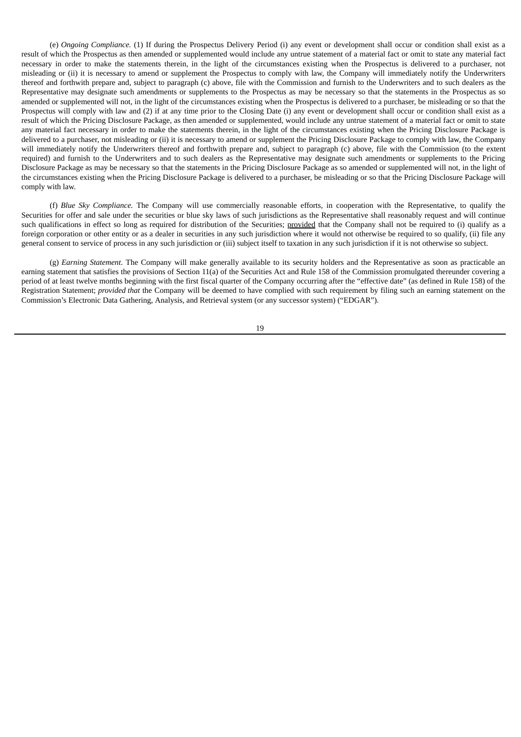(e) *Ongoing Compliance.* (1) If during the Prospectus Delivery Period (i) any event or development shall occur or condition shall exist as a result of which the Prospectus as then amended or supplemented would include any untrue statement of a material fact or omit to state any material fact necessary in order to make the statements therein, in the light of the circumstances existing when the Prospectus is delivered to a purchaser, not misleading or (ii) it is necessary to amend or supplement the Prospectus to comply with law, the Company will immediately notify the Underwriters thereof and forthwith prepare and, subject to paragraph (c) above, file with the Commission and furnish to the Underwriters and to such dealers as the Representative may designate such amendments or supplements to the Prospectus as may be necessary so that the statements in the Prospectus as so amended or supplemented will not, in the light of the circumstances existing when the Prospectus is delivered to a purchaser, be misleading or so that the Prospectus will comply with law and (2) if at any time prior to the Closing Date (i) any event or development shall occur or condition shall exist as a result of which the Pricing Disclosure Package, as then amended or supplemented, would include any untrue statement of a material fact or omit to state any material fact necessary in order to make the statements therein, in the light of the circumstances existing when the Pricing Disclosure Package is delivered to a purchaser, not misleading or (ii) it is necessary to amend or supplement the Pricing Disclosure Package to comply with law, the Company will immediately notify the Underwriters thereof and forthwith prepare and, subject to paragraph (c) above, file with the Commission (to the extent required) and furnish to the Underwriters and to such dealers as the Representative may designate such amendments or supplements to the Pricing Disclosure Package as may be necessary so that the statements in the Pricing Disclosure Package as so amended or supplemented will not, in the light of the circumstances existing when the Pricing Disclosure Package is delivered to a purchaser, be misleading or so that the Pricing Disclosure Package will comply with law.

(f) *Blue Sky Compliance.* The Company will use commercially reasonable efforts, in cooperation with the Representative, to qualify the Securities for offer and sale under the securities or blue sky laws of such jurisdictions as the Representative shall reasonably request and will continue such qualifications in effect so long as required for distribution of the Securities; provided that the Company shall not be required to (i) qualify as a foreign corporation or other entity or as a dealer in securities in any such jurisdiction where it would not otherwise be required to so qualify, (ii) file any general consent to service of process in any such jurisdiction or (iii) subject itself to taxation in any such jurisdiction if it is not otherwise so subject.

(g) *Earning Statement*. The Company will make generally available to its security holders and the Representative as soon as practicable an earning statement that satisfies the provisions of Section 11(a) of the Securities Act and Rule 158 of the Commission promulgated thereunder covering a period of at least twelve months beginning with the first fiscal quarter of the Company occurring after the "effective date" (as defined in Rule 158) of the Registration Statement; *provided that* the Company will be deemed to have complied with such requirement by filing such an earning statement on the Commission's Electronic Data Gathering, Analysis, and Retrieval system (or any successor system) ("EDGAR").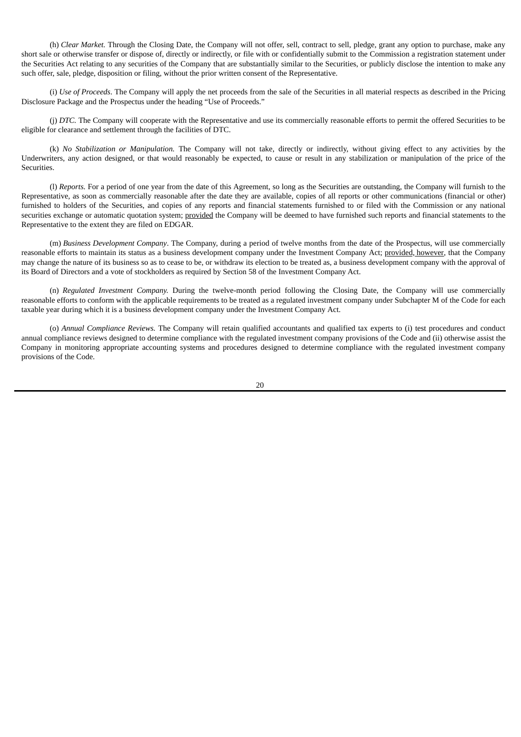(h) *Clear Market.* Through the Closing Date, the Company will not offer, sell, contract to sell, pledge, grant any option to purchase, make any short sale or otherwise transfer or dispose of, directly or indirectly, or file with or confidentially submit to the Commission a registration statement under the Securities Act relating to any securities of the Company that are substantially similar to the Securities, or publicly disclose the intention to make any such offer, sale, pledge, disposition or filing, without the prior written consent of the Representative.

(i) *Use of Proceeds*. The Company will apply the net proceeds from the sale of the Securities in all material respects as described in the Pricing Disclosure Package and the Prospectus under the heading "Use of Proceeds."

(j) *DTC.* The Company will cooperate with the Representative and use its commercially reasonable efforts to permit the offered Securities to be eligible for clearance and settlement through the facilities of DTC.

(k) *No Stabilization or Manipulation.* The Company will not take, directly or indirectly, without giving effect to any activities by the Underwriters, any action designed, or that would reasonably be expected, to cause or result in any stabilization or manipulation of the price of the Securities.

(l) *Reports.* For a period of one year from the date of this Agreement, so long as the Securities are outstanding, the Company will furnish to the Representative, as soon as commercially reasonable after the date they are available, copies of all reports or other communications (financial or other) furnished to holders of the Securities, and copies of any reports and financial statements furnished to or filed with the Commission or any national securities exchange or automatic quotation system; provided the Company will be deemed to have furnished such reports and financial statements to the Representative to the extent they are filed on EDGAR.

(m) *Business Development Company*. The Company, during a period of twelve months from the date of the Prospectus, will use commercially reasonable efforts to maintain its status as a business development company under the Investment Company Act; provided, however, that the Company may change the nature of its business so as to cease to be, or withdraw its election to be treated as, a business development company with the approval of its Board of Directors and a vote of stockholders as required by Section 58 of the Investment Company Act.

(n) *Regulated Investment Company.* During the twelve-month period following the Closing Date, the Company will use commercially reasonable efforts to conform with the applicable requirements to be treated as a regulated investment company under Subchapter M of the Code for each taxable year during which it is a business development company under the Investment Company Act.

(o) *Annual Compliance Reviews.* The Company will retain qualified accountants and qualified tax experts to (i) test procedures and conduct annual compliance reviews designed to determine compliance with the regulated investment company provisions of the Code and (ii) otherwise assist the Company in monitoring appropriate accounting systems and procedures designed to determine compliance with the regulated investment company provisions of the Code.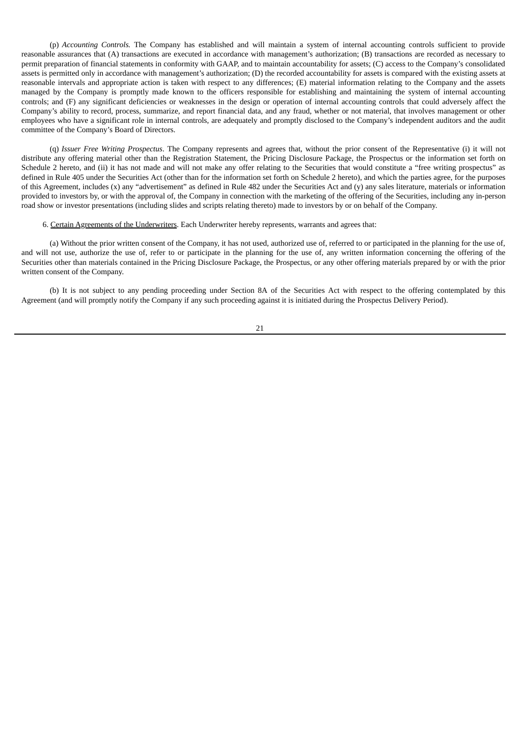(p) *Accounting Controls.* The Company has established and will maintain a system of internal accounting controls sufficient to provide reasonable assurances that (A) transactions are executed in accordance with management's authorization; (B) transactions are recorded as necessary to permit preparation of financial statements in conformity with GAAP, and to maintain accountability for assets; (C) access to the Company's consolidated assets is permitted only in accordance with management's authorization; (D) the recorded accountability for assets is compared with the existing assets at reasonable intervals and appropriate action is taken with respect to any differences; (E) material information relating to the Company and the assets managed by the Company is promptly made known to the officers responsible for establishing and maintaining the system of internal accounting controls; and (F) any significant deficiencies or weaknesses in the design or operation of internal accounting controls that could adversely affect the Company's ability to record, process, summarize, and report financial data, and any fraud, whether or not material, that involves management or other employees who have a significant role in internal controls, are adequately and promptly disclosed to the Company's independent auditors and the audit committee of the Company's Board of Directors.

(q) *Issuer Free Writing Prospectus*. The Company represents and agrees that, without the prior consent of the Representative (i) it will not distribute any offering material other than the Registration Statement, the Pricing Disclosure Package, the Prospectus or the information set forth on Schedule 2 hereto, and (ii) it has not made and will not make any offer relating to the Securities that would constitute a "free writing prospectus" as defined in Rule 405 under the Securities Act (other than for the information set forth on Schedule 2 hereto), and which the parties agree, for the purposes of this Agreement, includes (x) any "advertisement" as defined in Rule 482 under the Securities Act and (y) any sales literature, materials or information provided to investors by, or with the approval of, the Company in connection with the marketing of the offering of the Securities, including any in-person road show or investor presentations (including slides and scripts relating thereto) made to investors by or on behalf of the Company.

6. Certain Agreements of the Underwriters. Each Underwriter hereby represents, warrants and agrees that:

(a) Without the prior written consent of the Company, it has not used, authorized use of, referred to or participated in the planning for the use of, and will not use, authorize the use of, refer to or participate in the planning for the use of, any written information concerning the offering of the Securities other than materials contained in the Pricing Disclosure Package, the Prospectus, or any other offering materials prepared by or with the prior written consent of the Company.

(b) It is not subject to any pending proceeding under Section 8A of the Securities Act with respect to the offering contemplated by this Agreement (and will promptly notify the Company if any such proceeding against it is initiated during the Prospectus Delivery Period).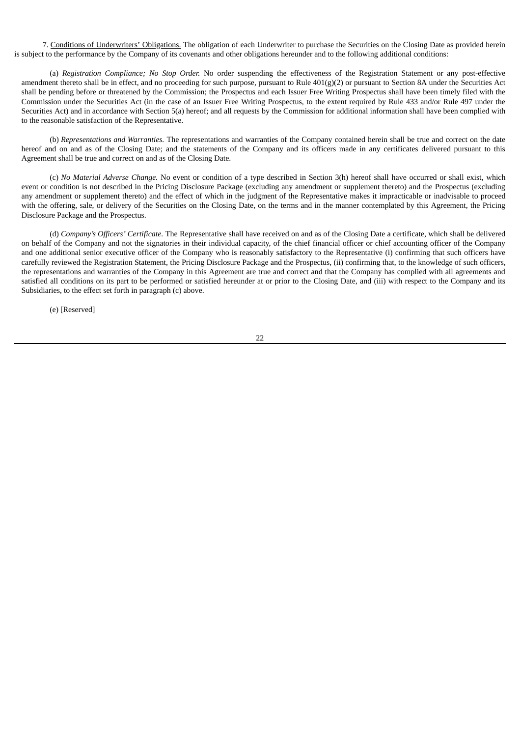7. Conditions of Underwriters' Obligations. The obligation of each Underwriter to purchase the Securities on the Closing Date as provided herein is subject to the performance by the Company of its covenants and other obligations hereunder and to the following additional conditions:

(a) *Registration Compliance; No Stop Order.* No order suspending the effectiveness of the Registration Statement or any post-effective amendment thereto shall be in effect, and no proceeding for such purpose, pursuant to Rule  $401(g)(2)$  or pursuant to Section 8A under the Securities Act shall be pending before or threatened by the Commission; the Prospectus and each Issuer Free Writing Prospectus shall have been timely filed with the Commission under the Securities Act (in the case of an Issuer Free Writing Prospectus, to the extent required by Rule 433 and/or Rule 497 under the Securities Act) and in accordance with Section 5(a) hereof; and all requests by the Commission for additional information shall have been complied with to the reasonable satisfaction of the Representative.

(b) *Representations and Warranties.* The representations and warranties of the Company contained herein shall be true and correct on the date hereof and on and as of the Closing Date; and the statements of the Company and its officers made in any certificates delivered pursuant to this Agreement shall be true and correct on and as of the Closing Date.

(c) *No Material Adverse Change.* No event or condition of a type described in Section 3(h) hereof shall have occurred or shall exist, which event or condition is not described in the Pricing Disclosure Package (excluding any amendment or supplement thereto) and the Prospectus (excluding any amendment or supplement thereto) and the effect of which in the judgment of the Representative makes it impracticable or inadvisable to proceed with the offering, sale, or delivery of the Securities on the Closing Date, on the terms and in the manner contemplated by this Agreement, the Pricing Disclosure Package and the Prospectus.

(d) *Company's Officers' Certificate.* The Representative shall have received on and as of the Closing Date a certificate, which shall be delivered on behalf of the Company and not the signatories in their individual capacity, of the chief financial officer or chief accounting officer of the Company and one additional senior executive officer of the Company who is reasonably satisfactory to the Representative (i) confirming that such officers have carefully reviewed the Registration Statement, the Pricing Disclosure Package and the Prospectus, (ii) confirming that, to the knowledge of such officers, the representations and warranties of the Company in this Agreement are true and correct and that the Company has complied with all agreements and satisfied all conditions on its part to be performed or satisfied hereunder at or prior to the Closing Date, and (iii) with respect to the Company and its Subsidiaries, to the effect set forth in paragraph (c) above.

(e) [Reserved]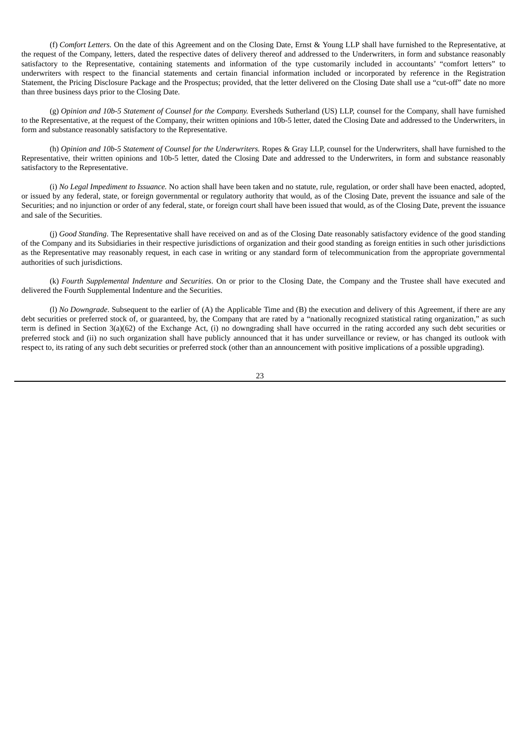(f) *Comfort Letters.* On the date of this Agreement and on the Closing Date, Ernst & Young LLP shall have furnished to the Representative, at the request of the Company, letters, dated the respective dates of delivery thereof and addressed to the Underwriters, in form and substance reasonably satisfactory to the Representative, containing statements and information of the type customarily included in accountants' "comfort letters" to underwriters with respect to the financial statements and certain financial information included or incorporated by reference in the Registration Statement, the Pricing Disclosure Package and the Prospectus; provided, that the letter delivered on the Closing Date shall use a "cut-off" date no more than three business days prior to the Closing Date.

(g) *Opinion and 10b-5 Statement of Counsel for the Company.* Eversheds Sutherland (US) LLP, counsel for the Company, shall have furnished to the Representative, at the request of the Company, their written opinions and 10b-5 letter, dated the Closing Date and addressed to the Underwriters, in form and substance reasonably satisfactory to the Representative.

(h) *Opinion and 10b-5 Statement of Counsel for the Underwriters.* Ropes & Gray LLP, counsel for the Underwriters, shall have furnished to the Representative, their written opinions and 10b-5 letter, dated the Closing Date and addressed to the Underwriters, in form and substance reasonably satisfactory to the Representative.

(i) *No Legal Impediment to Issuance.* No action shall have been taken and no statute, rule, regulation, or order shall have been enacted, adopted, or issued by any federal, state, or foreign governmental or regulatory authority that would, as of the Closing Date, prevent the issuance and sale of the Securities; and no injunction or order of any federal, state, or foreign court shall have been issued that would, as of the Closing Date, prevent the issuance and sale of the Securities.

(j) *Good Standing*. The Representative shall have received on and as of the Closing Date reasonably satisfactory evidence of the good standing of the Company and its Subsidiaries in their respective jurisdictions of organization and their good standing as foreign entities in such other jurisdictions as the Representative may reasonably request, in each case in writing or any standard form of telecommunication from the appropriate governmental authorities of such jurisdictions.

(k) *Fourth Supplemental Indenture and Securities*. On or prior to the Closing Date, the Company and the Trustee shall have executed and delivered the Fourth Supplemental Indenture and the Securities.

(l) *No Downgrade*. Subsequent to the earlier of (A) the Applicable Time and (B) the execution and delivery of this Agreement, if there are any debt securities or preferred stock of, or guaranteed, by, the Company that are rated by a "nationally recognized statistical rating organization," as such term is defined in Section 3(a)(62) of the Exchange Act, (i) no downgrading shall have occurred in the rating accorded any such debt securities or preferred stock and (ii) no such organization shall have publicly announced that it has under surveillance or review, or has changed its outlook with respect to, its rating of any such debt securities or preferred stock (other than an announcement with positive implications of a possible upgrading).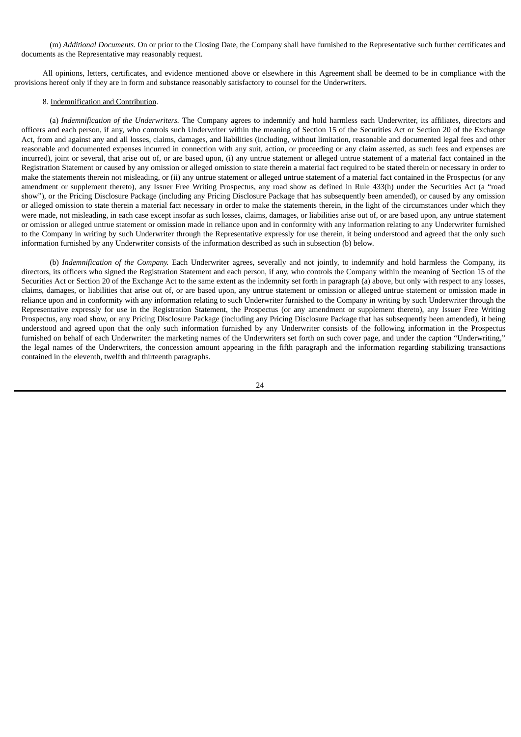(m) *Additional Documents.* On or prior to the Closing Date, the Company shall have furnished to the Representative such further certificates and documents as the Representative may reasonably request.

All opinions, letters, certificates, and evidence mentioned above or elsewhere in this Agreement shall be deemed to be in compliance with the provisions hereof only if they are in form and substance reasonably satisfactory to counsel for the Underwriters.

## 8. Indemnification and Contribution.

(a) *Indemnification of the Underwriters.* The Company agrees to indemnify and hold harmless each Underwriter, its affiliates, directors and officers and each person, if any, who controls such Underwriter within the meaning of Section 15 of the Securities Act or Section 20 of the Exchange Act, from and against any and all losses, claims, damages, and liabilities (including, without limitation, reasonable and documented legal fees and other reasonable and documented expenses incurred in connection with any suit, action, or proceeding or any claim asserted, as such fees and expenses are incurred), joint or several, that arise out of, or are based upon, (i) any untrue statement or alleged untrue statement of a material fact contained in the Registration Statement or caused by any omission or alleged omission to state therein a material fact required to be stated therein or necessary in order to make the statements therein not misleading, or (ii) any untrue statement or alleged untrue statement of a material fact contained in the Prospectus (or any amendment or supplement thereto), any Issuer Free Writing Prospectus, any road show as defined in Rule 433(h) under the Securities Act (a "road show"), or the Pricing Disclosure Package (including any Pricing Disclosure Package that has subsequently been amended), or caused by any omission or alleged omission to state therein a material fact necessary in order to make the statements therein, in the light of the circumstances under which they were made, not misleading, in each case except insofar as such losses, claims, damages, or liabilities arise out of, or are based upon, any untrue statement or omission or alleged untrue statement or omission made in reliance upon and in conformity with any information relating to any Underwriter furnished to the Company in writing by such Underwriter through the Representative expressly for use therein, it being understood and agreed that the only such information furnished by any Underwriter consists of the information described as such in subsection (b) below.

(b) *Indemnification of the Company.* Each Underwriter agrees, severally and not jointly, to indemnify and hold harmless the Company, its directors, its officers who signed the Registration Statement and each person, if any, who controls the Company within the meaning of Section 15 of the Securities Act or Section 20 of the Exchange Act to the same extent as the indemnity set forth in paragraph (a) above, but only with respect to any losses, claims, damages, or liabilities that arise out of, or are based upon, any untrue statement or omission or alleged untrue statement or omission made in reliance upon and in conformity with any information relating to such Underwriter furnished to the Company in writing by such Underwriter through the Representative expressly for use in the Registration Statement, the Prospectus (or any amendment or supplement thereto), any Issuer Free Writing Prospectus, any road show, or any Pricing Disclosure Package (including any Pricing Disclosure Package that has subsequently been amended), it being understood and agreed upon that the only such information furnished by any Underwriter consists of the following information in the Prospectus furnished on behalf of each Underwriter: the marketing names of the Underwriters set forth on such cover page, and under the caption "Underwriting," the legal names of the Underwriters, the concession amount appearing in the fifth paragraph and the information regarding stabilizing transactions contained in the eleventh, twelfth and thirteenth paragraphs.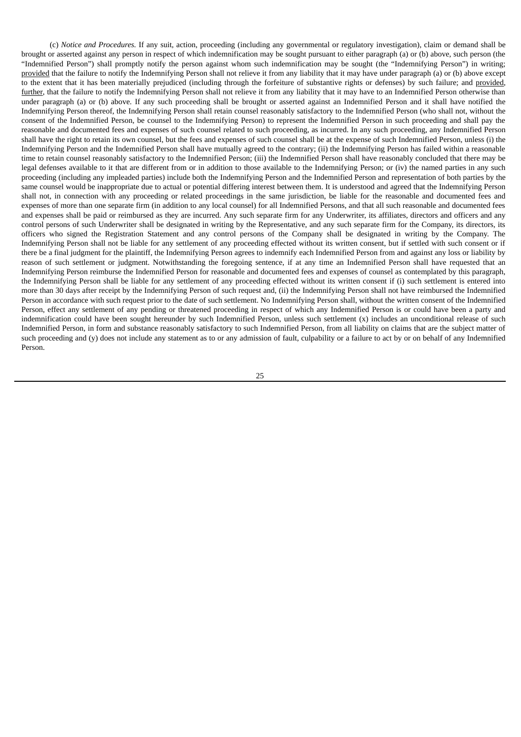(c) *Notice and Procedures.* If any suit, action, proceeding (including any governmental or regulatory investigation), claim or demand shall be brought or asserted against any person in respect of which indemnification may be sought pursuant to either paragraph (a) or (b) above, such person (the "Indemnified Person") shall promptly notify the person against whom such indemnification may be sought (the "Indemnifying Person") in writing; provided that the failure to notify the Indemnifying Person shall not relieve it from any liability that it may have under paragraph (a) or (b) above except to the extent that it has been materially prejudiced (including through the forfeiture of substantive rights or defenses) by such failure; and provided, further, that the failure to notify the Indemnifying Person shall not relieve it from any liability that it may have to an Indemnified Person otherwise than under paragraph (a) or (b) above. If any such proceeding shall be brought or asserted against an Indemnified Person and it shall have notified the Indemnifying Person thereof, the Indemnifying Person shall retain counsel reasonably satisfactory to the Indemnified Person (who shall not, without the consent of the Indemnified Person, be counsel to the Indemnifying Person) to represent the Indemnified Person in such proceeding and shall pay the reasonable and documented fees and expenses of such counsel related to such proceeding, as incurred. In any such proceeding, any Indemnified Person shall have the right to retain its own counsel, but the fees and expenses of such counsel shall be at the expense of such Indemnified Person, unless (i) the Indemnifying Person and the Indemnified Person shall have mutually agreed to the contrary; (ii) the Indemnifying Person has failed within a reasonable time to retain counsel reasonably satisfactory to the Indemnified Person; (iii) the Indemnified Person shall have reasonably concluded that there may be legal defenses available to it that are different from or in addition to those available to the Indemnifying Person; or (iv) the named parties in any such proceeding (including any impleaded parties) include both the Indemnifying Person and the Indemnified Person and representation of both parties by the same counsel would be inappropriate due to actual or potential differing interest between them. It is understood and agreed that the Indemnifying Person shall not, in connection with any proceeding or related proceedings in the same jurisdiction, be liable for the reasonable and documented fees and expenses of more than one separate firm (in addition to any local counsel) for all Indemnified Persons, and that all such reasonable and documented fees and expenses shall be paid or reimbursed as they are incurred. Any such separate firm for any Underwriter, its affiliates, directors and officers and any control persons of such Underwriter shall be designated in writing by the Representative, and any such separate firm for the Company, its directors, its officers who signed the Registration Statement and any control persons of the Company shall be designated in writing by the Company. The Indemnifying Person shall not be liable for any settlement of any proceeding effected without its written consent, but if settled with such consent or if there be a final judgment for the plaintiff, the Indemnifying Person agrees to indemnify each Indemnified Person from and against any loss or liability by reason of such settlement or judgment. Notwithstanding the foregoing sentence, if at any time an Indemnified Person shall have requested that an Indemnifying Person reimburse the Indemnified Person for reasonable and documented fees and expenses of counsel as contemplated by this paragraph, the Indemnifying Person shall be liable for any settlement of any proceeding effected without its written consent if (i) such settlement is entered into more than 30 days after receipt by the Indemnifying Person of such request and, (ii) the Indemnifying Person shall not have reimbursed the Indemnified Person in accordance with such request prior to the date of such settlement. No Indemnifying Person shall, without the written consent of the Indemnified Person, effect any settlement of any pending or threatened proceeding in respect of which any Indemnified Person is or could have been a party and indemnification could have been sought hereunder by such Indemnified Person, unless such settlement (x) includes an unconditional release of such Indemnified Person, in form and substance reasonably satisfactory to such Indemnified Person, from all liability on claims that are the subject matter of such proceeding and (y) does not include any statement as to or any admission of fault, culpability or a failure to act by or on behalf of any Indemnified Person.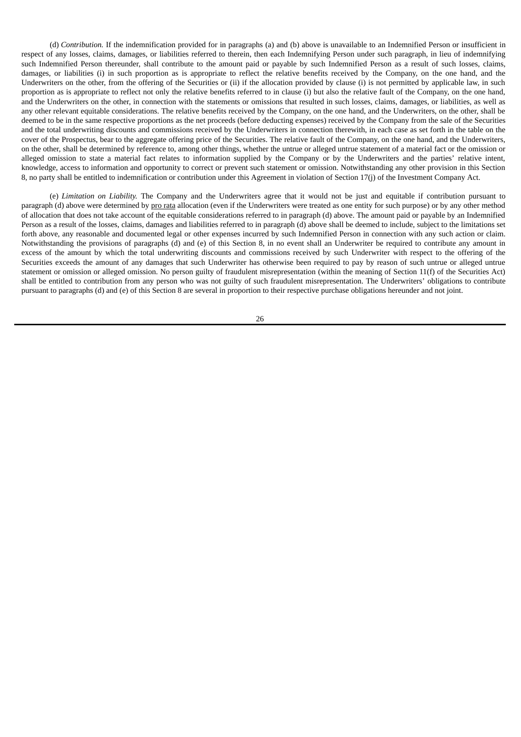(d) *Contribution.* If the indemnification provided for in paragraphs (a) and (b) above is unavailable to an Indemnified Person or insufficient in respect of any losses, claims, damages, or liabilities referred to therein, then each Indemnifying Person under such paragraph, in lieu of indemnifying such Indemnified Person thereunder, shall contribute to the amount paid or payable by such Indemnified Person as a result of such losses, claims, damages, or liabilities (i) in such proportion as is appropriate to reflect the relative benefits received by the Company, on the one hand, and the Underwriters on the other, from the offering of the Securities or (ii) if the allocation provided by clause (i) is not permitted by applicable law, in such proportion as is appropriate to reflect not only the relative benefits referred to in clause (i) but also the relative fault of the Company, on the one hand, and the Underwriters on the other, in connection with the statements or omissions that resulted in such losses, claims, damages, or liabilities, as well as any other relevant equitable considerations. The relative benefits received by the Company, on the one hand, and the Underwriters, on the other, shall be deemed to be in the same respective proportions as the net proceeds (before deducting expenses) received by the Company from the sale of the Securities and the total underwriting discounts and commissions received by the Underwriters in connection therewith, in each case as set forth in the table on the cover of the Prospectus, bear to the aggregate offering price of the Securities. The relative fault of the Company, on the one hand, and the Underwriters, on the other, shall be determined by reference to, among other things, whether the untrue or alleged untrue statement of a material fact or the omission or alleged omission to state a material fact relates to information supplied by the Company or by the Underwriters and the parties' relative intent, knowledge, access to information and opportunity to correct or prevent such statement or omission. Notwithstanding any other provision in this Section 8, no party shall be entitled to indemnification or contribution under this Agreement in violation of Section 17(j) of the Investment Company Act.

(e) *Limitation on Liability.* The Company and the Underwriters agree that it would not be just and equitable if contribution pursuant to paragraph (d) above were determined by pro rata allocation (even if the Underwriters were treated as one entity for such purpose) or by any other method of allocation that does not take account of the equitable considerations referred to in paragraph (d) above. The amount paid or payable by an Indemnified Person as a result of the losses, claims, damages and liabilities referred to in paragraph (d) above shall be deemed to include, subject to the limitations set forth above, any reasonable and documented legal or other expenses incurred by such Indemnified Person in connection with any such action or claim. Notwithstanding the provisions of paragraphs (d) and (e) of this Section 8, in no event shall an Underwriter be required to contribute any amount in excess of the amount by which the total underwriting discounts and commissions received by such Underwriter with respect to the offering of the Securities exceeds the amount of any damages that such Underwriter has otherwise been required to pay by reason of such untrue or alleged untrue statement or omission or alleged omission. No person guilty of fraudulent misrepresentation (within the meaning of Section 11(f) of the Securities Act) shall be entitled to contribution from any person who was not guilty of such fraudulent misrepresentation. The Underwriters' obligations to contribute pursuant to paragraphs (d) and (e) of this Section 8 are several in proportion to their respective purchase obligations hereunder and not joint.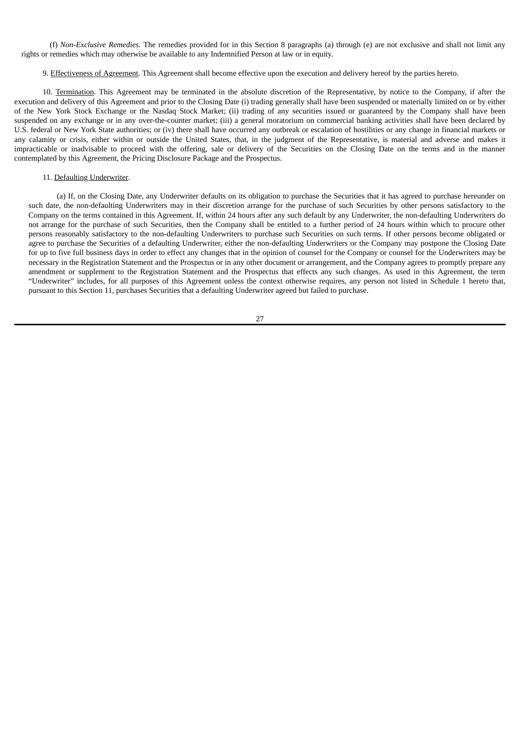(f) *Non-Exclusive Remedies.* The remedies provided for in this Section 8 paragraphs (a) through (e) are not exclusive and shall not limit any rights or remedies which may otherwise be available to any Indemnified Person at law or in equity.

9. Effectiveness of Agreement. This Agreement shall become effective upon the execution and delivery hereof by the parties hereto.

10. Termination. This Agreement may be terminated in the absolute discretion of the Representative, by notice to the Company, if after the execution and delivery of this Agreement and prior to the Closing Date (i) trading generally shall have been suspended or materially limited on or by either of the New York Stock Exchange or the Nasdaq Stock Market; (ii) trading of any securities issued or guaranteed by the Company shall have been suspended on any exchange or in any over-the-counter market; (iii) a general moratorium on commercial banking activities shall have been declared by U.S. federal or New York State authorities; or (iv) there shall have occurred any outbreak or escalation of hostilities or any change in financial markets or any calamity or crisis, either within or outside the United States, that, in the judgment of the Representative, is material and adverse and makes it impracticable or inadvisable to proceed with the offering, sale or delivery of the Securities on the Closing Date on the terms and in the manner contemplated by this Agreement, the Pricing Disclosure Package and the Prospectus.

## 11. Defaulting Underwriter.

(a) If, on the Closing Date, any Underwriter defaults on its obligation to purchase the Securities that it has agreed to purchase hereunder on such date, the non-defaulting Underwriters may in their discretion arrange for the purchase of such Securities by other persons satisfactory to the Company on the terms contained in this Agreement. If, within 24 hours after any such default by any Underwriter, the non-defaulting Underwriters do not arrange for the purchase of such Securities, then the Company shall be entitled to a further period of 24 hours within which to procure other persons reasonably satisfactory to the non-defaulting Underwriters to purchase such Securities on such terms. If other persons become obligated or agree to purchase the Securities of a defaulting Underwriter, either the non-defaulting Underwriters or the Company may postpone the Closing Date for up to five full business days in order to effect any changes that in the opinion of counsel for the Company or counsel for the Underwriters may be necessary in the Registration Statement and the Prospectus or in any other document or arrangement, and the Company agrees to promptly prepare any amendment or supplement to the Registration Statement and the Prospectus that effects any such changes. As used in this Agreement, the term "Underwriter" includes, for all purposes of this Agreement unless the context otherwise requires, any person not listed in Schedule 1 hereto that, pursuant to this Section 11, purchases Securities that a defaulting Underwriter agreed but failed to purchase.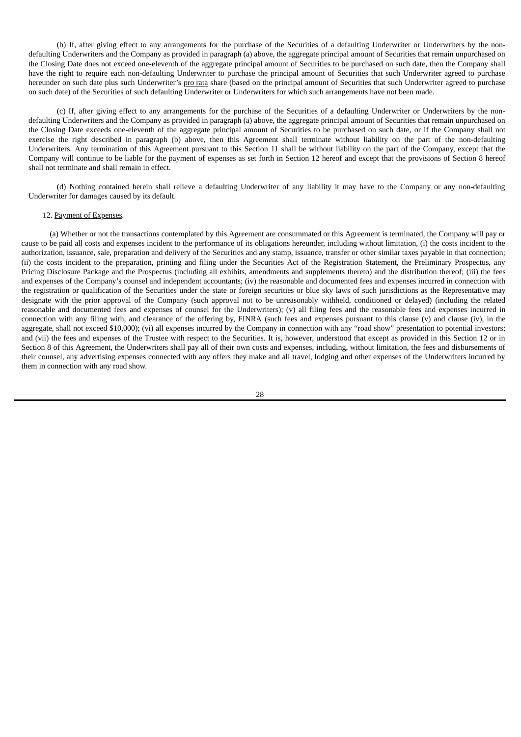(b) If, after giving effect to any arrangements for the purchase of the Securities of a defaulting Underwriter or Underwriters by the nondefaulting Underwriters and the Company as provided in paragraph (a) above, the aggregate principal amount of Securities that remain unpurchased on the Closing Date does not exceed one-eleventh of the aggregate principal amount of Securities to be purchased on such date, then the Company shall have the right to require each non-defaulting Underwriter to purchase the principal amount of Securities that such Underwriter agreed to purchase hereunder on such date plus such Underwriter's pro rata share (based on the principal amount of Securities that such Underwriter agreed to purchase on such date) of the Securities of such defaulting Underwriter or Underwriters for which such arrangements have not been made.

(c) If, after giving effect to any arrangements for the purchase of the Securities of a defaulting Underwriter or Underwriters by the nondefaulting Underwriters and the Company as provided in paragraph (a) above, the aggregate principal amount of Securities that remain unpurchased on the Closing Date exceeds one-eleventh of the aggregate principal amount of Securities to be purchased on such date, or if the Company shall not exercise the right described in paragraph (b) above, then this Agreement shall terminate without liability on the part of the non-defaulting Underwriters. Any termination of this Agreement pursuant to this Section 11 shall be without liability on the part of the Company, except that the Company will continue to be liable for the payment of expenses as set forth in Section 12 hereof and except that the provisions of Section 8 hereof shall not terminate and shall remain in effect.

(d) Nothing contained herein shall relieve a defaulting Underwriter of any liability it may have to the Company or any non-defaulting Underwriter for damages caused by its default.

#### 12. Payment of Expenses*.*

(a) Whether or not the transactions contemplated by this Agreement are consummated or this Agreement is terminated, the Company will pay or cause to be paid all costs and expenses incident to the performance of its obligations hereunder, including without limitation, (i) the costs incident to the authorization, issuance, sale, preparation and delivery of the Securities and any stamp, issuance, transfer or other similar taxes payable in that connection; (ii) the costs incident to the preparation, printing and filing under the Securities Act of the Registration Statement, the Preliminary Prospectus, any Pricing Disclosure Package and the Prospectus (including all exhibits, amendments and supplements thereto) and the distribution thereof; (iii) the fees and expenses of the Company's counsel and independent accountants; (iv) the reasonable and documented fees and expenses incurred in connection with the registration or qualification of the Securities under the state or foreign securities or blue sky laws of such jurisdictions as the Representative may designate with the prior approval of the Company (such approval not to be unreasonably withheld, conditioned or delayed) (including the related reasonable and documented fees and expenses of counsel for the Underwriters); (v) all filing fees and the reasonable fees and expenses incurred in connection with any filing with, and clearance of the offering by, FINRA (such fees and expenses pursuant to this clause (v) and clause (iv), in the aggregate, shall not exceed \$10,000); (vi) all expenses incurred by the Company in connection with any "road show" presentation to potential investors; and (vii) the fees and expenses of the Trustee with respect to the Securities. It is, however, understood that except as provided in this Section 12 or in Section 8 of this Agreement, the Underwriters shall pay all of their own costs and expenses, including, without limitation, the fees and disbursements of their counsel, any advertising expenses connected with any offers they make and all travel, lodging and other expenses of the Underwriters incurred by them in connection with any road show.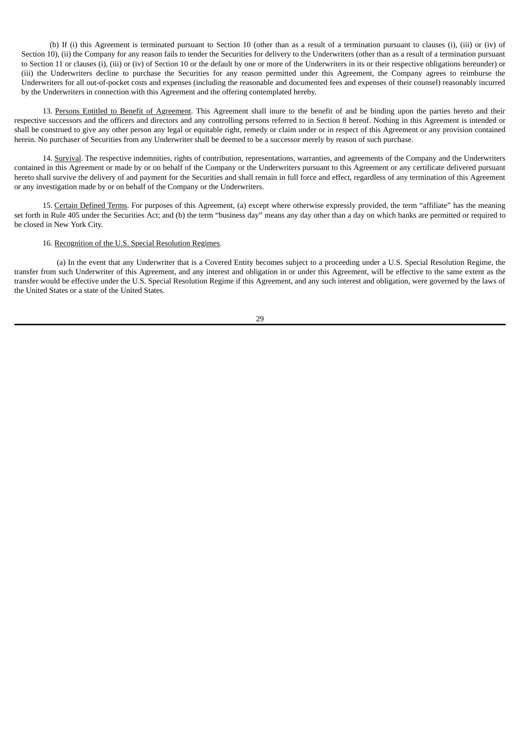(b) If (i) this Agreement is terminated pursuant to Section 10 (other than as a result of a termination pursuant to clauses (i), (iii) or (iv) of Section 10), (ii) the Company for any reason fails to tender the Securities for delivery to the Underwriters (other than as a result of a termination pursuant to Section 11 or clauses (i), (iii) or (iv) of Section 10 or the default by one or more of the Underwriters in its or their respective obligations hereunder) or (iii) the Underwriters decline to purchase the Securities for any reason permitted under this Agreement, the Company agrees to reimburse the Underwriters for all out-of-pocket costs and expenses (including the reasonable and documented fees and expenses of their counsel) reasonably incurred by the Underwriters in connection with this Agreement and the offering contemplated hereby.

13. Persons Entitled to Benefit of Agreement. This Agreement shall inure to the benefit of and be binding upon the parties hereto and their respective successors and the officers and directors and any controlling persons referred to in Section 8 hereof. Nothing in this Agreement is intended or shall be construed to give any other person any legal or equitable right, remedy or claim under or in respect of this Agreement or any provision contained herein. No purchaser of Securities from any Underwriter shall be deemed to be a successor merely by reason of such purchase.

14. Survival. The respective indemnities, rights of contribution, representations, warranties, and agreements of the Company and the Underwriters contained in this Agreement or made by or on behalf of the Company or the Underwriters pursuant to this Agreement or any certificate delivered pursuant hereto shall survive the delivery of and payment for the Securities and shall remain in full force and effect, regardless of any termination of this Agreement or any investigation made by or on behalf of the Company or the Underwriters.

15. Certain Defined Terms. For purposes of this Agreement, (a) except where otherwise expressly provided, the term "affiliate" has the meaning set forth in Rule 405 under the Securities Act; and (b) the term "business day" means any day other than a day on which banks are permitted or required to be closed in New York City.

## 16. Recognition of the U.S. Special Resolution Regimes.

(a) In the event that any Underwriter that is a Covered Entity becomes subject to a proceeding under a U.S. Special Resolution Regime, the transfer from such Underwriter of this Agreement, and any interest and obligation in or under this Agreement, will be effective to the same extent as the transfer would be effective under the U.S. Special Resolution Regime if this Agreement, and any such interest and obligation, were governed by the laws of the United States or a state of the United States.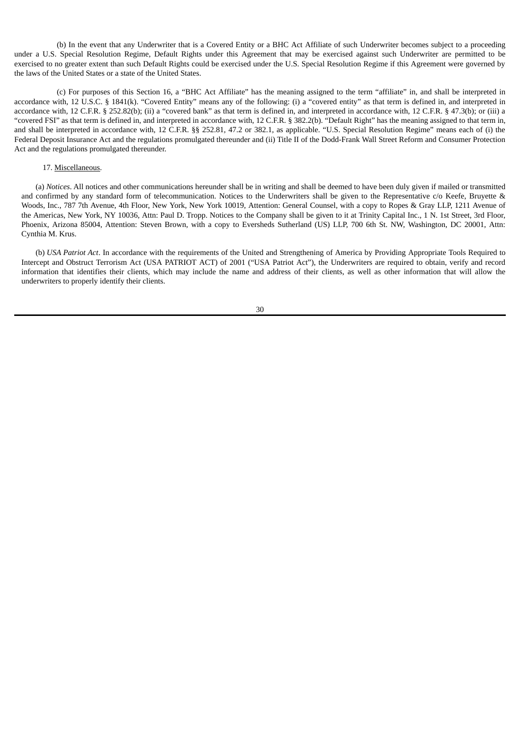(b) In the event that any Underwriter that is a Covered Entity or a BHC Act Affiliate of such Underwriter becomes subject to a proceeding under a U.S. Special Resolution Regime, Default Rights under this Agreement that may be exercised against such Underwriter are permitted to be exercised to no greater extent than such Default Rights could be exercised under the U.S. Special Resolution Regime if this Agreement were governed by the laws of the United States or a state of the United States.

(c) For purposes of this Section 16, a "BHC Act Affiliate" has the meaning assigned to the term "affiliate" in, and shall be interpreted in accordance with, 12 U.S.C. § 1841(k). "Covered Entity" means any of the following: (i) a "covered entity" as that term is defined in, and interpreted in accordance with, 12 C.F.R. § 252.82(b); (ii) a "covered bank" as that term is defined in, and interpreted in accordance with, 12 C.F.R. § 47.3(b); or (iii) a "covered FSI" as that term is defined in, and interpreted in accordance with, 12 C.F.R. § 382.2(b). "Default Right" has the meaning assigned to that term in, and shall be interpreted in accordance with, 12 C.F.R. §§ 252.81, 47.2 or 382.1, as applicable. "U.S. Special Resolution Regime" means each of (i) the Federal Deposit Insurance Act and the regulations promulgated thereunder and (ii) Title II of the Dodd-Frank Wall Street Reform and Consumer Protection Act and the regulations promulgated thereunder.

## 17. Miscellaneous.

(a) *Notices*. All notices and other communications hereunder shall be in writing and shall be deemed to have been duly given if mailed or transmitted and confirmed by any standard form of telecommunication. Notices to the Underwriters shall be given to the Representative c/o Keefe, Bruyette & Woods, Inc., 787 7th Avenue, 4th Floor, New York, New York 10019, Attention: General Counsel, with a copy to Ropes & Gray LLP, 1211 Avenue of the Americas, New York, NY 10036, Attn: Paul D. Tropp. Notices to the Company shall be given to it at Trinity Capital Inc., 1 N. 1st Street, 3rd Floor, Phoenix, Arizona 85004, Attention: Steven Brown, with a copy to Eversheds Sutherland (US) LLP, 700 6th St. NW, Washington, DC 20001, Attn: Cynthia M. Krus.

(b) *USA Patriot Act*. In accordance with the requirements of the United and Strengthening of America by Providing Appropriate Tools Required to Intercept and Obstruct Terrorism Act (USA PATRIOT ACT) of 2001 ("USA Patriot Act"), the Underwriters are required to obtain, verify and record information that identifies their clients, which may include the name and address of their clients, as well as other information that will allow the underwriters to properly identify their clients.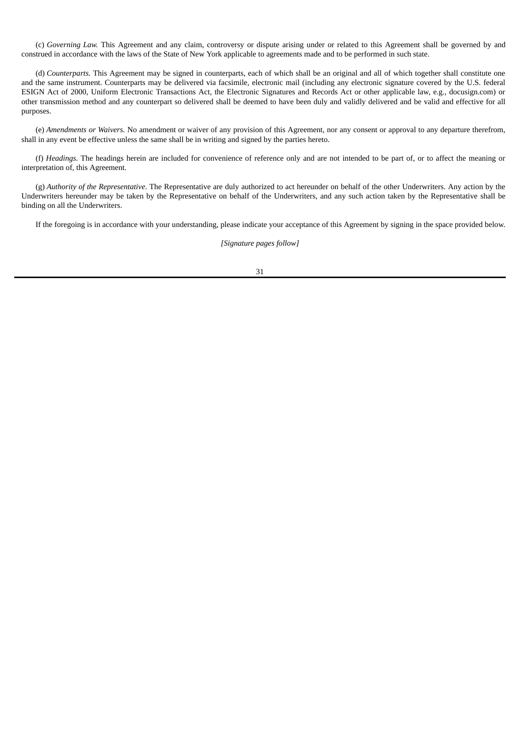(c) *Governing Law.* This Agreement and any claim, controversy or dispute arising under or related to this Agreement shall be governed by and construed in accordance with the laws of the State of New York applicable to agreements made and to be performed in such state.

(d) *Counterparts.* This Agreement may be signed in counterparts, each of which shall be an original and all of which together shall constitute one and the same instrument. Counterparts may be delivered via facsimile, electronic mail (including any electronic signature covered by the U.S. federal ESIGN Act of 2000, Uniform Electronic Transactions Act, the Electronic Signatures and Records Act or other applicable law, e.g., docusign.com) or other transmission method and any counterpart so delivered shall be deemed to have been duly and validly delivered and be valid and effective for all purposes.

(e) *Amendments or Waivers.* No amendment or waiver of any provision of this Agreement, nor any consent or approval to any departure therefrom, shall in any event be effective unless the same shall be in writing and signed by the parties hereto.

(f) *Headings.* The headings herein are included for convenience of reference only and are not intended to be part of, or to affect the meaning or interpretation of, this Agreement.

(g) *Authority of the Representative*. The Representative are duly authorized to act hereunder on behalf of the other Underwriters. Any action by the Underwriters hereunder may be taken by the Representative on behalf of the Underwriters, and any such action taken by the Representative shall be binding on all the Underwriters.

If the foregoing is in accordance with your understanding, please indicate your acceptance of this Agreement by signing in the space provided below.

*[Signature pages follow]*

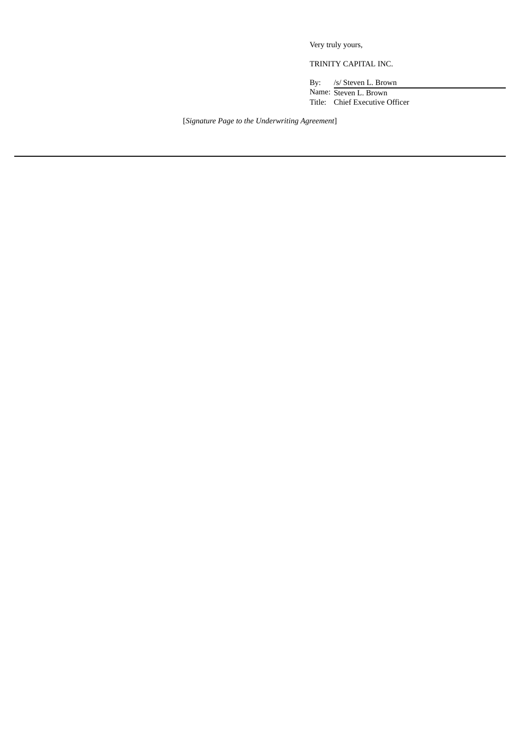Very truly yours,

TRINITY CAPITAL INC.

By: /s/ Steven L. Brown Name: Steven L. Brown Title: Chief Executive Officer

[*Signature Page to the Underwriting Agreement*]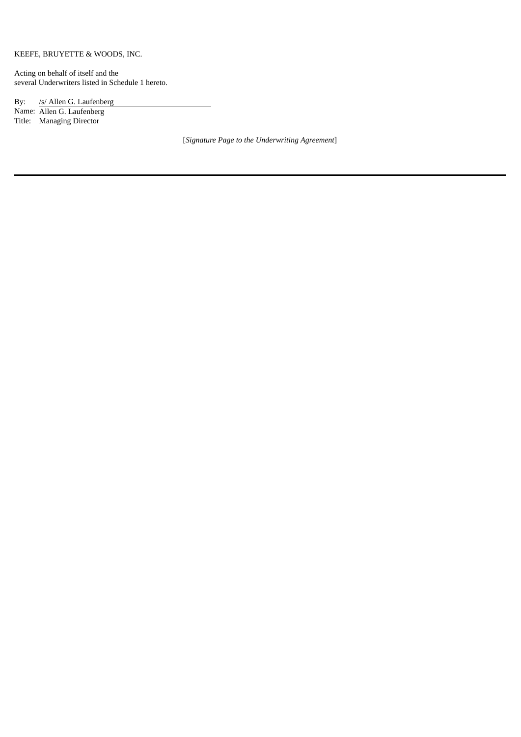## KEEFE, BRUYETTE & WOODS, INC.

Acting on behalf of itself and the several Underwriters listed in Schedule 1 hereto.

By: /s/ Allen G. Laufenberg

Name: Allen G. Laufenberg Title: Managing Director

[*Signature Page to the Underwriting Agreement*]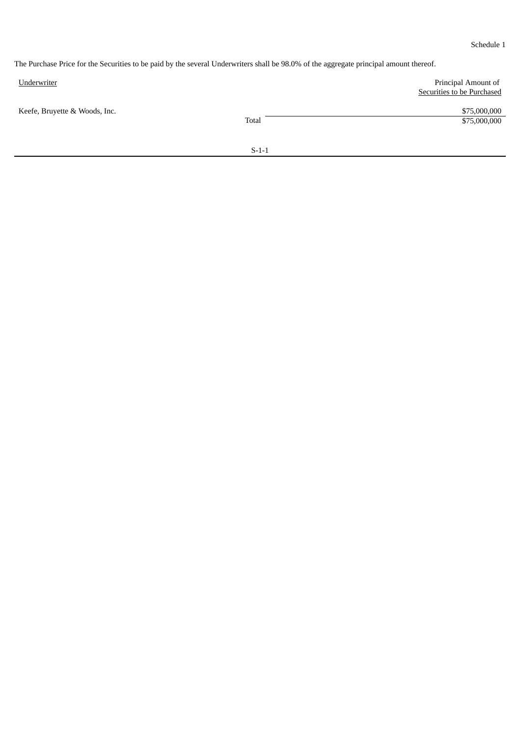Schedule 1

The Purchase Price for the Securities to be paid by the several Underwriters shall be 98.0% of the aggregate principal amount thereof.

| Underwriter                   |         | Principal Amount of<br><b>Securities to be Purchased</b> |  |
|-------------------------------|---------|----------------------------------------------------------|--|
| Keefe, Bruyette & Woods, Inc. | Total   | \$75,000,000<br>\$75,000,000                             |  |
|                               | $S-1-1$ |                                                          |  |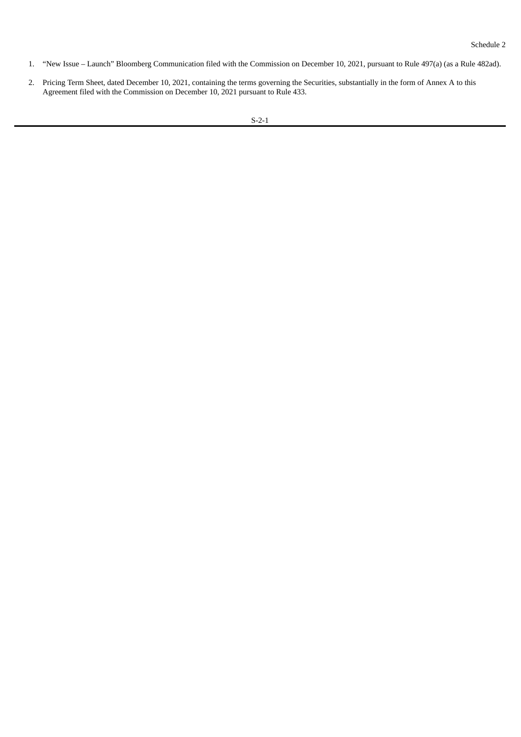- 1. "New Issue Launch" Bloomberg Communication filed with the Commission on December 10, 2021, pursuant to Rule 497(a) (as a Rule 482ad).
- 2. Pricing Term Sheet, dated December 10, 2021, containing the terms governing the Securities, substantially in the form of Annex A to this Agreement filed with the Commission on December 10, 2021 pursuant to Rule 433.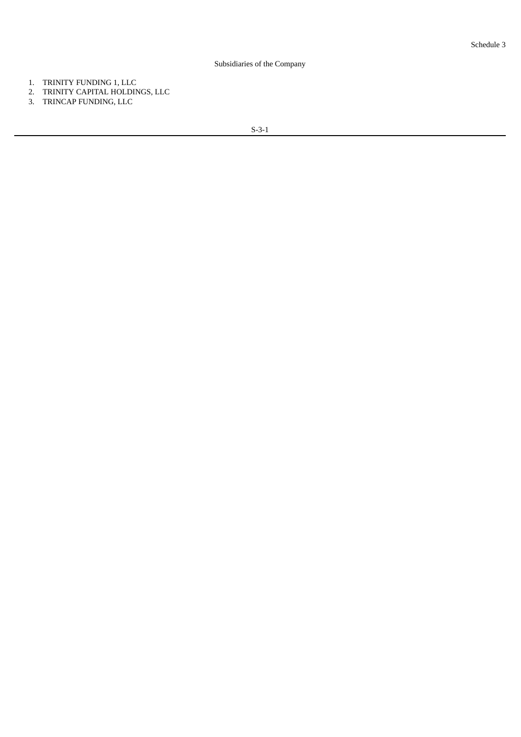## Subsidiaries of the Company

- 1. TRINITY FUNDING 1, LLC
- 2. TRINITY CAPITAL HOLDINGS, LLC
- 3. TRINCAP FUNDING, LLC

S-3-1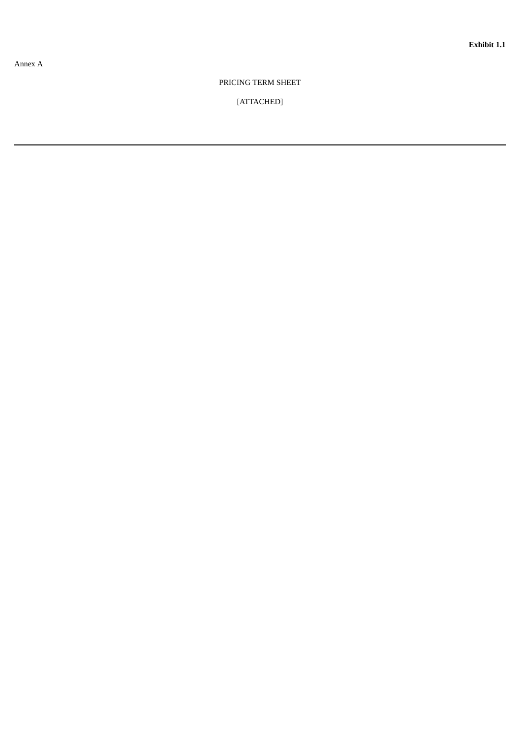## PRICING TERM SHEET

## [ATTACHED]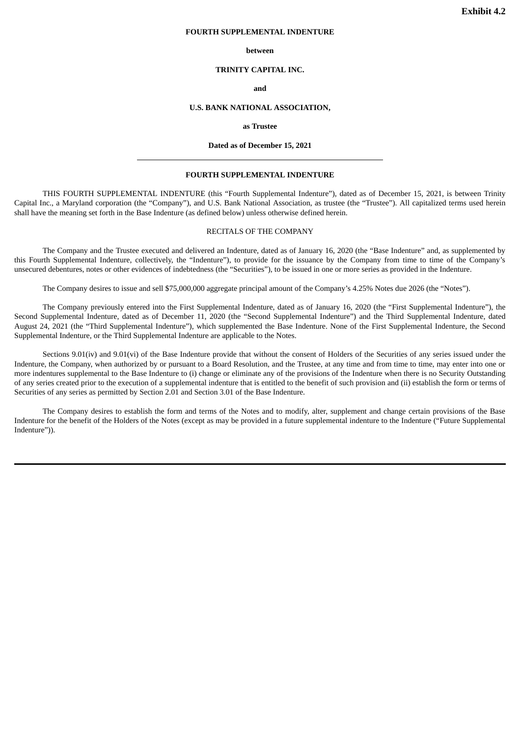#### <span id="page-42-0"></span>**FOURTH SUPPLEMENTAL INDENTURE**

#### **between**

#### **TRINITY CAPITAL INC.**

#### **and**

#### **U.S. BANK NATIONAL ASSOCIATION,**

#### **as Trustee**

### **Dated as of December 15, 2021**

#### **FOURTH SUPPLEMENTAL INDENTURE**

THIS FOURTH SUPPLEMENTAL INDENTURE (this "Fourth Supplemental Indenture"), dated as of December 15, 2021, is between Trinity Capital Inc., a Maryland corporation (the "Company"), and U.S. Bank National Association, as trustee (the "Trustee"). All capitalized terms used herein shall have the meaning set forth in the Base Indenture (as defined below) unless otherwise defined herein.

#### RECITALS OF THE COMPANY

The Company and the Trustee executed and delivered an Indenture, dated as of January 16, 2020 (the "Base Indenture" and, as supplemented by this Fourth Supplemental Indenture, collectively, the "Indenture"), to provide for the issuance by the Company from time to time of the Company's unsecured debentures, notes or other evidences of indebtedness (the "Securities"), to be issued in one or more series as provided in the Indenture.

The Company desires to issue and sell \$75,000,000 aggregate principal amount of the Company's 4.25% Notes due 2026 (the "Notes").

The Company previously entered into the First Supplemental Indenture, dated as of January 16, 2020 (the "First Supplemental Indenture"), the Second Supplemental Indenture, dated as of December 11, 2020 (the "Second Supplemental Indenture") and the Third Supplemental Indenture, dated August 24, 2021 (the "Third Supplemental Indenture"), which supplemented the Base Indenture. None of the First Supplemental Indenture, the Second Supplemental Indenture, or the Third Supplemental Indenture are applicable to the Notes.

Sections 9.01(iv) and 9.01(vi) of the Base Indenture provide that without the consent of Holders of the Securities of any series issued under the Indenture, the Company, when authorized by or pursuant to a Board Resolution, and the Trustee, at any time and from time to time, may enter into one or more indentures supplemental to the Base Indenture to (i) change or eliminate any of the provisions of the Indenture when there is no Security Outstanding of any series created prior to the execution of a supplemental indenture that is entitled to the benefit of such provision and (ii) establish the form or terms of Securities of any series as permitted by Section 2.01 and Section 3.01 of the Base Indenture.

The Company desires to establish the form and terms of the Notes and to modify, alter, supplement and change certain provisions of the Base Indenture for the benefit of the Holders of the Notes (except as may be provided in a future supplemental indenture to the Indenture ("Future Supplemental Indenture")).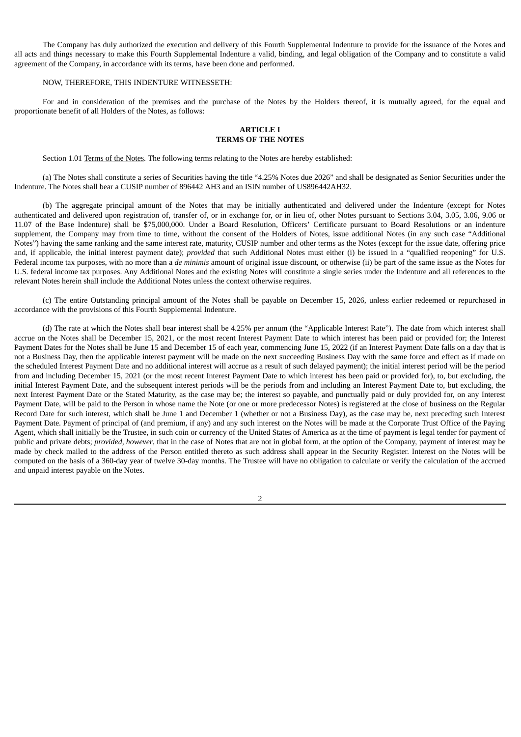The Company has duly authorized the execution and delivery of this Fourth Supplemental Indenture to provide for the issuance of the Notes and all acts and things necessary to make this Fourth Supplemental Indenture a valid, binding, and legal obligation of the Company and to constitute a valid agreement of the Company, in accordance with its terms, have been done and performed.

## NOW, THEREFORE, THIS INDENTURE WITNESSETH:

For and in consideration of the premises and the purchase of the Notes by the Holders thereof, it is mutually agreed, for the equal and proportionate benefit of all Holders of the Notes, as follows:

## **ARTICLE I TERMS OF THE NOTES**

Section 1.01 Terms of the Notes. The following terms relating to the Notes are hereby established:

(a) The Notes shall constitute a series of Securities having the title "4.25% Notes due 2026" and shall be designated as Senior Securities under the Indenture. The Notes shall bear a CUSIP number of 896442 AH3 and an ISIN number of US896442AH32.

(b) The aggregate principal amount of the Notes that may be initially authenticated and delivered under the Indenture (except for Notes authenticated and delivered upon registration of, transfer of, or in exchange for, or in lieu of, other Notes pursuant to Sections 3.04, 3.05, 3.06, 9.06 or 11.07 of the Base Indenture) shall be \$75,000,000. Under a Board Resolution, Officers' Certificate pursuant to Board Resolutions or an indenture supplement, the Company may from time to time, without the consent of the Holders of Notes, issue additional Notes (in any such case "Additional Notes") having the same ranking and the same interest rate, maturity, CUSIP number and other terms as the Notes (except for the issue date, offering price and, if applicable, the initial interest payment date); *provided* that such Additional Notes must either (i) be issued in a "qualified reopening" for U.S. Federal income tax purposes, with no more than a *de minimis* amount of original issue discount, or otherwise (ii) be part of the same issue as the Notes for U.S. federal income tax purposes. Any Additional Notes and the existing Notes will constitute a single series under the Indenture and all references to the relevant Notes herein shall include the Additional Notes unless the context otherwise requires.

(c) The entire Outstanding principal amount of the Notes shall be payable on December 15, 2026, unless earlier redeemed or repurchased in accordance with the provisions of this Fourth Supplemental Indenture.

(d) The rate at which the Notes shall bear interest shall be 4.25% per annum (the "Applicable Interest Rate"). The date from which interest shall accrue on the Notes shall be December 15, 2021, or the most recent Interest Payment Date to which interest has been paid or provided for; the Interest Payment Dates for the Notes shall be June 15 and December 15 of each year, commencing June 15, 2022 (if an Interest Payment Date falls on a day that is not a Business Day, then the applicable interest payment will be made on the next succeeding Business Day with the same force and effect as if made on the scheduled Interest Payment Date and no additional interest will accrue as a result of such delayed payment); the initial interest period will be the period from and including December 15, 2021 (or the most recent Interest Payment Date to which interest has been paid or provided for), to, but excluding, the initial Interest Payment Date, and the subsequent interest periods will be the periods from and including an Interest Payment Date to, but excluding, the next Interest Payment Date or the Stated Maturity, as the case may be; the interest so payable, and punctually paid or duly provided for, on any Interest Payment Date, will be paid to the Person in whose name the Note (or one or more predecessor Notes) is registered at the close of business on the Regular Record Date for such interest, which shall be June 1 and December 1 (whether or not a Business Day), as the case may be, next preceding such Interest Payment Date. Payment of principal of (and premium, if any) and any such interest on the Notes will be made at the Corporate Trust Office of the Paying Agent, which shall initially be the Trustee, in such coin or currency of the United States of America as at the time of payment is legal tender for payment of public and private debts; *provided, however*, that in the case of Notes that are not in global form, at the option of the Company, payment of interest may be made by check mailed to the address of the Person entitled thereto as such address shall appear in the Security Register. Interest on the Notes will be computed on the basis of a 360-day year of twelve 30-day months. The Trustee will have no obligation to calculate or verify the calculation of the accrued and unpaid interest payable on the Notes.

 $\overline{2}$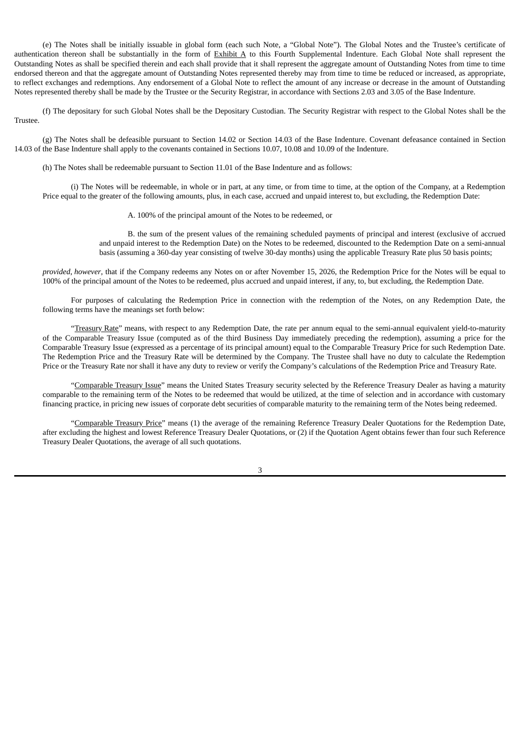(e) The Notes shall be initially issuable in global form (each such Note, a "Global Note"). The Global Notes and the Trustee's certificate of authentication thereon shall be substantially in the form of Exhibit A to this Fourth Supplemental Indenture. Each Global Note shall represent the Outstanding Notes as shall be specified therein and each shall provide that it shall represent the aggregate amount of Outstanding Notes from time to time endorsed thereon and that the aggregate amount of Outstanding Notes represented thereby may from time to time be reduced or increased, as appropriate, to reflect exchanges and redemptions. Any endorsement of a Global Note to reflect the amount of any increase or decrease in the amount of Outstanding Notes represented thereby shall be made by the Trustee or the Security Registrar, in accordance with Sections 2.03 and 3.05 of the Base Indenture.

(f) The depositary for such Global Notes shall be the Depositary Custodian. The Security Registrar with respect to the Global Notes shall be the Trustee.

(g) The Notes shall be defeasible pursuant to Section 14.02 or Section 14.03 of the Base Indenture. Covenant defeasance contained in Section 14.03 of the Base Indenture shall apply to the covenants contained in Sections 10.07, 10.08 and 10.09 of the Indenture.

(h) The Notes shall be redeemable pursuant to Section 11.01 of the Base Indenture and as follows:

(i) The Notes will be redeemable, in whole or in part, at any time, or from time to time, at the option of the Company, at a Redemption Price equal to the greater of the following amounts, plus, in each case, accrued and unpaid interest to, but excluding, the Redemption Date:

A. 100% of the principal amount of the Notes to be redeemed, or

B. the sum of the present values of the remaining scheduled payments of principal and interest (exclusive of accrued and unpaid interest to the Redemption Date) on the Notes to be redeemed, discounted to the Redemption Date on a semi-annual basis (assuming a 360-day year consisting of twelve 30-day months) using the applicable Treasury Rate plus 50 basis points;

*provided*, *however*, that if the Company redeems any Notes on or after November 15, 2026, the Redemption Price for the Notes will be equal to 100% of the principal amount of the Notes to be redeemed, plus accrued and unpaid interest, if any, to, but excluding, the Redemption Date.

For purposes of calculating the Redemption Price in connection with the redemption of the Notes, on any Redemption Date, the following terms have the meanings set forth below:

"Treasury Rate" means, with respect to any Redemption Date, the rate per annum equal to the semi-annual equivalent yield-to-maturity of the Comparable Treasury Issue (computed as of the third Business Day immediately preceding the redemption), assuming a price for the Comparable Treasury Issue (expressed as a percentage of its principal amount) equal to the Comparable Treasury Price for such Redemption Date. The Redemption Price and the Treasury Rate will be determined by the Company. The Trustee shall have no duty to calculate the Redemption Price or the Treasury Rate nor shall it have any duty to review or verify the Company's calculations of the Redemption Price and Treasury Rate.

"Comparable Treasury Issue" means the United States Treasury security selected by the Reference Treasury Dealer as having a maturity comparable to the remaining term of the Notes to be redeemed that would be utilized, at the time of selection and in accordance with customary financing practice, in pricing new issues of corporate debt securities of comparable maturity to the remaining term of the Notes being redeemed.

"Comparable Treasury Price" means (1) the average of the remaining Reference Treasury Dealer Quotations for the Redemption Date, after excluding the highest and lowest Reference Treasury Dealer Quotations, or (2) if the Quotation Agent obtains fewer than four such Reference Treasury Dealer Quotations, the average of all such quotations.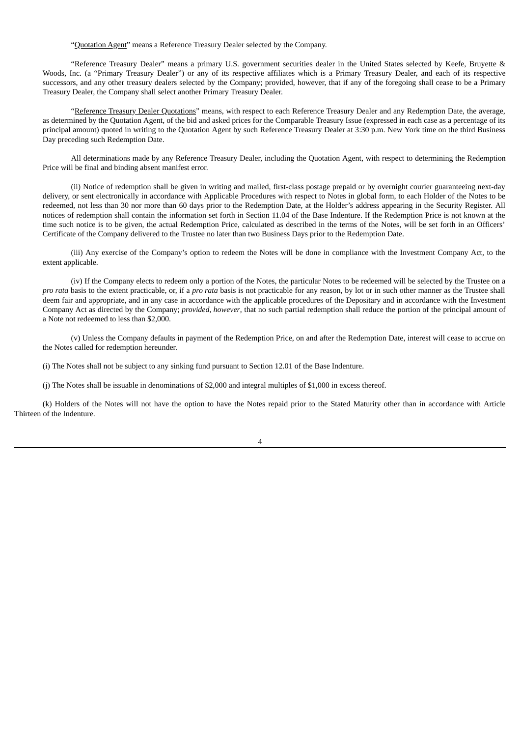"Quotation Agent" means a Reference Treasury Dealer selected by the Company.

"Reference Treasury Dealer" means a primary U.S. government securities dealer in the United States selected by Keefe, Bruyette & Woods, Inc. (a "Primary Treasury Dealer") or any of its respective affiliates which is a Primary Treasury Dealer, and each of its respective successors, and any other treasury dealers selected by the Company; provided, however, that if any of the foregoing shall cease to be a Primary Treasury Dealer, the Company shall select another Primary Treasury Dealer.

"Reference Treasury Dealer Quotations" means, with respect to each Reference Treasury Dealer and any Redemption Date, the average, as determined by the Quotation Agent, of the bid and asked prices for the Comparable Treasury Issue (expressed in each case as a percentage of its principal amount) quoted in writing to the Quotation Agent by such Reference Treasury Dealer at 3:30 p.m. New York time on the third Business Day preceding such Redemption Date.

All determinations made by any Reference Treasury Dealer, including the Quotation Agent, with respect to determining the Redemption Price will be final and binding absent manifest error.

(ii) Notice of redemption shall be given in writing and mailed, first-class postage prepaid or by overnight courier guaranteeing next-day delivery, or sent electronically in accordance with Applicable Procedures with respect to Notes in global form, to each Holder of the Notes to be redeemed, not less than 30 nor more than 60 days prior to the Redemption Date, at the Holder's address appearing in the Security Register. All notices of redemption shall contain the information set forth in Section 11.04 of the Base Indenture. If the Redemption Price is not known at the time such notice is to be given, the actual Redemption Price, calculated as described in the terms of the Notes, will be set forth in an Officers' Certificate of the Company delivered to the Trustee no later than two Business Days prior to the Redemption Date.

(iii) Any exercise of the Company's option to redeem the Notes will be done in compliance with the Investment Company Act, to the extent applicable.

(iv) If the Company elects to redeem only a portion of the Notes, the particular Notes to be redeemed will be selected by the Trustee on a *pro rata* basis to the extent practicable, or, if a *pro rata* basis is not practicable for any reason, by lot or in such other manner as the Trustee shall deem fair and appropriate, and in any case in accordance with the applicable procedures of the Depositary and in accordance with the Investment Company Act as directed by the Company; *provided*, *however*, that no such partial redemption shall reduce the portion of the principal amount of a Note not redeemed to less than \$2,000.

(v) Unless the Company defaults in payment of the Redemption Price, on and after the Redemption Date, interest will cease to accrue on the Notes called for redemption hereunder.

(i) The Notes shall not be subject to any sinking fund pursuant to Section 12.01 of the Base Indenture.

(j) The Notes shall be issuable in denominations of \$2,000 and integral multiples of \$1,000 in excess thereof.

(k) Holders of the Notes will not have the option to have the Notes repaid prior to the Stated Maturity other than in accordance with Article Thirteen of the Indenture.

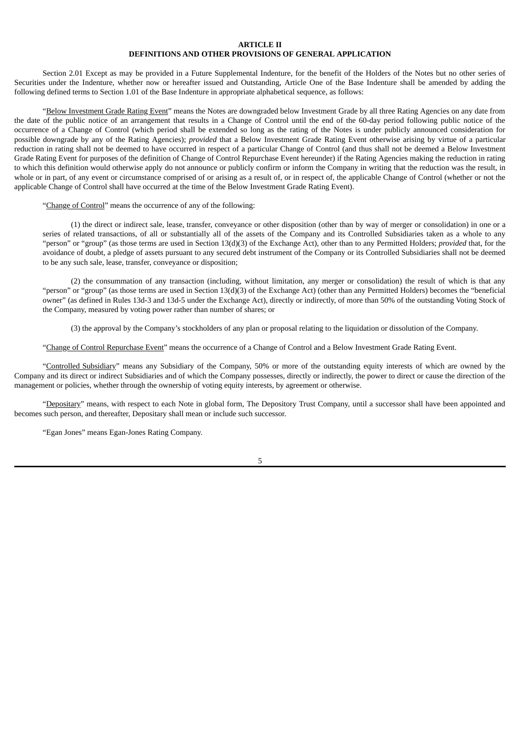## **ARTICLE II**

## **DEFINITIONS AND OTHER PROVISIONS OF GENERAL APPLICATION**

Section 2.01 Except as may be provided in a Future Supplemental Indenture, for the benefit of the Holders of the Notes but no other series of Securities under the Indenture, whether now or hereafter issued and Outstanding, Article One of the Base Indenture shall be amended by adding the following defined terms to Section 1.01 of the Base Indenture in appropriate alphabetical sequence, as follows:

"Below Investment Grade Rating Event" means the Notes are downgraded below Investment Grade by all three Rating Agencies on any date from the date of the public notice of an arrangement that results in a Change of Control until the end of the 60-day period following public notice of the occurrence of a Change of Control (which period shall be extended so long as the rating of the Notes is under publicly announced consideration for possible downgrade by any of the Rating Agencies); *provided* that a Below Investment Grade Rating Event otherwise arising by virtue of a particular reduction in rating shall not be deemed to have occurred in respect of a particular Change of Control (and thus shall not be deemed a Below Investment Grade Rating Event for purposes of the definition of Change of Control Repurchase Event hereunder) if the Rating Agencies making the reduction in rating to which this definition would otherwise apply do not announce or publicly confirm or inform the Company in writing that the reduction was the result, in whole or in part, of any event or circumstance comprised of or arising as a result of, or in respect of, the applicable Change of Control (whether or not the applicable Change of Control shall have occurred at the time of the Below Investment Grade Rating Event).

"Change of Control" means the occurrence of any of the following:

(1) the direct or indirect sale, lease, transfer, conveyance or other disposition (other than by way of merger or consolidation) in one or a series of related transactions, of all or substantially all of the assets of the Company and its Controlled Subsidiaries taken as a whole to any "person" or "group" (as those terms are used in Section 13(d)(3) of the Exchange Act), other than to any Permitted Holders; *provided* that, for the avoidance of doubt, a pledge of assets pursuant to any secured debt instrument of the Company or its Controlled Subsidiaries shall not be deemed to be any such sale, lease, transfer, conveyance or disposition;

(2) the consummation of any transaction (including, without limitation, any merger or consolidation) the result of which is that any "person" or "group" (as those terms are used in Section 13(d)(3) of the Exchange Act) (other than any Permitted Holders) becomes the "beneficial owner" (as defined in Rules 13d-3 and 13d-5 under the Exchange Act), directly or indirectly, of more than 50% of the outstanding Voting Stock of the Company, measured by voting power rather than number of shares; or

(3) the approval by the Company's stockholders of any plan or proposal relating to the liquidation or dissolution of the Company.

"Change of Control Repurchase Event" means the occurrence of a Change of Control and a Below Investment Grade Rating Event.

"Controlled Subsidiary" means any Subsidiary of the Company, 50% or more of the outstanding equity interests of which are owned by the Company and its direct or indirect Subsidiaries and of which the Company possesses, directly or indirectly, the power to direct or cause the direction of the management or policies, whether through the ownership of voting equity interests, by agreement or otherwise.

"Depositary" means, with respect to each Note in global form, The Depository Trust Company, until a successor shall have been appointed and becomes such person, and thereafter, Depositary shall mean or include such successor.

"Egan Jones" means Egan-Jones Rating Company.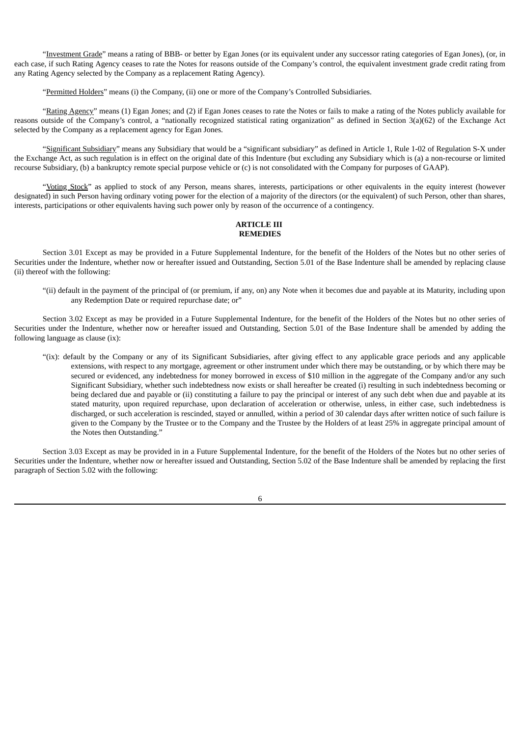"Investment Grade" means a rating of BBB- or better by Egan Jones (or its equivalent under any successor rating categories of Egan Jones), (or, in each case, if such Rating Agency ceases to rate the Notes for reasons outside of the Company's control, the equivalent investment grade credit rating from any Rating Agency selected by the Company as a replacement Rating Agency).

"Permitted Holders" means (i) the Company, (ii) one or more of the Company's Controlled Subsidiaries.

"Rating Agency" means (1) Egan Jones; and (2) if Egan Jones ceases to rate the Notes or fails to make a rating of the Notes publicly available for reasons outside of the Company's control, a "nationally recognized statistical rating organization" as defined in Section 3(a)(62) of the Exchange Act selected by the Company as a replacement agency for Egan Jones.

"Significant Subsidiary" means any Subsidiary that would be a "significant subsidiary" as defined in Article 1, Rule 1-02 of Regulation S-X under the Exchange Act, as such regulation is in effect on the original date of this Indenture (but excluding any Subsidiary which is (a) a non-recourse or limited recourse Subsidiary, (b) a bankruptcy remote special purpose vehicle or (c) is not consolidated with the Company for purposes of GAAP).

"Voting Stock" as applied to stock of any Person, means shares, interests, participations or other equivalents in the equity interest (however designated) in such Person having ordinary voting power for the election of a majority of the directors (or the equivalent) of such Person, other than shares, interests, participations or other equivalents having such power only by reason of the occurrence of a contingency.

## **ARTICLE III REMEDIES**

Section 3.01 Except as may be provided in a Future Supplemental Indenture, for the benefit of the Holders of the Notes but no other series of Securities under the Indenture, whether now or hereafter issued and Outstanding, Section 5.01 of the Base Indenture shall be amended by replacing clause (ii) thereof with the following:

"(ii) default in the payment of the principal of (or premium, if any, on) any Note when it becomes due and payable at its Maturity, including upon any Redemption Date or required repurchase date; or"

Section 3.02 Except as may be provided in a Future Supplemental Indenture, for the benefit of the Holders of the Notes but no other series of Securities under the Indenture, whether now or hereafter issued and Outstanding, Section 5.01 of the Base Indenture shall be amended by adding the following language as clause (ix):

"(ix): default by the Company or any of its Significant Subsidiaries, after giving effect to any applicable grace periods and any applicable extensions, with respect to any mortgage, agreement or other instrument under which there may be outstanding, or by which there may be secured or evidenced, any indebtedness for money borrowed in excess of \$10 million in the aggregate of the Company and/or any such Significant Subsidiary, whether such indebtedness now exists or shall hereafter be created (i) resulting in such indebtedness becoming or being declared due and payable or (ii) constituting a failure to pay the principal or interest of any such debt when due and payable at its stated maturity, upon required repurchase, upon declaration of acceleration or otherwise, unless, in either case, such indebtedness is discharged, or such acceleration is rescinded, stayed or annulled, within a period of 30 calendar days after written notice of such failure is given to the Company by the Trustee or to the Company and the Trustee by the Holders of at least 25% in aggregate principal amount of the Notes then Outstanding."

Section 3.03 Except as may be provided in in a Future Supplemental Indenture, for the benefit of the Holders of the Notes but no other series of Securities under the Indenture, whether now or hereafter issued and Outstanding, Section 5.02 of the Base Indenture shall be amended by replacing the first paragraph of Section 5.02 with the following: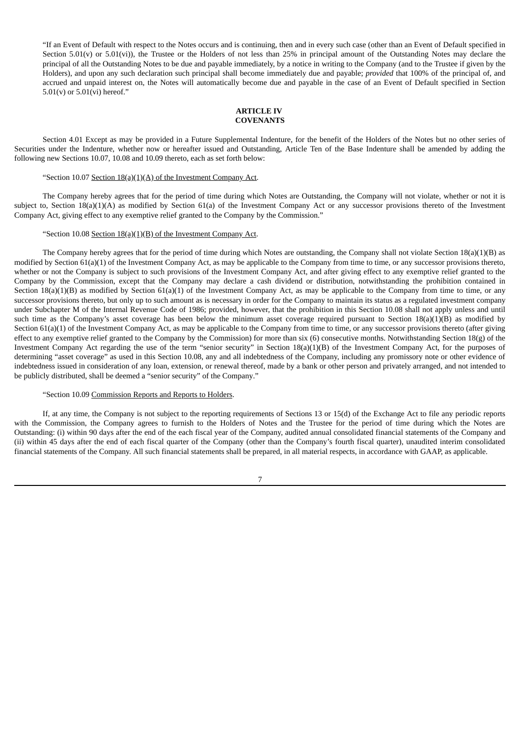"If an Event of Default with respect to the Notes occurs and is continuing, then and in every such case (other than an Event of Default specified in Section 5.01(v) or 5.01(vi)), the Trustee or the Holders of not less than 25% in principal amount of the Outstanding Notes may declare the principal of all the Outstanding Notes to be due and payable immediately, by a notice in writing to the Company (and to the Trustee if given by the Holders), and upon any such declaration such principal shall become immediately due and payable; *provided* that 100% of the principal of, and accrued and unpaid interest on, the Notes will automatically become due and payable in the case of an Event of Default specified in Section 5.01(v) or 5.01(vi) hereof."

## **ARTICLE IV COVENANTS**

Section 4.01 Except as may be provided in a Future Supplemental Indenture, for the benefit of the Holders of the Notes but no other series of Securities under the Indenture, whether now or hereafter issued and Outstanding, Article Ten of the Base Indenture shall be amended by adding the following new Sections 10.07, 10.08 and 10.09 thereto, each as set forth below:

## "Section 10.07 Section  $18(a)(1)(A)$  of the Investment Company Act.

The Company hereby agrees that for the period of time during which Notes are Outstanding, the Company will not violate, whether or not it is subject to, Section 18(a)(1)(A) as modified by Section 61(a) of the Investment Company Act or any successor provisions thereto of the Investment Company Act, giving effect to any exemptive relief granted to the Company by the Commission."

## "Section 10.08 Section 18(a)(1)(B) of the Investment Company Act.

The Company hereby agrees that for the period of time during which Notes are outstanding, the Company shall not violate Section 18(a)(1)(B) as modified by Section 61(a)(1) of the Investment Company Act, as may be applicable to the Company from time to time, or any successor provisions thereto, whether or not the Company is subject to such provisions of the Investment Company Act, and after giving effect to any exemptive relief granted to the Company by the Commission, except that the Company may declare a cash dividend or distribution, notwithstanding the prohibition contained in Section  $18(a)(1)(B)$  as modified by Section  $61(a)(1)$  of the Investment Company Act, as may be applicable to the Company from time to time, or any successor provisions thereto, but only up to such amount as is necessary in order for the Company to maintain its status as a regulated investment company under Subchapter M of the Internal Revenue Code of 1986; provided, however, that the prohibition in this Section 10.08 shall not apply unless and until such time as the Company's asset coverage has been below the minimum asset coverage required pursuant to Section 18(a)(1)(B) as modified by Section 61(a)(1) of the Investment Company Act, as may be applicable to the Company from time to time, or any successor provisions thereto (after giving effect to any exemptive relief granted to the Company by the Commission) for more than six  $(6)$  consecutive months. Notwithstanding Section 18(g) of the Investment Company Act regarding the use of the term "senior security" in Section 18(a)(1)(B) of the Investment Company Act, for the purposes of determining "asset coverage" as used in this Section 10.08, any and all indebtedness of the Company, including any promissory note or other evidence of indebtedness issued in consideration of any loan, extension, or renewal thereof, made by a bank or other person and privately arranged, and not intended to be publicly distributed, shall be deemed a "senior security" of the Company."

#### "Section 10.09 Commission Reports and Reports to Holders.

If, at any time, the Company is not subject to the reporting requirements of Sections 13 or 15(d) of the Exchange Act to file any periodic reports with the Commission, the Company agrees to furnish to the Holders of Notes and the Trustee for the period of time during which the Notes are Outstanding: (i) within 90 days after the end of the each fiscal year of the Company, audited annual consolidated financial statements of the Company and (ii) within 45 days after the end of each fiscal quarter of the Company (other than the Company's fourth fiscal quarter), unaudited interim consolidated financial statements of the Company. All such financial statements shall be prepared, in all material respects, in accordance with GAAP, as applicable.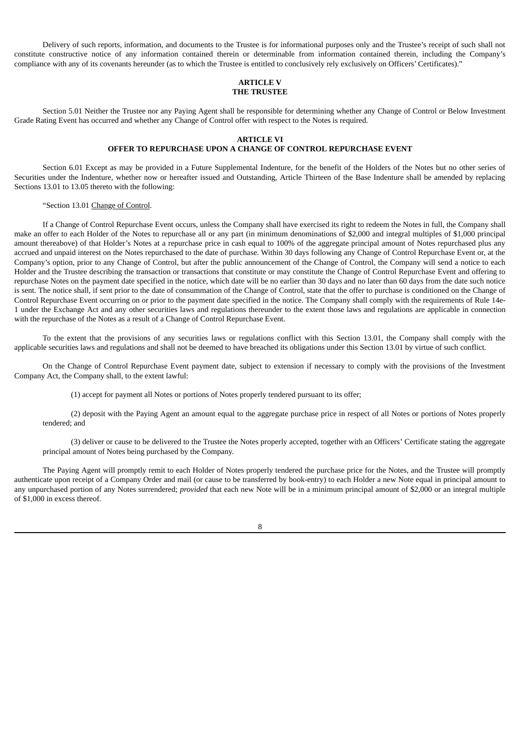Delivery of such reports, information, and documents to the Trustee is for informational purposes only and the Trustee's receipt of such shall not constitute constructive notice of any information contained therein or determinable from information contained therein, including the Company's compliance with any of its covenants hereunder (as to which the Trustee is entitled to conclusively rely exclusively on Officers' Certificates)."

## **ARTICLE V THE TRUSTEE**

Section 5.01 Neither the Trustee nor any Paying Agent shall be responsible for determining whether any Change of Control or Below Investment Grade Rating Event has occurred and whether any Change of Control offer with respect to the Notes is required.

## **ARTICLE VI**

## **OFFER TO REPURCHASE UPON A CHANGE OF CONTROL REPURCHASE EVENT**

Section 6.01 Except as may be provided in a Future Supplemental Indenture, for the benefit of the Holders of the Notes but no other series of Securities under the Indenture, whether now or hereafter issued and Outstanding, Article Thirteen of the Base Indenture shall be amended by replacing Sections 13.01 to 13.05 thereto with the following:

"Section 13.01 Change of Control.

If a Change of Control Repurchase Event occurs, unless the Company shall have exercised its right to redeem the Notes in full, the Company shall make an offer to each Holder of the Notes to repurchase all or any part (in minimum denominations of \$2,000 and integral multiples of \$1,000 principal amount thereabove) of that Holder's Notes at a repurchase price in cash equal to 100% of the aggregate principal amount of Notes repurchased plus any accrued and unpaid interest on the Notes repurchased to the date of purchase. Within 30 days following any Change of Control Repurchase Event or, at the Company's option, prior to any Change of Control, but after the public announcement of the Change of Control, the Company will send a notice to each Holder and the Trustee describing the transaction or transactions that constitute or may constitute the Change of Control Repurchase Event and offering to repurchase Notes on the payment date specified in the notice, which date will be no earlier than 30 days and no later than 60 days from the date such notice is sent. The notice shall, if sent prior to the date of consummation of the Change of Control, state that the offer to purchase is conditioned on the Change of Control Repurchase Event occurring on or prior to the payment date specified in the notice. The Company shall comply with the requirements of Rule 14e-1 under the Exchange Act and any other securities laws and regulations thereunder to the extent those laws and regulations are applicable in connection with the repurchase of the Notes as a result of a Change of Control Repurchase Event.

To the extent that the provisions of any securities laws or regulations conflict with this Section 13.01, the Company shall comply with the applicable securities laws and regulations and shall not be deemed to have breached its obligations under this Section 13.01 by virtue of such conflict.

On the Change of Control Repurchase Event payment date, subject to extension if necessary to comply with the provisions of the Investment Company Act, the Company shall, to the extent lawful:

(1) accept for payment all Notes or portions of Notes properly tendered pursuant to its offer;

(2) deposit with the Paying Agent an amount equal to the aggregate purchase price in respect of all Notes or portions of Notes properly tendered; and

(3) deliver or cause to be delivered to the Trustee the Notes properly accepted, together with an Officers' Certificate stating the aggregate principal amount of Notes being purchased by the Company.

The Paying Agent will promptly remit to each Holder of Notes properly tendered the purchase price for the Notes, and the Trustee will promptly authenticate upon receipt of a Company Order and mail (or cause to be transferred by book-entry) to each Holder a new Note equal in principal amount to any unpurchased portion of any Notes surrendered; *provided* that each new Note will be in a minimum principal amount of \$2,000 or an integral multiple of \$1,000 in excess thereof.

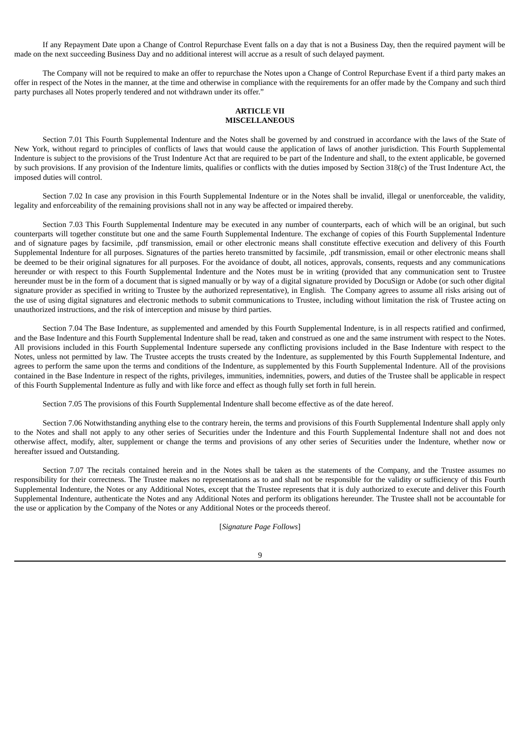If any Repayment Date upon a Change of Control Repurchase Event falls on a day that is not a Business Day, then the required payment will be made on the next succeeding Business Day and no additional interest will accrue as a result of such delayed payment.

The Company will not be required to make an offer to repurchase the Notes upon a Change of Control Repurchase Event if a third party makes an offer in respect of the Notes in the manner, at the time and otherwise in compliance with the requirements for an offer made by the Company and such third party purchases all Notes properly tendered and not withdrawn under its offer."

## **ARTICLE VII MISCELLANEOUS**

Section 7.01 This Fourth Supplemental Indenture and the Notes shall be governed by and construed in accordance with the laws of the State of New York, without regard to principles of conflicts of laws that would cause the application of laws of another jurisdiction. This Fourth Supplemental Indenture is subject to the provisions of the Trust Indenture Act that are required to be part of the Indenture and shall, to the extent applicable, be governed by such provisions. If any provision of the Indenture limits, qualifies or conflicts with the duties imposed by Section 318(c) of the Trust Indenture Act, the imposed duties will control.

Section 7.02 In case any provision in this Fourth Supplemental Indenture or in the Notes shall be invalid, illegal or unenforceable, the validity, legality and enforceability of the remaining provisions shall not in any way be affected or impaired thereby.

Section 7.03 This Fourth Supplemental Indenture may be executed in any number of counterparts, each of which will be an original, but such counterparts will together constitute but one and the same Fourth Supplemental Indenture. The exchange of copies of this Fourth Supplemental Indenture and of signature pages by facsimile, .pdf transmission, email or other electronic means shall constitute effective execution and delivery of this Fourth Supplemental Indenture for all purposes. Signatures of the parties hereto transmitted by facsimile, .pdf transmission, email or other electronic means shall be deemed to be their original signatures for all purposes. For the avoidance of doubt, all notices, approvals, consents, requests and any communications hereunder or with respect to this Fourth Supplemental Indenture and the Notes must be in writing (provided that any communication sent to Trustee hereunder must be in the form of a document that is signed manually or by way of a digital signature provided by DocuSign or Adobe (or such other digital signature provider as specified in writing to Trustee by the authorized representative), in English. The Company agrees to assume all risks arising out of the use of using digital signatures and electronic methods to submit communications to Trustee, including without limitation the risk of Trustee acting on unauthorized instructions, and the risk of interception and misuse by third parties.

Section 7.04 The Base Indenture, as supplemented and amended by this Fourth Supplemental Indenture, is in all respects ratified and confirmed, and the Base Indenture and this Fourth Supplemental Indenture shall be read, taken and construed as one and the same instrument with respect to the Notes. All provisions included in this Fourth Supplemental Indenture supersede any conflicting provisions included in the Base Indenture with respect to the Notes, unless not permitted by law. The Trustee accepts the trusts created by the Indenture, as supplemented by this Fourth Supplemental Indenture, and agrees to perform the same upon the terms and conditions of the Indenture, as supplemented by this Fourth Supplemental Indenture. All of the provisions contained in the Base Indenture in respect of the rights, privileges, immunities, indemnities, powers, and duties of the Trustee shall be applicable in respect of this Fourth Supplemental Indenture as fully and with like force and effect as though fully set forth in full herein.

Section 7.05 The provisions of this Fourth Supplemental Indenture shall become effective as of the date hereof.

Section 7.06 Notwithstanding anything else to the contrary herein, the terms and provisions of this Fourth Supplemental Indenture shall apply only to the Notes and shall not apply to any other series of Securities under the Indenture and this Fourth Supplemental Indenture shall not and does not otherwise affect, modify, alter, supplement or change the terms and provisions of any other series of Securities under the Indenture, whether now or hereafter issued and Outstanding.

Section 7.07 The recitals contained herein and in the Notes shall be taken as the statements of the Company, and the Trustee assumes no responsibility for their correctness. The Trustee makes no representations as to and shall not be responsible for the validity or sufficiency of this Fourth Supplemental Indenture, the Notes or any Additional Notes, except that the Trustee represents that it is duly authorized to execute and deliver this Fourth Supplemental Indenture, authenticate the Notes and any Additional Notes and perform its obligations hereunder. The Trustee shall not be accountable for the use or application by the Company of the Notes or any Additional Notes or the proceeds thereof.

[*Signature Page Follows*]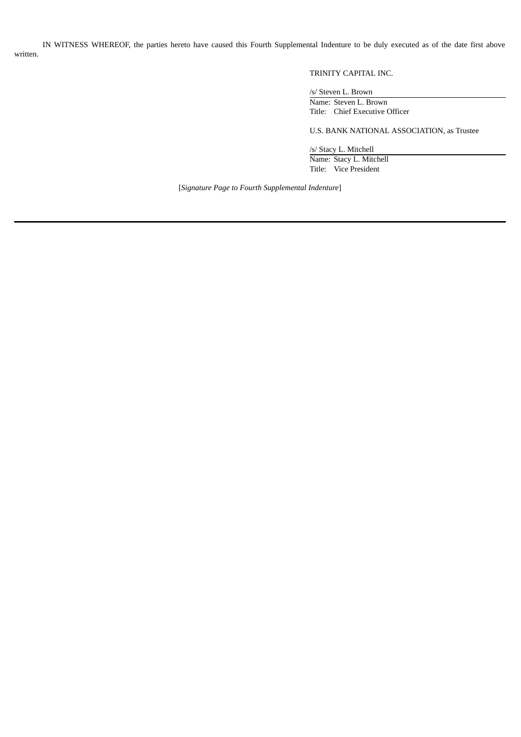IN WITNESS WHEREOF, the parties hereto have caused this Fourth Supplemental Indenture to be duly executed as of the date first above written.

## TRINITY CAPITAL INC.

/s/ Steven L. Brown

Name: Steven L. Brown Title: Chief Executive Officer

U.S. BANK NATIONAL ASSOCIATION, as Trustee

/s/ Stacy L. Mitchell Name: Stacy L. Mitchell Title: Vice President

[*Signature Page to Fourth Supplemental Indenture*]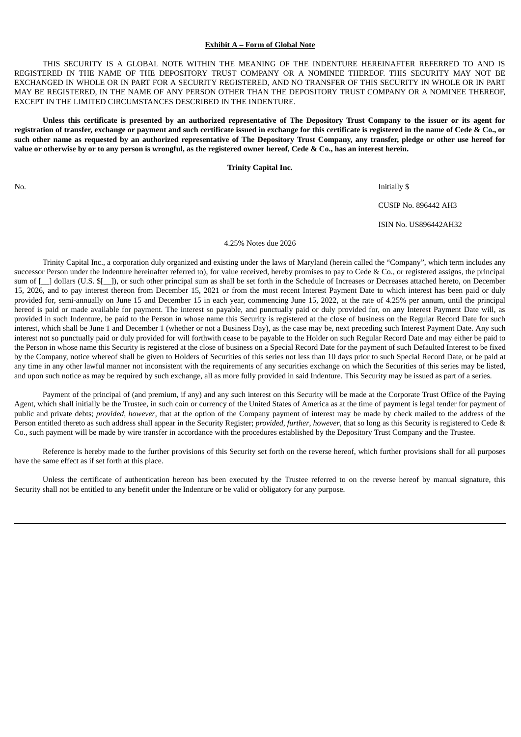## **Exhibit A – Form of Global Note**

THIS SECURITY IS A GLOBAL NOTE WITHIN THE MEANING OF THE INDENTURE HEREINAFTER REFERRED TO AND IS REGISTERED IN THE NAME OF THE DEPOSITORY TRUST COMPANY OR A NOMINEE THEREOF. THIS SECURITY MAY NOT BE EXCHANGED IN WHOLE OR IN PART FOR A SECURITY REGISTERED, AND NO TRANSFER OF THIS SECURITY IN WHOLE OR IN PART MAY BE REGISTERED, IN THE NAME OF ANY PERSON OTHER THAN THE DEPOSITORY TRUST COMPANY OR A NOMINEE THEREOF, EXCEPT IN THE LIMITED CIRCUMSTANCES DESCRIBED IN THE INDENTURE.

Unless this certificate is presented by an authorized representative of The Depository Trust Company to the issuer or its agent for registration of transfer, exchange or payment and such certificate issued in exchange for this certificate is registered in the name of Cede & Co., or such other name as requested by an authorized representative of The Depository Trust Company, any transfer, pledge or other use hereof for value or otherwise by or to any person is wrongful, as the registered owner hereof, Cede & Co., has an interest herein.

**Trinity Capital Inc.**

No. Initially \$

CUSIP No. 896442 AH3

ISIN No. US896442AH32

## 4.25% Notes due 2026

Trinity Capital Inc., a corporation duly organized and existing under the laws of Maryland (herein called the "Company", which term includes any successor Person under the Indenture hereinafter referred to), for value received, hereby promises to pay to Cede & Co., or registered assigns, the principal sum of [\_] dollars (U.S. \$[\_]), or such other principal sum as shall be set forth in the Schedule of Increases or Decreases attached hereto, on December 15, 2026, and to pay interest thereon from December 15, 2021 or from the most recent Interest Payment Date to which interest has been paid or duly provided for, semi-annually on June 15 and December 15 in each year, commencing June 15, 2022, at the rate of 4.25% per annum, until the principal hereof is paid or made available for payment. The interest so payable, and punctually paid or duly provided for, on any Interest Payment Date will, as provided in such Indenture, be paid to the Person in whose name this Security is registered at the close of business on the Regular Record Date for such interest, which shall be June 1 and December 1 (whether or not a Business Day), as the case may be, next preceding such Interest Payment Date. Any such interest not so punctually paid or duly provided for will forthwith cease to be payable to the Holder on such Regular Record Date and may either be paid to the Person in whose name this Security is registered at the close of business on a Special Record Date for the payment of such Defaulted Interest to be fixed by the Company, notice whereof shall be given to Holders of Securities of this series not less than 10 days prior to such Special Record Date, or be paid at any time in any other lawful manner not inconsistent with the requirements of any securities exchange on which the Securities of this series may be listed, and upon such notice as may be required by such exchange, all as more fully provided in said Indenture. This Security may be issued as part of a series.

Payment of the principal of (and premium, if any) and any such interest on this Security will be made at the Corporate Trust Office of the Paying Agent, which shall initially be the Trustee, in such coin or currency of the United States of America as at the time of payment is legal tender for payment of public and private debts; *provided*, *however*, that at the option of the Company payment of interest may be made by check mailed to the address of the Person entitled thereto as such address shall appear in the Security Register; *provided*, *further*, *however*, that so long as this Security is registered to Cede & Co., such payment will be made by wire transfer in accordance with the procedures established by the Depository Trust Company and the Trustee.

Reference is hereby made to the further provisions of this Security set forth on the reverse hereof, which further provisions shall for all purposes have the same effect as if set forth at this place.

Unless the certificate of authentication hereon has been executed by the Trustee referred to on the reverse hereof by manual signature, this Security shall not be entitled to any benefit under the Indenture or be valid or obligatory for any purpose.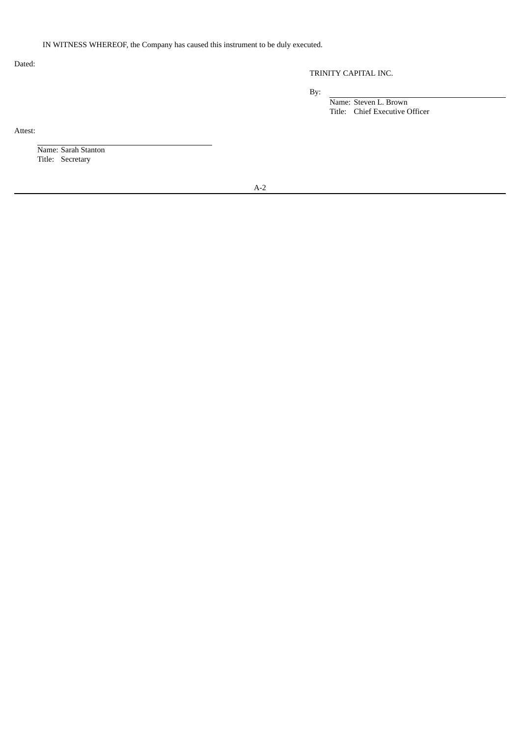## IN WITNESS WHEREOF, the Company has caused this instrument to be duly executed.

Dated:

## TRINITY CAPITAL INC.

By:

Name: Steven L. Brown Title: Chief Executive Officer

Attest:

Name: Sarah Stanton Title: Secretary

A-2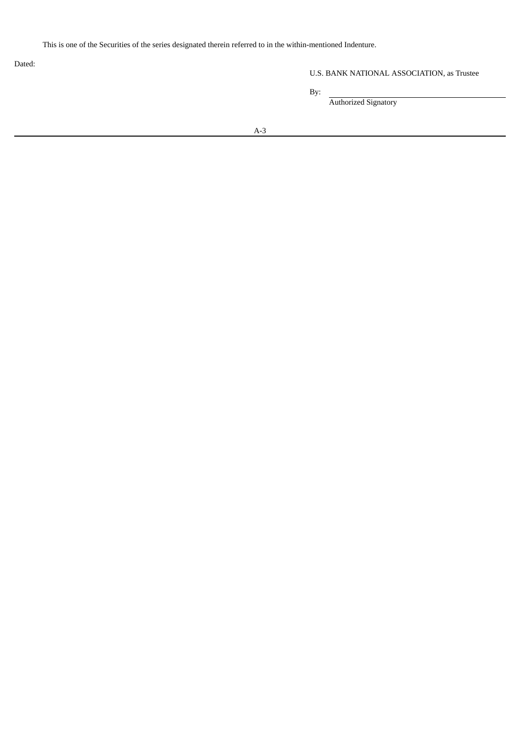This is one of the Securities of the series designated therein referred to in the within-mentioned Indenture.

Dated:

U.S. BANK NATIONAL ASSOCIATION, as Trustee

By:

Authorized Signatory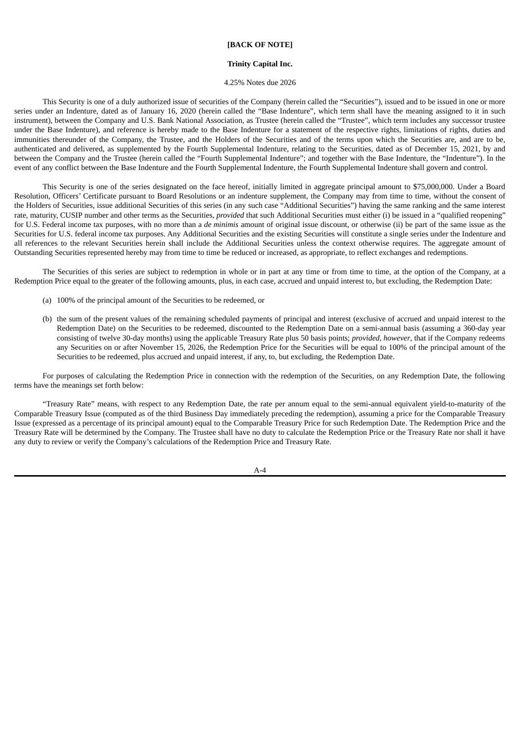## **[BACK OF NOTE]**

#### **Trinity Capital Inc.**

#### 4.25% Notes due 2026

This Security is one of a duly authorized issue of securities of the Company (herein called the "Securities"), issued and to be issued in one or more series under an Indenture, dated as of January 16, 2020 (herein called the "Base Indenture", which term shall have the meaning assigned to it in such instrument), between the Company and U.S. Bank National Association, as Trustee (herein called the "Trustee", which term includes any successor trustee under the Base Indenture), and reference is hereby made to the Base Indenture for a statement of the respective rights, limitations of rights, duties and immunities thereunder of the Company, the Trustee, and the Holders of the Securities and of the terms upon which the Securities are, and are to be, authenticated and delivered, as supplemented by the Fourth Supplemental Indenture, relating to the Securities, dated as of December 15, 2021, by and between the Company and the Trustee (herein called the "Fourth Supplemental Indenture"; and together with the Base Indenture, the "Indenture"). In the event of any conflict between the Base Indenture and the Fourth Supplemental Indenture, the Fourth Supplemental Indenture shall govern and control.

This Security is one of the series designated on the face hereof, initially limited in aggregate principal amount to \$75,000,000. Under a Board Resolution, Officers' Certificate pursuant to Board Resolutions or an indenture supplement, the Company may from time to time, without the consent of the Holders of Securities, issue additional Securities of this series (in any such case "Additional Securities") having the same ranking and the same interest rate, maturity, CUSIP number and other terms as the Securities, *provided* that such Additional Securities must either (i) be issued in a "qualified reopening" for U.S. Federal income tax purposes, with no more than a *de minimis* amount of original issue discount, or otherwise (ii) be part of the same issue as the Securities for U.S. federal income tax purposes. Any Additional Securities and the existing Securities will constitute a single series under the Indenture and all references to the relevant Securities herein shall include the Additional Securities unless the context otherwise requires. The aggregate amount of Outstanding Securities represented hereby may from time to time be reduced or increased, as appropriate, to reflect exchanges and redemptions.

The Securities of this series are subject to redemption in whole or in part at any time or from time to time, at the option of the Company, at a Redemption Price equal to the greater of the following amounts, plus, in each case, accrued and unpaid interest to, but excluding, the Redemption Date:

- (a) 100% of the principal amount of the Securities to be redeemed, or
- (b) the sum of the present values of the remaining scheduled payments of principal and interest (exclusive of accrued and unpaid interest to the Redemption Date) on the Securities to be redeemed, discounted to the Redemption Date on a semi-annual basis (assuming a 360-day year consisting of twelve 30-day months) using the applicable Treasury Rate plus 50 basis points; *provided*, *however*, that if the Company redeems any Securities on or after November 15, 2026, the Redemption Price for the Securities will be equal to 100% of the principal amount of the Securities to be redeemed, plus accrued and unpaid interest, if any, to, but excluding, the Redemption Date.

For purposes of calculating the Redemption Price in connection with the redemption of the Securities, on any Redemption Date, the following terms have the meanings set forth below:

"Treasury Rate" means, with respect to any Redemption Date, the rate per annum equal to the semi-annual equivalent yield-to-maturity of the Comparable Treasury Issue (computed as of the third Business Day immediately preceding the redemption), assuming a price for the Comparable Treasury Issue (expressed as a percentage of its principal amount) equal to the Comparable Treasury Price for such Redemption Date. The Redemption Price and the Treasury Rate will be determined by the Company. The Trustee shall have no duty to calculate the Redemption Price or the Treasury Rate nor shall it have any duty to review or verify the Company's calculations of the Redemption Price and Treasury Rate.

A-4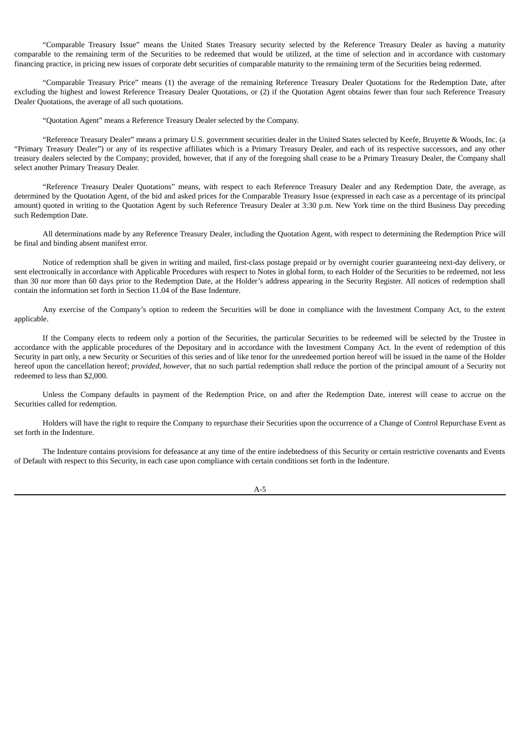"Comparable Treasury Issue" means the United States Treasury security selected by the Reference Treasury Dealer as having a maturity comparable to the remaining term of the Securities to be redeemed that would be utilized, at the time of selection and in accordance with customary financing practice, in pricing new issues of corporate debt securities of comparable maturity to the remaining term of the Securities being redeemed.

"Comparable Treasury Price" means (1) the average of the remaining Reference Treasury Dealer Quotations for the Redemption Date, after excluding the highest and lowest Reference Treasury Dealer Quotations, or (2) if the Quotation Agent obtains fewer than four such Reference Treasury Dealer Quotations, the average of all such quotations.

"Quotation Agent" means a Reference Treasury Dealer selected by the Company.

"Reference Treasury Dealer" means a primary U.S. government securities dealer in the United States selected by Keefe, Bruyette & Woods, Inc. (a "Primary Treasury Dealer") or any of its respective affiliates which is a Primary Treasury Dealer, and each of its respective successors, and any other treasury dealers selected by the Company; provided, however, that if any of the foregoing shall cease to be a Primary Treasury Dealer, the Company shall select another Primary Treasury Dealer.

"Reference Treasury Dealer Quotations" means, with respect to each Reference Treasury Dealer and any Redemption Date, the average, as determined by the Quotation Agent, of the bid and asked prices for the Comparable Treasury Issue (expressed in each case as a percentage of its principal amount) quoted in writing to the Quotation Agent by such Reference Treasury Dealer at 3:30 p.m. New York time on the third Business Day preceding such Redemption Date.

All determinations made by any Reference Treasury Dealer, including the Quotation Agent, with respect to determining the Redemption Price will be final and binding absent manifest error.

Notice of redemption shall be given in writing and mailed, first-class postage prepaid or by overnight courier guaranteeing next-day delivery, or sent electronically in accordance with Applicable Procedures with respect to Notes in global form, to each Holder of the Securities to be redeemed, not less than 30 nor more than 60 days prior to the Redemption Date, at the Holder's address appearing in the Security Register. All notices of redemption shall contain the information set forth in Section 11.04 of the Base Indenture.

Any exercise of the Company's option to redeem the Securities will be done in compliance with the Investment Company Act, to the extent applicable.

If the Company elects to redeem only a portion of the Securities, the particular Securities to be redeemed will be selected by the Trustee in accordance with the applicable procedures of the Depositary and in accordance with the Investment Company Act. In the event of redemption of this Security in part only, a new Security or Securities of this series and of like tenor for the unredeemed portion hereof will be issued in the name of the Holder hereof upon the cancellation hereof; *provided*, *however*, that no such partial redemption shall reduce the portion of the principal amount of a Security not redeemed to less than \$2,000.

Unless the Company defaults in payment of the Redemption Price, on and after the Redemption Date, interest will cease to accrue on the Securities called for redemption.

Holders will have the right to require the Company to repurchase their Securities upon the occurrence of a Change of Control Repurchase Event as set forth in the Indenture.

The Indenture contains provisions for defeasance at any time of the entire indebtedness of this Security or certain restrictive covenants and Events of Default with respect to this Security, in each case upon compliance with certain conditions set forth in the Indenture.

A-5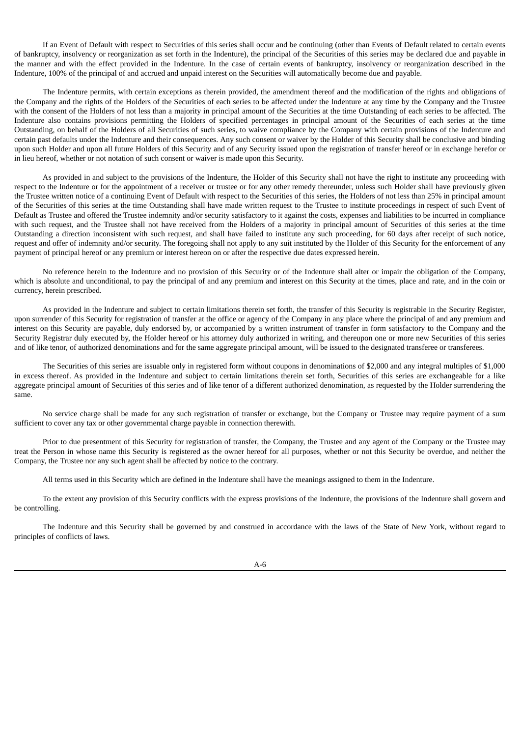If an Event of Default with respect to Securities of this series shall occur and be continuing (other than Events of Default related to certain events of bankruptcy, insolvency or reorganization as set forth in the Indenture), the principal of the Securities of this series may be declared due and payable in the manner and with the effect provided in the Indenture. In the case of certain events of bankruptcy, insolvency or reorganization described in the Indenture, 100% of the principal of and accrued and unpaid interest on the Securities will automatically become due and payable.

The Indenture permits, with certain exceptions as therein provided, the amendment thereof and the modification of the rights and obligations of the Company and the rights of the Holders of the Securities of each series to be affected under the Indenture at any time by the Company and the Trustee with the consent of the Holders of not less than a majority in principal amount of the Securities at the time Outstanding of each series to be affected. The Indenture also contains provisions permitting the Holders of specified percentages in principal amount of the Securities of each series at the time Outstanding, on behalf of the Holders of all Securities of such series, to waive compliance by the Company with certain provisions of the Indenture and certain past defaults under the Indenture and their consequences. Any such consent or waiver by the Holder of this Security shall be conclusive and binding upon such Holder and upon all future Holders of this Security and of any Security issued upon the registration of transfer hereof or in exchange herefor or in lieu hereof, whether or not notation of such consent or waiver is made upon this Security.

As provided in and subject to the provisions of the Indenture, the Holder of this Security shall not have the right to institute any proceeding with respect to the Indenture or for the appointment of a receiver or trustee or for any other remedy thereunder, unless such Holder shall have previously given the Trustee written notice of a continuing Event of Default with respect to the Securities of this series, the Holders of not less than 25% in principal amount of the Securities of this series at the time Outstanding shall have made written request to the Trustee to institute proceedings in respect of such Event of Default as Trustee and offered the Trustee indemnity and/or security satisfactory to it against the costs, expenses and liabilities to be incurred in compliance with such request, and the Trustee shall not have received from the Holders of a majority in principal amount of Securities of this series at the time Outstanding a direction inconsistent with such request, and shall have failed to institute any such proceeding, for 60 days after receipt of such notice, request and offer of indemnity and/or security. The foregoing shall not apply to any suit instituted by the Holder of this Security for the enforcement of any payment of principal hereof or any premium or interest hereon on or after the respective due dates expressed herein.

No reference herein to the Indenture and no provision of this Security or of the Indenture shall alter or impair the obligation of the Company, which is absolute and unconditional, to pay the principal of and any premium and interest on this Security at the times, place and rate, and in the coin or currency, herein prescribed.

As provided in the Indenture and subject to certain limitations therein set forth, the transfer of this Security is registrable in the Security Register, upon surrender of this Security for registration of transfer at the office or agency of the Company in any place where the principal of and any premium and interest on this Security are payable, duly endorsed by, or accompanied by a written instrument of transfer in form satisfactory to the Company and the Security Registrar duly executed by, the Holder hereof or his attorney duly authorized in writing, and thereupon one or more new Securities of this series and of like tenor, of authorized denominations and for the same aggregate principal amount, will be issued to the designated transferee or transferees.

The Securities of this series are issuable only in registered form without coupons in denominations of \$2,000 and any integral multiples of \$1,000 in excess thereof. As provided in the Indenture and subject to certain limitations therein set forth, Securities of this series are exchangeable for a like aggregate principal amount of Securities of this series and of like tenor of a different authorized denomination, as requested by the Holder surrendering the same.

No service charge shall be made for any such registration of transfer or exchange, but the Company or Trustee may require payment of a sum sufficient to cover any tax or other governmental charge payable in connection therewith.

Prior to due presentment of this Security for registration of transfer, the Company, the Trustee and any agent of the Company or the Trustee may treat the Person in whose name this Security is registered as the owner hereof for all purposes, whether or not this Security be overdue, and neither the Company, the Trustee nor any such agent shall be affected by notice to the contrary.

All terms used in this Security which are defined in the Indenture shall have the meanings assigned to them in the Indenture.

To the extent any provision of this Security conflicts with the express provisions of the Indenture, the provisions of the Indenture shall govern and be controlling.

The Indenture and this Security shall be governed by and construed in accordance with the laws of the State of New York, without regard to principles of conflicts of laws.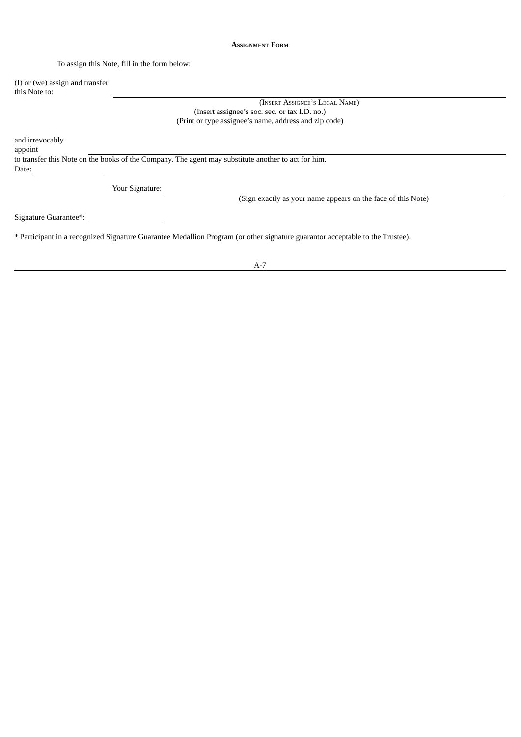## **ASSIGNMENT FORM**

To assign this Note, fill in the form below:

(I) or (we) assign and transfer this Note to:

> (INSERT ASSIGNEE'<sup>S</sup> LEGAL NAME) (Insert assignee's soc. sec. or tax I.D. no.) (Print or type assignee's name, address and zip code)

and irrevocably appoint

to transfer this Note on the books of the Company. The agent may substitute another to act for him.

Date:

Your Signature:

(Sign exactly as your name appears on the face of this Note)

Signature Guarantee\*:

\* Participant in a recognized Signature Guarantee Medallion Program (or other signature guarantor acceptable to the Trustee).

A-7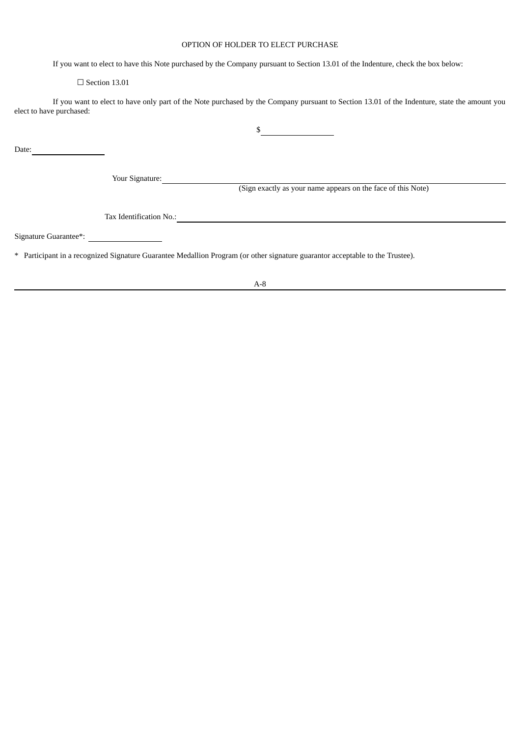## OPTION OF HOLDER TO ELECT PURCHASE

If you want to elect to have this Note purchased by the Company pursuant to Section 13.01 of the Indenture, check the box below:

## $\Box$  Section 13.01

If you want to elect to have only part of the Note purchased by the Company pursuant to Section 13.01 of the Indenture, state the amount you elect to have purchased:

| Date:                 |                         |                                                              |
|-----------------------|-------------------------|--------------------------------------------------------------|
|                       | Your Signature:         |                                                              |
|                       |                         | (Sign exactly as your name appears on the face of this Note) |
|                       | Tax Identification No.: |                                                              |
| Signature Guarantee*: |                         |                                                              |

\* Participant in a recognized Signature Guarantee Medallion Program (or other signature guarantor acceptable to the Trustee).

## A-8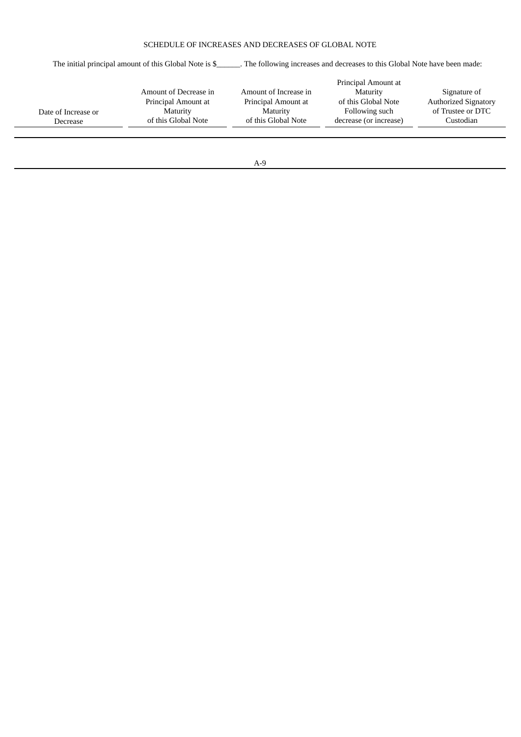## SCHEDULE OF INCREASES AND DECREASES OF GLOBAL NOTE

The initial principal amount of this Global Note is \$\_\_\_\_\_\_. The following increases and decreases to this Global Note have been made:

|                       | Principal Amount at   |                        |                             |
|-----------------------|-----------------------|------------------------|-----------------------------|
| Amount of Decrease in | Amount of Increase in | Maturity               | Signature of                |
| Principal Amount at   | Principal Amount at   | of this Global Note    | <b>Authorized Signatory</b> |
| Maturity              | Maturity              | Following such         | of Trustee or DTC           |
| of this Global Note   | of this Global Note   | decrease (or increase) | Custodian                   |
|                       |                       |                        |                             |
|                       |                       |                        |                             |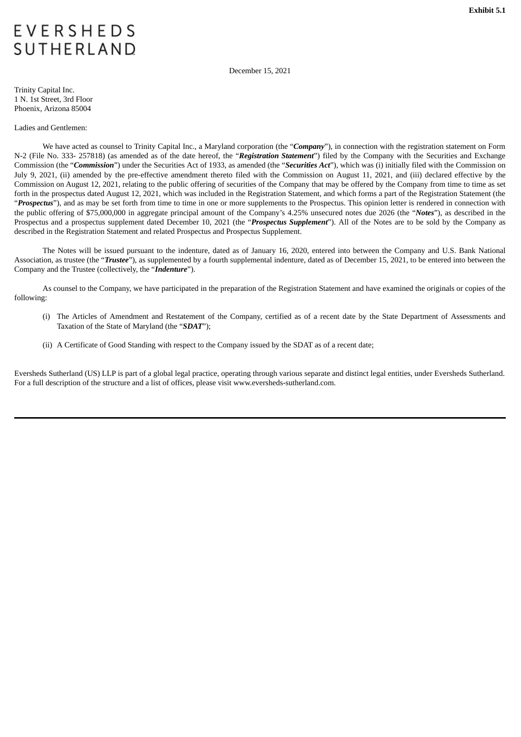# <span id="page-61-0"></span>**EVERSHEDS SUTHERLAND**

December 15, 2021

Trinity Capital Inc. 1 N. 1st Street, 3rd Floor Phoenix, Arizona 85004

## Ladies and Gentlemen:

We have acted as counsel to Trinity Capital Inc., a Maryland corporation (the "*Company*"), in connection with the registration statement on Form N-2 (File No. 333- 257818) (as amended as of the date hereof, the "*Registration Statement*") filed by the Company with the Securities and Exchange Commission (the "*Commission*") under the Securities Act of 1933, as amended (the "*Securities Act*"), which was (i) initially filed with the Commission on July 9, 2021, (ii) amended by the pre-effective amendment thereto filed with the Commission on August 11, 2021, and (iii) declared effective by the Commission on August 12, 2021, relating to the public offering of securities of the Company that may be offered by the Company from time to time as set forth in the prospectus dated August 12, 2021, which was included in the Registration Statement, and which forms a part of the Registration Statement (the "Prospectus"), and as may be set forth from time to time in one or more supplements to the Prospectus. This opinion letter is rendered in connection with the public offering of \$75,000,000 in aggregate principal amount of the Company's 4.25% unsecured notes due 2026 (the "*Notes*"), as described in the Prospectus and a prospectus supplement dated December 10, 2021 (the "*Prospectus Supplement*"). All of the Notes are to be sold by the Company as described in the Registration Statement and related Prospectus and Prospectus Supplement.

The Notes will be issued pursuant to the indenture, dated as of January 16, 2020, entered into between the Company and U.S. Bank National Association, as trustee (the "*Trustee*"), as supplemented by a fourth supplemental indenture, dated as of December 15, 2021, to be entered into between the Company and the Trustee (collectively, the "*Indenture*").

As counsel to the Company, we have participated in the preparation of the Registration Statement and have examined the originals or copies of the following:

- (i) The Articles of Amendment and Restatement of the Company, certified as of a recent date by the State Department of Assessments and Taxation of the State of Maryland (the "*SDAT*");
- (ii) A Certificate of Good Standing with respect to the Company issued by the SDAT as of a recent date;

Eversheds Sutherland (US) LLP is part of a global legal practice, operating through various separate and distinct legal entities, under Eversheds Sutherland. For a full description of the structure and a list of offices, please visit www.eversheds-sutherland.com.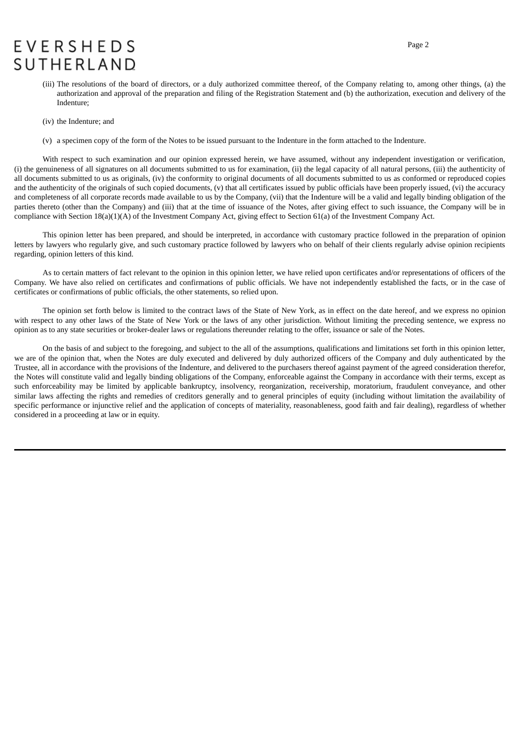# **EVERSHEDS SUTHERLAND**

- (iii) The resolutions of the board of directors, or a duly authorized committee thereof, of the Company relating to, among other things, (a) the authorization and approval of the preparation and filing of the Registration Statement and (b) the authorization, execution and delivery of the Indenture;
- (iv) the Indenture; and
- (v) a specimen copy of the form of the Notes to be issued pursuant to the Indenture in the form attached to the Indenture.

With respect to such examination and our opinion expressed herein, we have assumed, without any independent investigation or verification, (i) the genuineness of all signatures on all documents submitted to us for examination, (ii) the legal capacity of all natural persons, (iii) the authenticity of all documents submitted to us as originals, (iv) the conformity to original documents of all documents submitted to us as conformed or reproduced copies and the authenticity of the originals of such copied documents, (v) that all certificates issued by public officials have been properly issued, (vi) the accuracy and completeness of all corporate records made available to us by the Company, (vii) that the Indenture will be a valid and legally binding obligation of the parties thereto (other than the Company) and (iii) that at the time of issuance of the Notes, after giving effect to such issuance, the Company will be in compliance with Section 18(a)(1)(A) of the Investment Company Act, giving effect to Section 61(a) of the Investment Company Act.

This opinion letter has been prepared, and should be interpreted, in accordance with customary practice followed in the preparation of opinion letters by lawyers who regularly give, and such customary practice followed by lawyers who on behalf of their clients regularly advise opinion recipients regarding, opinion letters of this kind.

As to certain matters of fact relevant to the opinion in this opinion letter, we have relied upon certificates and/or representations of officers of the Company. We have also relied on certificates and confirmations of public officials. We have not independently established the facts, or in the case of certificates or confirmations of public officials, the other statements, so relied upon.

The opinion set forth below is limited to the contract laws of the State of New York, as in effect on the date hereof, and we express no opinion with respect to any other laws of the State of New York or the laws of any other jurisdiction. Without limiting the preceding sentence, we express no opinion as to any state securities or broker-dealer laws or regulations thereunder relating to the offer, issuance or sale of the Notes.

On the basis of and subject to the foregoing, and subject to the all of the assumptions, qualifications and limitations set forth in this opinion letter, we are of the opinion that, when the Notes are duly executed and delivered by duly authorized officers of the Company and duly authenticated by the Trustee, all in accordance with the provisions of the Indenture, and delivered to the purchasers thereof against payment of the agreed consideration therefor, the Notes will constitute valid and legally binding obligations of the Company, enforceable against the Company in accordance with their terms, except as such enforceability may be limited by applicable bankruptcy, insolvency, reorganization, receivership, moratorium, fraudulent conveyance, and other similar laws affecting the rights and remedies of creditors generally and to general principles of equity (including without limitation the availability of specific performance or injunctive relief and the application of concepts of materiality, reasonableness, good faith and fair dealing), regardless of whether considered in a proceeding at law or in equity.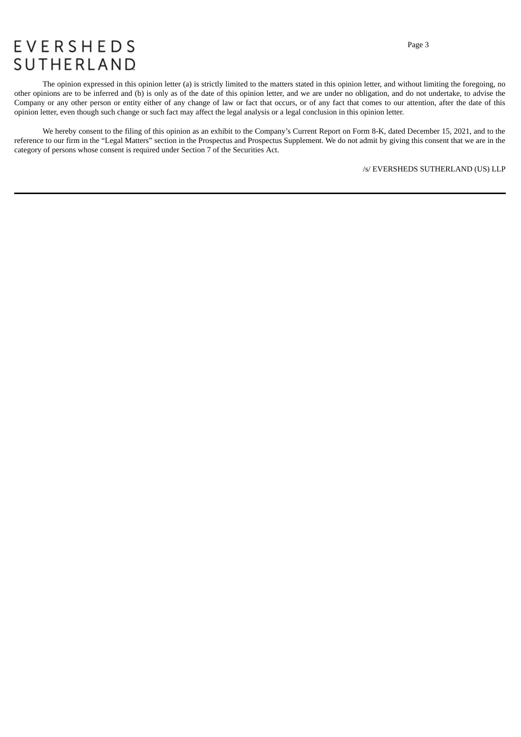# **EVERSHEDS** SUTHERLAND

The opinion expressed in this opinion letter (a) is strictly limited to the matters stated in this opinion letter, and without limiting the foregoing, no other opinions are to be inferred and (b) is only as of the date of this opinion letter, and we are under no obligation, and do not undertake, to advise the Company or any other person or entity either of any change of law or fact that occurs, or of any fact that comes to our attention, after the date of this opinion letter, even though such change or such fact may affect the legal analysis or a legal conclusion in this opinion letter.

We hereby consent to the filing of this opinion as an exhibit to the Company's Current Report on Form 8-K, dated December 15, 2021, and to the reference to our firm in the "Legal Matters" section in the Prospectus and Prospectus Supplement. We do not admit by giving this consent that we are in the category of persons whose consent is required under Section 7 of the Securities Act.

/s/ EVERSHEDS SUTHERLAND (US) LLP